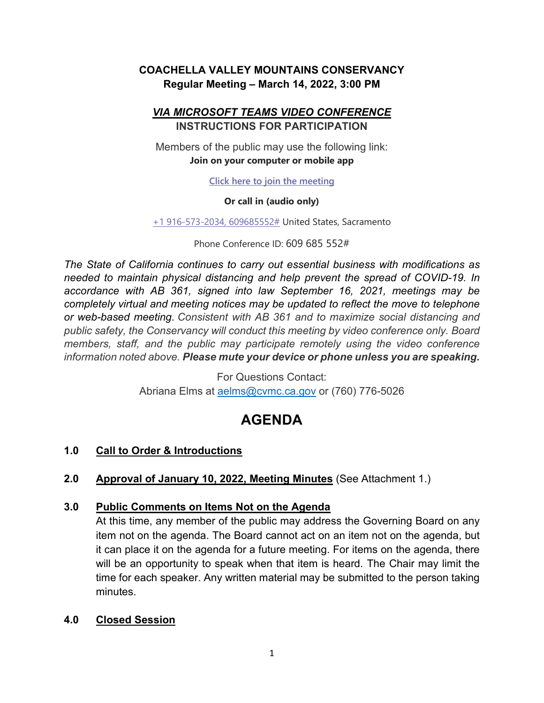# **COACHELLA VALLEY MOUNTAINS CONSERVANCY Regular Meeting – March 14, 2022, 3:00 PM**

## *VIA MICROSOFT TEAMS VIDEO CONFERENCE* **INSTRUCTIONS FOR PARTICIPATION**

Members of the public may use the following link: **Join on your computer or mobile app**

**[Click here to join the meeting](https://teams.microsoft.com/l/meetup-join/19%3ameeting_YWY5NjU3YWItY2Q5NC00ODc2LWFhMzctYWQ0ZjJlNDNmZmI2%40thread.v2/0?context=%7b%22Tid%22%3a%22b71d5652-4b83-4257-afcd-7fd177884564%22%2c%22Oid%22%3a%22b99bee90-ebc5-45dd-b8ad-20aab14dc8ee%22%7d)**

#### **Or call in (audio only)**

[+1 916-573-2034,](tel:+19165732034,,609685552#%20) 609685552# United States, Sacramento

Phone Conference ID: 609 685 552#

*The State of California continues to carry out essential business with modifications as needed to maintain physical distancing and help prevent the spread of COVID-19. In accordance with AB 361, signed into law September 16, 2021, meetings may be completely virtual and meeting notices may be updated to reflect the move to telephone or web-based meeting*. *Consistent with AB 361 and to maximize social distancing and public safety, the Conservancy will conduct this meeting by video conference only. Board members, staff, and the public may participate remotely using the video conference information noted above. Please mute your device or phone unless you are speaking.*

> For Questions Contact: Abriana Elms at [aelms@cvmc.ca.gov](mailto:aelms@cvmc.ca.gov) or (760) 776-5026

# **AGENDA**

# **1.0 Call to Order & Introductions**

**2.0 Approval of January 10, 2022, Meeting Minutes** (See Attachment 1.)

# **3.0 Public Comments on Items Not on the Agenda**

At this time, any member of the public may address the Governing Board on any item not on the agenda. The Board cannot act on an item not on the agenda, but it can place it on the agenda for a future meeting. For items on the agenda, there will be an opportunity to speak when that item is heard. The Chair may limit the time for each speaker. Any written material may be submitted to the person taking minutes.

## **4.0 Closed Session**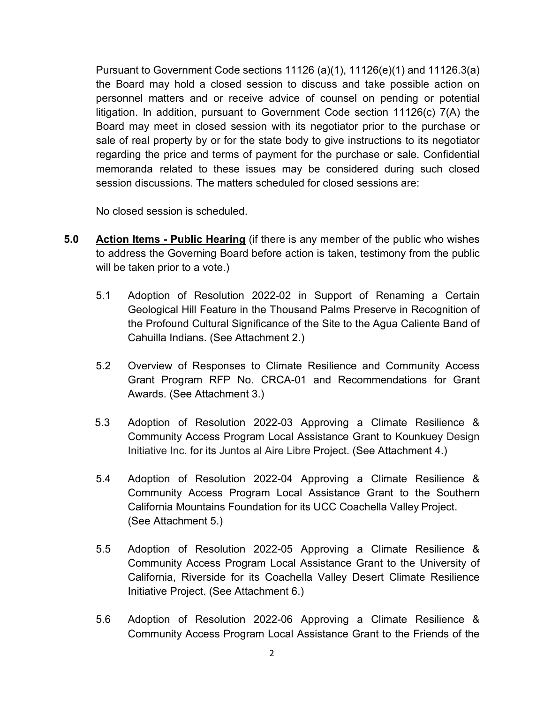Pursuant to Government Code sections 11126 (a)(1), 11126(e)(1) and 11126.3(a) the Board may hold a closed session to discuss and take possible action on personnel matters and or receive advice of counsel on pending or potential litigation. In addition, pursuant to Government Code section 11126(c) 7(A) the Board may meet in closed session with its negotiator prior to the purchase or sale of real property by or for the state body to give instructions to its negotiator regarding the price and terms of payment for the purchase or sale. Confidential memoranda related to these issues may be considered during such closed session discussions. The matters scheduled for closed sessions are:

No closed session is scheduled.

- **5.0 Action Items - Public Hearing** (if there is any member of the public who wishes to address the Governing Board before action is taken, testimony from the public will be taken prior to a vote.)
	- 5.1 Adoption of Resolution 2022-02 in Support of Renaming a Certain Geological Hill Feature in the Thousand Palms Preserve in Recognition of the Profound Cultural Significance of the Site to the Agua Caliente Band of Cahuilla Indians. (See Attachment 2.)
	- 5.2 Overview of Responses to Climate Resilience and Community Access Grant Program RFP No. CRCA-01 and Recommendations for Grant Awards. (See Attachment 3.)
	- 5.3 Adoption of Resolution 2022-03 Approving a Climate Resilience & Community Access Program Local Assistance Grant to Kounkuey Design Initiative Inc. for its Juntos al Aire Libre Project. (See Attachment 4.)
	- 5.4 Adoption of Resolution 2022-04 Approving a Climate Resilience & Community Access Program Local Assistance Grant to the Southern California Mountains Foundation for its UCC Coachella Valley Project. (See Attachment 5.)
	- 5.5 Adoption of Resolution 2022-05 Approving a Climate Resilience & Community Access Program Local Assistance Grant to the University of California, Riverside for its Coachella Valley Desert Climate Resilience Initiative Project. (See Attachment 6.)
	- 5.6 Adoption of Resolution 2022-06 Approving a Climate Resilience & Community Access Program Local Assistance Grant to the Friends of the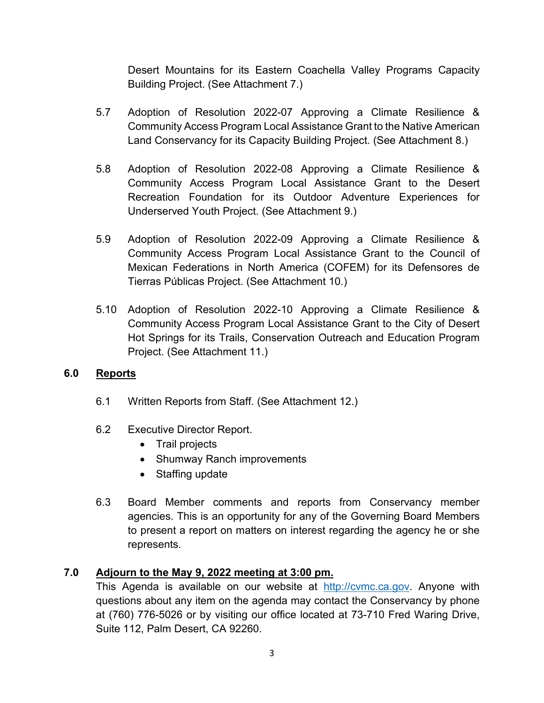Desert Mountains for its Eastern Coachella Valley Programs Capacity Building Project. (See Attachment 7.)

- 5.7 Adoption of Resolution 2022-07 Approving a Climate Resilience & Community Access Program Local Assistance Grant to the Native American Land Conservancy for its Capacity Building Project. (See Attachment 8.)
- 5.8 Adoption of Resolution 2022-08 Approving a Climate Resilience & Community Access Program Local Assistance Grant to the Desert Recreation Foundation for its Outdoor Adventure Experiences for Underserved Youth Project. (See Attachment 9.)
- 5.9 Adoption of Resolution 2022-09 Approving a Climate Resilience & Community Access Program Local Assistance Grant to the Council of Mexican Federations in North America (COFEM) for its Defensores de Tierras Públicas Project. (See Attachment 10.)
- 5.10 Adoption of Resolution 2022-10 Approving a Climate Resilience & Community Access Program Local Assistance Grant to the City of Desert Hot Springs for its Trails, Conservation Outreach and Education Program Project. (See Attachment 11.)

## **6.0 Reports**

- 6.1 Written Reports from Staff. (See Attachment 12.)
- 6.2 Executive Director Report.
	- Trail projects
	- Shumway Ranch improvements
	- Staffing update
- 6.3 Board Member comments and reports from Conservancy member agencies. This is an opportunity for any of the Governing Board Members to present a report on matters on interest regarding the agency he or she represents.

# **7.0 Adjourn to the May 9, 2022 meeting at 3:00 pm.**

This Agenda is available on our website at [http://cvmc.ca.gov.](http://cvmc.ca.gov/) Anyone with questions about any item on the agenda may contact the Conservancy by phone at (760) 776-5026 or by visiting our office located at 73-710 Fred Waring Drive, Suite 112, Palm Desert, CA 92260.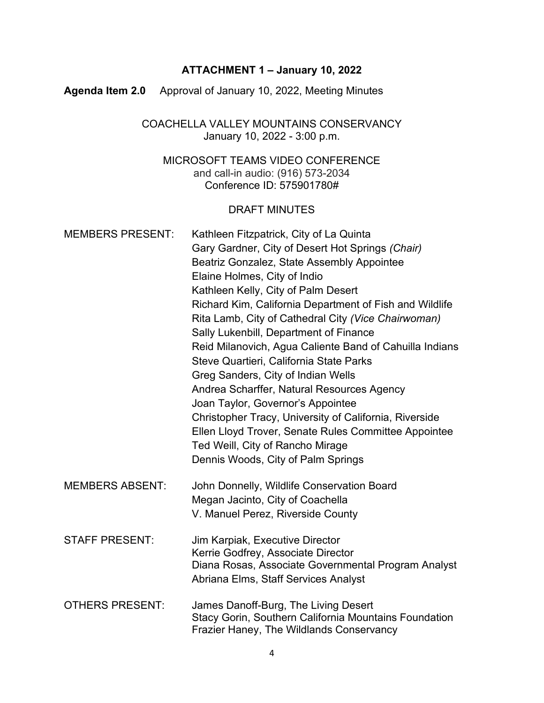## **ATTACHMENT 1 – January 10, 2022**

**Agenda Item 2.0** Approval of January 10, 2022, Meeting Minutes

COACHELLA VALLEY MOUNTAINS CONSERVANCY January 10, 2022 - 3:00 p.m.

MICROSOFT TEAMS VIDEO CONFERENCE and call-in audio: (916) 573-2034 Conference ID: 575901780#

#### DRAFT MINUTES

| <b>MEMBERS PRESENT:</b> | Kathleen Fitzpatrick, City of La Quinta<br>Gary Gardner, City of Desert Hot Springs (Chair)<br>Beatriz Gonzalez, State Assembly Appointee<br>Elaine Holmes, City of Indio<br>Kathleen Kelly, City of Palm Desert<br>Richard Kim, California Department of Fish and Wildlife<br>Rita Lamb, City of Cathedral City (Vice Chairwoman)<br>Sally Lukenbill, Department of Finance<br>Reid Milanovich, Agua Caliente Band of Cahuilla Indians<br>Steve Quartieri, California State Parks<br>Greg Sanders, City of Indian Wells<br>Andrea Scharffer, Natural Resources Agency<br>Joan Taylor, Governor's Appointee<br>Christopher Tracy, University of California, Riverside<br>Ellen Lloyd Trover, Senate Rules Committee Appointee<br>Ted Weill, City of Rancho Mirage<br>Dennis Woods, City of Palm Springs |
|-------------------------|---------------------------------------------------------------------------------------------------------------------------------------------------------------------------------------------------------------------------------------------------------------------------------------------------------------------------------------------------------------------------------------------------------------------------------------------------------------------------------------------------------------------------------------------------------------------------------------------------------------------------------------------------------------------------------------------------------------------------------------------------------------------------------------------------------|
| <b>MEMBERS ABSENT:</b>  | John Donnelly, Wildlife Conservation Board<br>Megan Jacinto, City of Coachella<br>V. Manuel Perez, Riverside County                                                                                                                                                                                                                                                                                                                                                                                                                                                                                                                                                                                                                                                                                     |
| <b>STAFF PRESENT:</b>   | Jim Karpiak, Executive Director<br>Kerrie Godfrey, Associate Director<br>Diana Rosas, Associate Governmental Program Analyst<br>Abriana Elms, Staff Services Analyst                                                                                                                                                                                                                                                                                                                                                                                                                                                                                                                                                                                                                                    |
| <b>OTHERS PRESENT:</b>  | James Danoff-Burg, The Living Desert<br><b>Stacy Gorin, Southern California Mountains Foundation</b><br><b>Frazier Haney, The Wildlands Conservancy</b>                                                                                                                                                                                                                                                                                                                                                                                                                                                                                                                                                                                                                                                 |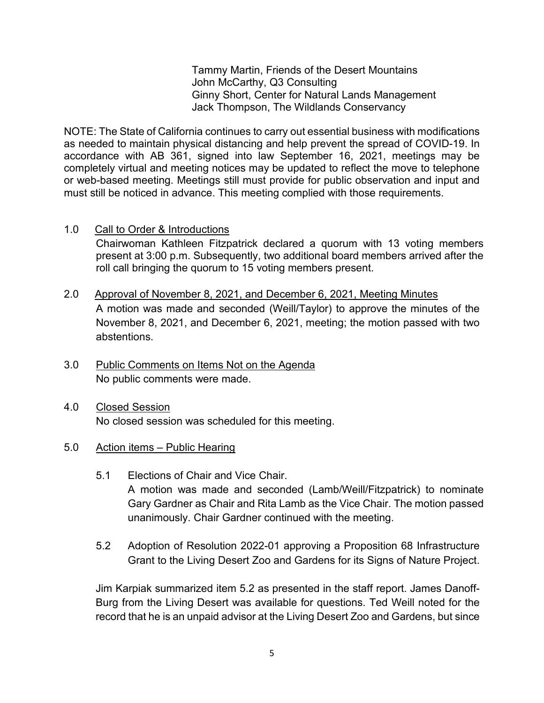Tammy Martin, Friends of the Desert Mountains John McCarthy, Q3 Consulting Ginny Short, Center for Natural Lands Management Jack Thompson, The Wildlands Conservancy

NOTE: The State of California continues to carry out essential business with modifications as needed to maintain physical distancing and help prevent the spread of COVID-19. In accordance with AB 361, signed into law September 16, 2021, meetings may be completely virtual and meeting notices may be updated to reflect the move to telephone or web-based meeting. Meetings still must provide for public observation and input and must still be noticed in advance. This meeting complied with those requirements.

1.0 Call to Order & Introductions

Chairwoman Kathleen Fitzpatrick declared a quorum with 13 voting members present at 3:00 p.m. Subsequently, two additional board members arrived after the roll call bringing the quorum to 15 voting members present.

- 2.0 Approval of November 8, 2021, and December 6, 2021, Meeting Minutes A motion was made and seconded (Weill/Taylor) to approve the minutes of the November 8, 2021, and December 6, 2021, meeting; the motion passed with two abstentions.
- 3.0 Public Comments on Items Not on the Agenda No public comments were made.
- 4.0 Closed Session No closed session was scheduled for this meeting.
- 5.0 Action items Public Hearing
	- 5.1 Elections of Chair and Vice Chair. A motion was made and seconded (Lamb/Weill/Fitzpatrick) to nominate Gary Gardner as Chair and Rita Lamb as the Vice Chair. The motion passed unanimously. Chair Gardner continued with the meeting.
	- 5.2 Adoption of Resolution 2022-01 approving a Proposition 68 Infrastructure Grant to the Living Desert Zoo and Gardens for its Signs of Nature Project.

Jim Karpiak summarized item 5.2 as presented in the staff report. James Danoff-Burg from the Living Desert was available for questions. Ted Weill noted for the record that he is an unpaid advisor at the Living Desert Zoo and Gardens, but since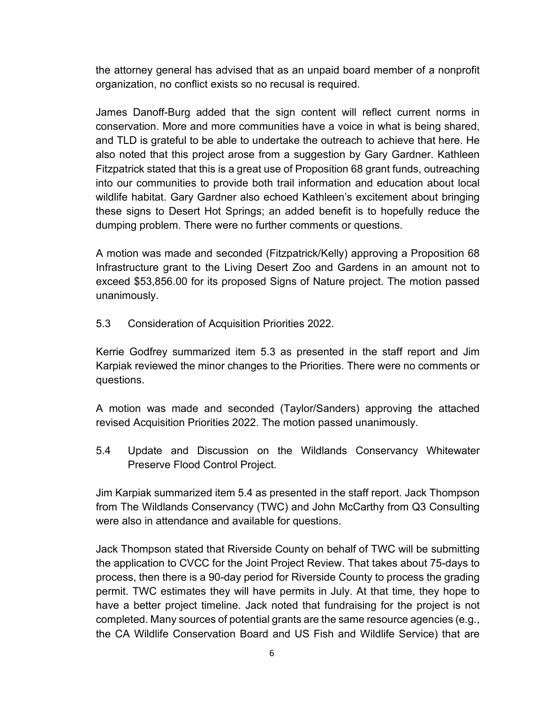the attorney general has advised that as an unpaid board member of a nonprofit organization, no conflict exists so no recusal is required.

James Danoff-Burg added that the sign content will reflect current norms in conservation. More and more communities have a voice in what is being shared, and TLD is grateful to be able to undertake the outreach to achieve that here. He also noted that this project arose from a suggestion by Gary Gardner. Kathleen Fitzpatrick stated that this is a great use of Proposition 68 grant funds, outreaching into our communities to provide both trail information and education about local wildlife habitat. Gary Gardner also echoed Kathleen's excitement about bringing these signs to Desert Hot Springs; an added benefit is to hopefully reduce the dumping problem. There were no further comments or questions.

A motion was made and seconded (Fitzpatrick/Kelly) approving a Proposition 68 Infrastructure grant to the Living Desert Zoo and Gardens in an amount not to exceed \$53,856.00 for its proposed Signs of Nature project. The motion passed unanimously.

5.3 Consideration of Acquisition Priorities 2022.

Kerrie Godfrey summarized item 5.3 as presented in the staff report and Jim Karpiak reviewed the minor changes to the Priorities. There were no comments or questions.

A motion was made and seconded (Taylor/Sanders) approving the attached revised Acquisition Priorities 2022. The motion passed unanimously.

5.4 Update and Discussion on the Wildlands Conservancy Whitewater Preserve Flood Control Project.

Jim Karpiak summarized item 5.4 as presented in the staff report. Jack Thompson from The Wildlands Conservancy (TWC) and John McCarthy from Q3 Consulting were also in attendance and available for questions.

Jack Thompson stated that Riverside County on behalf of TWC will be submitting the application to CVCC for the Joint Project Review. That takes about 75-days to process, then there is a 90-day period for Riverside County to process the grading permit. TWC estimates they will have permits in July. At that time, they hope to have a better project timeline. Jack noted that fundraising for the project is not completed. Many sources of potential grants are the same resource agencies (e.g., the CA Wildlife Conservation Board and US Fish and Wildlife Service) that are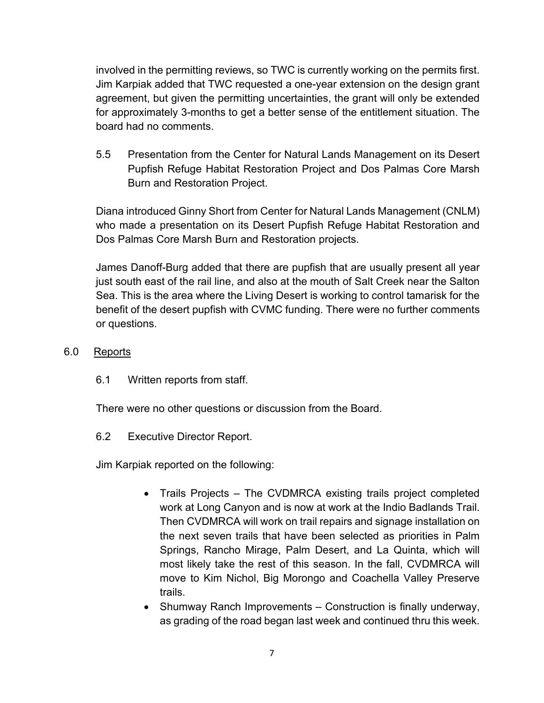involved in the permitting reviews, so TWC is currently working on the permits first. Jim Karpiak added that TWC requested a one-year extension on the design grant agreement, but given the permitting uncertainties, the grant will only be extended for approximately 3-months to get a better sense of the entitlement situation. The board had no comments.

5.5 Presentation from the Center for Natural Lands Management on its Desert Pupfish Refuge Habitat Restoration Project and Dos Palmas Core Marsh Burn and Restoration Project.

Diana introduced Ginny Short from Center for Natural Lands Management (CNLM) who made a presentation on its Desert Pupfish Refuge Habitat Restoration and Dos Palmas Core Marsh Burn and Restoration projects.

James Danoff-Burg added that there are pupfish that are usually present all year just south east of the rail line, and also at the mouth of Salt Creek near the Salton Sea. This is the area where the Living Desert is working to control tamarisk for the benefit of the desert pupfish with CVMC funding. There were no further comments or questions.

- 6.0 Reports
	- 6.1 Written reports from staff.

There were no other questions or discussion from the Board.

6.2 Executive Director Report.

Jim Karpiak reported on the following:

- Trails Projects The CVDMRCA existing trails project completed work at Long Canyon and is now at work at the Indio Badlands Trail. Then CVDMRCA will work on trail repairs and signage installation on the next seven trails that have been selected as priorities in Palm Springs, Rancho Mirage, Palm Desert, and La Quinta, which will most likely take the rest of this season. In the fall, CVDMRCA will move to Kim Nichol, Big Morongo and Coachella Valley Preserve trails.
- Shumway Ranch Improvements Construction is finally underway, as grading of the road began last week and continued thru this week.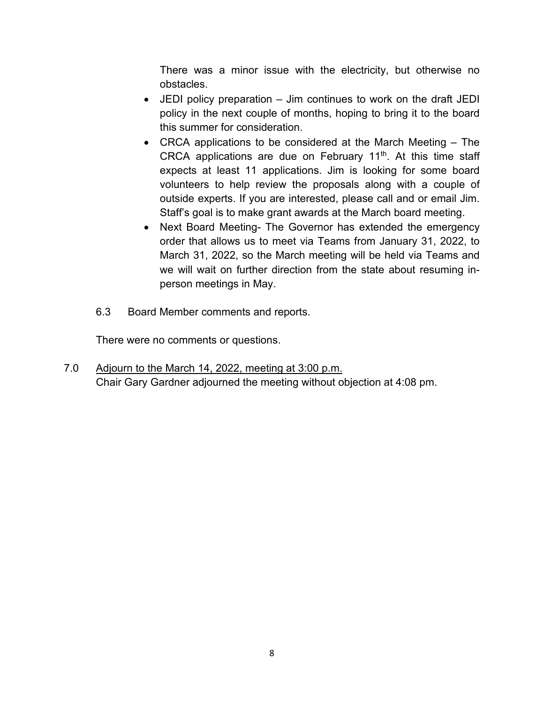There was a minor issue with the electricity, but otherwise no obstacles.

- JEDI policy preparation Jim continues to work on the draft JEDI policy in the next couple of months, hoping to bring it to the board this summer for consideration.
- CRCA applications to be considered at the March Meeting The CRCA applications are due on February 11<sup>th</sup>. At this time staff expects at least 11 applications. Jim is looking for some board volunteers to help review the proposals along with a couple of outside experts. If you are interested, please call and or email Jim. Staff's goal is to make grant awards at the March board meeting.
- Next Board Meeting- The Governor has extended the emergency order that allows us to meet via Teams from January 31, 2022, to March 31, 2022, so the March meeting will be held via Teams and we will wait on further direction from the state about resuming inperson meetings in May.
- 6.3 Board Member comments and reports.

There were no comments or questions.

7.0 Adjourn to the March 14, 2022, meeting at 3:00 p.m. Chair Gary Gardner adjourned the meeting without objection at 4:08 pm.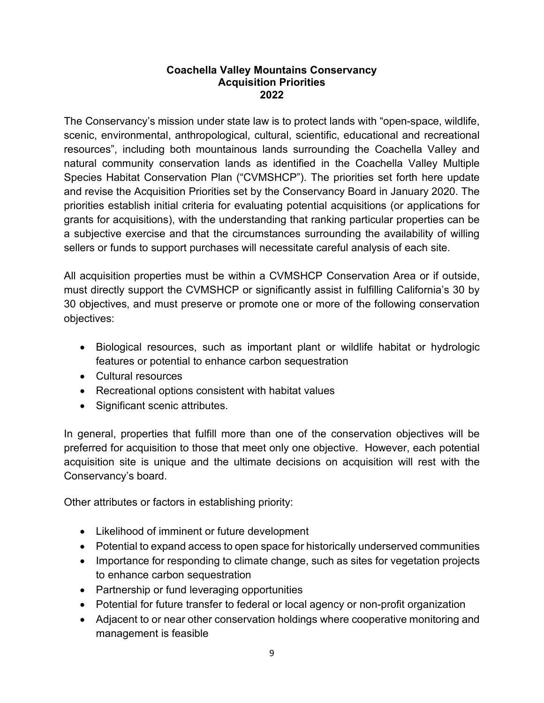#### **Coachella Valley Mountains Conservancy Acquisition Priorities 2022**

The Conservancy's mission under state law is to protect lands with "open-space, wildlife, scenic, environmental, anthropological, cultural, scientific, educational and recreational resources", including both mountainous lands surrounding the Coachella Valley and natural community conservation lands as identified in the Coachella Valley Multiple Species Habitat Conservation Plan ("CVMSHCP"). The priorities set forth here update and revise the Acquisition Priorities set by the Conservancy Board in January 2020. The priorities establish initial criteria for evaluating potential acquisitions (or applications for grants for acquisitions), with the understanding that ranking particular properties can be a subjective exercise and that the circumstances surrounding the availability of willing sellers or funds to support purchases will necessitate careful analysis of each site.

All acquisition properties must be within a CVMSHCP Conservation Area or if outside, must directly support the CVMSHCP or significantly assist in fulfilling California's 30 by 30 objectives, and must preserve or promote one or more of the following conservation objectives:

- Biological resources, such as important plant or wildlife habitat or hydrologic features or potential to enhance carbon sequestration
- Cultural resources
- Recreational options consistent with habitat values
- Significant scenic attributes.

In general, properties that fulfill more than one of the conservation objectives will be preferred for acquisition to those that meet only one objective. However, each potential acquisition site is unique and the ultimate decisions on acquisition will rest with the Conservancy's board.

Other attributes or factors in establishing priority:

- Likelihood of imminent or future development
- Potential to expand access to open space for historically underserved communities
- Importance for responding to climate change, such as sites for vegetation projects to enhance carbon sequestration
- Partnership or fund leveraging opportunities
- Potential for future transfer to federal or local agency or non-profit organization
- Adjacent to or near other conservation holdings where cooperative monitoring and management is feasible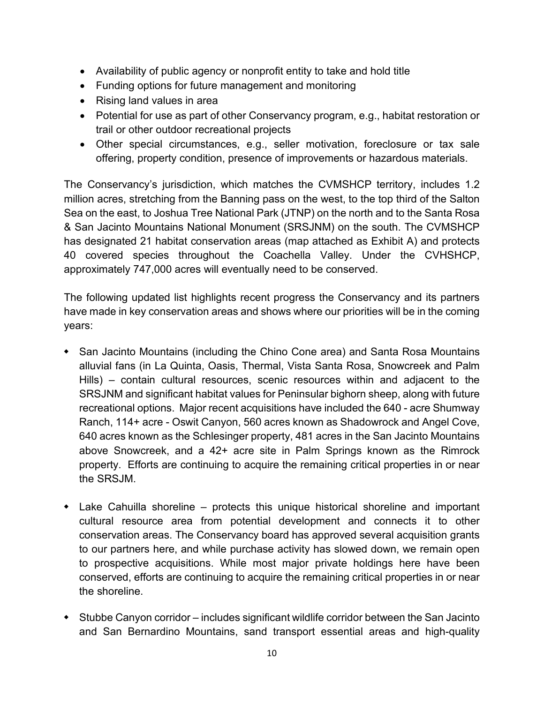- Availability of public agency or nonprofit entity to take and hold title
- Funding options for future management and monitoring
- Rising land values in area
- Potential for use as part of other Conservancy program, e.g., habitat restoration or trail or other outdoor recreational projects
- Other special circumstances, e.g., seller motivation, foreclosure or tax sale offering, property condition, presence of improvements or hazardous materials.

The Conservancy's jurisdiction, which matches the CVMSHCP territory, includes 1.2 million acres, stretching from the Banning pass on the west, to the top third of the Salton Sea on the east, to Joshua Tree National Park (JTNP) on the north and to the Santa Rosa & San Jacinto Mountains National Monument (SRSJNM) on the south. The CVMSHCP has designated 21 habitat conservation areas (map attached as Exhibit A) and protects 40 covered species throughout the Coachella Valley. Under the CVHSHCP, approximately 747,000 acres will eventually need to be conserved.

The following updated list highlights recent progress the Conservancy and its partners have made in key conservation areas and shows where our priorities will be in the coming years:

- San Jacinto Mountains (including the Chino Cone area) and Santa Rosa Mountains alluvial fans (in La Quinta, Oasis, Thermal, Vista Santa Rosa, Snowcreek and Palm Hills) – contain cultural resources, scenic resources within and adjacent to the SRSJNM and significant habitat values for Peninsular bighorn sheep, along with future recreational options. Major recent acquisitions have included the 640 - acre Shumway Ranch, 114+ acre - Oswit Canyon, 560 acres known as Shadowrock and Angel Cove, 640 acres known as the Schlesinger property, 481 acres in the San Jacinto Mountains above Snowcreek, and a 42+ acre site in Palm Springs known as the Rimrock property. Efforts are continuing to acquire the remaining critical properties in or near the SRSJM.
- Lake Cahuilla shoreline protects this unique historical shoreline and important cultural resource area from potential development and connects it to other conservation areas. The Conservancy board has approved several acquisition grants to our partners here, and while purchase activity has slowed down, we remain open to prospective acquisitions. While most major private holdings here have been conserved, efforts are continuing to acquire the remaining critical properties in or near the shoreline.
- Stubbe Canyon corridor includes significant wildlife corridor between the San Jacinto and San Bernardino Mountains, sand transport essential areas and high-quality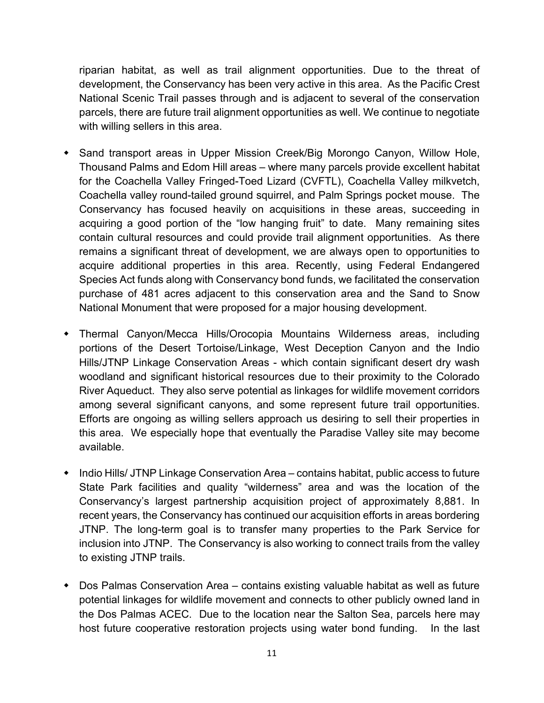riparian habitat, as well as trail alignment opportunities. Due to the threat of development, the Conservancy has been very active in this area. As the Pacific Crest National Scenic Trail passes through and is adjacent to several of the conservation parcels, there are future trail alignment opportunities as well. We continue to negotiate with willing sellers in this area.

- Sand transport areas in Upper Mission Creek/Big Morongo Canyon, Willow Hole, Thousand Palms and Edom Hill areas – where many parcels provide excellent habitat for the Coachella Valley Fringed-Toed Lizard (CVFTL), Coachella Valley milkvetch, Coachella valley round-tailed ground squirrel, and Palm Springs pocket mouse. The Conservancy has focused heavily on acquisitions in these areas, succeeding in acquiring a good portion of the "low hanging fruit" to date. Many remaining sites contain cultural resources and could provide trail alignment opportunities. As there remains a significant threat of development, we are always open to opportunities to acquire additional properties in this area. Recently, using Federal Endangered Species Act funds along with Conservancy bond funds, we facilitated the conservation purchase of 481 acres adjacent to this conservation area and the Sand to Snow National Monument that were proposed for a major housing development.
- Thermal Canyon/Mecca Hills/Orocopia Mountains Wilderness areas, including portions of the Desert Tortoise/Linkage, West Deception Canyon and the Indio Hills/JTNP Linkage Conservation Areas - which contain significant desert dry wash woodland and significant historical resources due to their proximity to the Colorado River Aqueduct. They also serve potential as linkages for wildlife movement corridors among several significant canyons, and some represent future trail opportunities. Efforts are ongoing as willing sellers approach us desiring to sell their properties in this area. We especially hope that eventually the Paradise Valley site may become available.
- Indio Hills/ JTNP Linkage Conservation Area contains habitat, public access to future State Park facilities and quality "wilderness" area and was the location of the Conservancy's largest partnership acquisition project of approximately 8,881. In recent years, the Conservancy has continued our acquisition efforts in areas bordering JTNP. The long-term goal is to transfer many properties to the Park Service for inclusion into JTNP. The Conservancy is also working to connect trails from the valley to existing JTNP trails.
- Dos Palmas Conservation Area contains existing valuable habitat as well as future potential linkages for wildlife movement and connects to other publicly owned land in the Dos Palmas ACEC. Due to the location near the Salton Sea, parcels here may host future cooperative restoration projects using water bond funding. In the last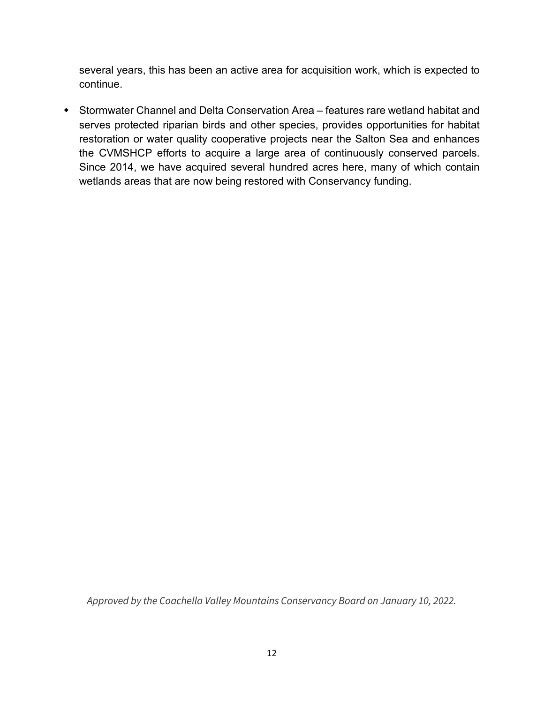several years, this has been an active area for acquisition work, which is expected to continue.

 Stormwater Channel and Delta Conservation Area – features rare wetland habitat and serves protected riparian birds and other species, provides opportunities for habitat restoration or water quality cooperative projects near the Salton Sea and enhances the CVMSHCP efforts to acquire a large area of continuously conserved parcels. Since 2014, we have acquired several hundred acres here, many of which contain wetlands areas that are now being restored with Conservancy funding.

*Approved by the Coachella Valley Mountains Conservancy Board on January 10, 2022.*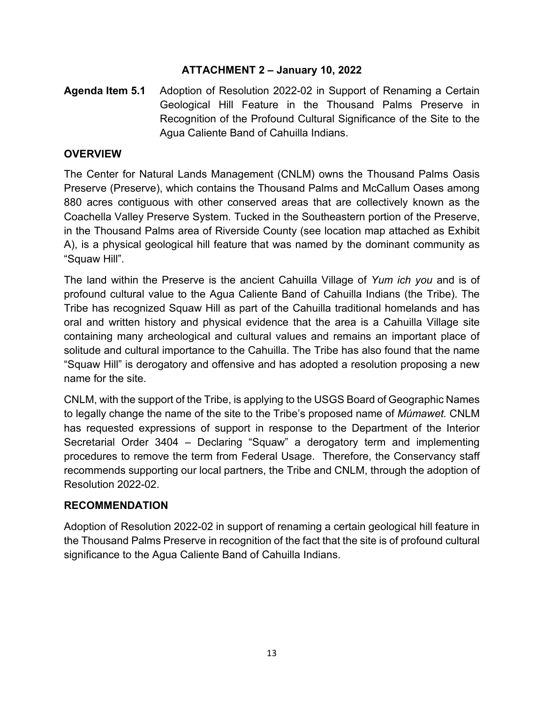## **ATTACHMENT 2 – January 10, 2022**

**Agenda Item 5.1** Adoption of Resolution 2022-02 in Support of Renaming a Certain Geological Hill Feature in the Thousand Palms Preserve in Recognition of the Profound Cultural Significance of the Site to the Agua Caliente Band of Cahuilla Indians.

#### **OVERVIEW**

The Center for Natural Lands Management (CNLM) owns the Thousand Palms Oasis Preserve (Preserve), which contains the Thousand Palms and McCallum Oases among 880 acres contiguous with other conserved areas that are collectively known as the Coachella Valley Preserve System. Tucked in the Southeastern portion of the Preserve, in the Thousand Palms area of Riverside County (see location map attached as Exhibit A), is a physical geological hill feature that was named by the dominant community as "Squaw Hill".

The land within the Preserve is the ancient Cahuilla Village of *Yum ich you* and is of profound cultural value to the Agua Caliente Band of Cahuilla Indians (the Tribe). The Tribe has recognized Squaw Hill as part of the Cahuilla traditional homelands and has oral and written history and physical evidence that the area is a Cahuilla Village site containing many archeological and cultural values and remains an important place of solitude and cultural importance to the Cahuilla. The Tribe has also found that the name "Squaw Hill" is derogatory and offensive and has adopted a resolution proposing a new name for the site.

CNLM, with the support of the Tribe, is applying to the USGS Board of Geographic Names to legally change the name of the site to the Tribe's proposed name of *Múmawet.* CNLM has requested expressions of support in response to the Department of the Interior Secretarial Order 3404 – Declaring "Squaw" a derogatory term and implementing procedures to remove the term from Federal Usage. Therefore, the Conservancy staff recommends supporting our local partners, the Tribe and CNLM, through the adoption of Resolution 2022-02.

#### **RECOMMENDATION**

Adoption of Resolution 2022-02 in support of renaming a certain geological hill feature in the Thousand Palms Preserve in recognition of the fact that the site is of profound cultural significance to the Agua Caliente Band of Cahuilla Indians.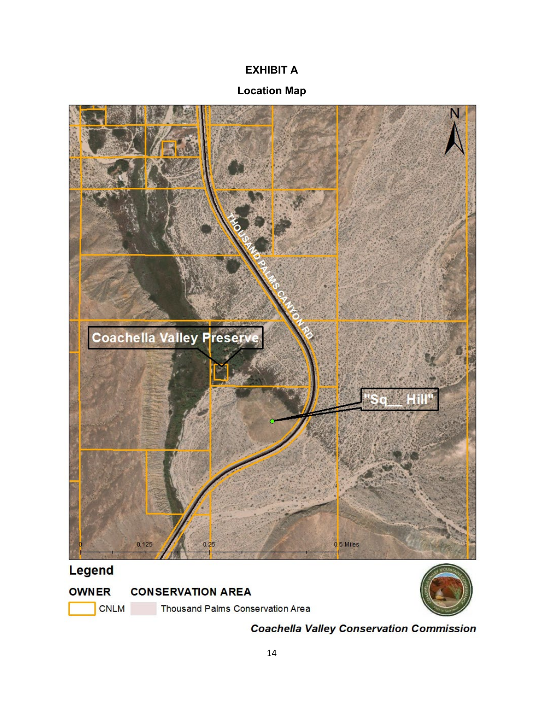# **EXHIBIT A**

## **Location Map**



**CNLM** 

Thousand Palms Conservation Area

**Coachella Valley Conservation Commission**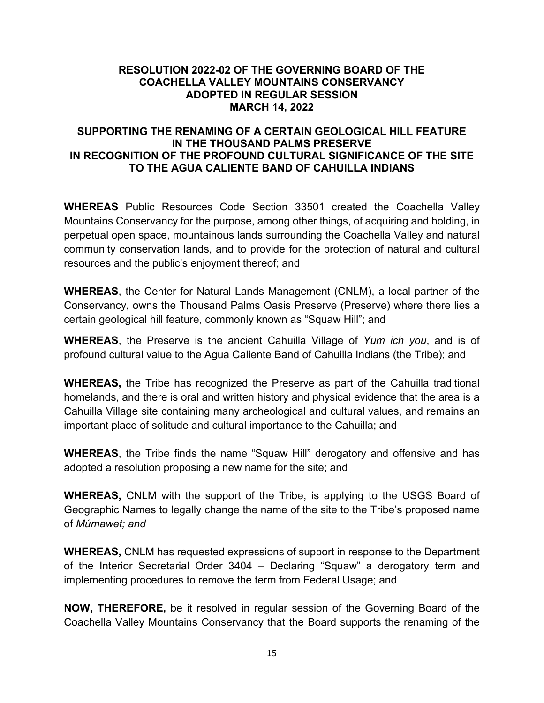#### **RESOLUTION 2022-02 OF THE GOVERNING BOARD OF THE COACHELLA VALLEY MOUNTAINS CONSERVANCY ADOPTED IN REGULAR SESSION MARCH 14, 2022**

#### **SUPPORTING THE RENAMING OF A CERTAIN GEOLOGICAL HILL FEATURE IN THE THOUSAND PALMS PRESERVE IN RECOGNITION OF THE PROFOUND CULTURAL SIGNIFICANCE OF THE SITE TO THE AGUA CALIENTE BAND OF CAHUILLA INDIANS**

**WHEREAS** Public Resources Code Section 33501 created the Coachella Valley Mountains Conservancy for the purpose, among other things, of acquiring and holding, in perpetual open space, mountainous lands surrounding the Coachella Valley and natural community conservation lands, and to provide for the protection of natural and cultural resources and the public's enjoyment thereof; and

**WHEREAS**, the Center for Natural Lands Management (CNLM), a local partner of the Conservancy, owns the Thousand Palms Oasis Preserve (Preserve) where there lies a certain geological hill feature, commonly known as "Squaw Hill"; and

**WHEREAS**, the Preserve is the ancient Cahuilla Village of *Yum ich you*, and is of profound cultural value to the Agua Caliente Band of Cahuilla Indians (the Tribe); and

**WHEREAS,** the Tribe has recognized the Preserve as part of the Cahuilla traditional homelands, and there is oral and written history and physical evidence that the area is a Cahuilla Village site containing many archeological and cultural values, and remains an important place of solitude and cultural importance to the Cahuilla; and

**WHEREAS**, the Tribe finds the name "Squaw Hill" derogatory and offensive and has adopted a resolution proposing a new name for the site; and

**WHEREAS,** CNLM with the support of the Tribe, is applying to the USGS Board of Geographic Names to legally change the name of the site to the Tribe's proposed name of *Múmawet; and*

**WHEREAS,** CNLM has requested expressions of support in response to the Department of the Interior Secretarial Order 3404 – Declaring "Squaw" a derogatory term and implementing procedures to remove the term from Federal Usage; and

**NOW, THEREFORE,** be it resolved in regular session of the Governing Board of the Coachella Valley Mountains Conservancy that the Board supports the renaming of the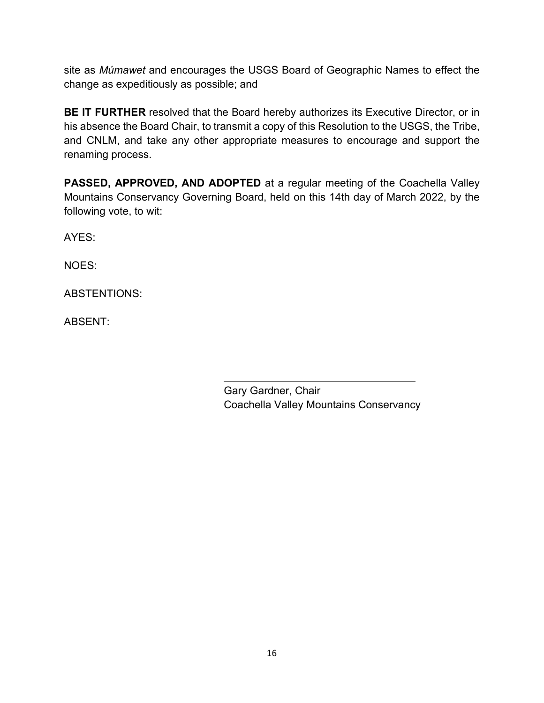site as *Múmawet* and encourages the USGS Board of Geographic Names to effect the change as expeditiously as possible; and

**BE IT FURTHER** resolved that the Board hereby authorizes its Executive Director, or in his absence the Board Chair, to transmit a copy of this Resolution to the USGS, the Tribe, and CNLM, and take any other appropriate measures to encourage and support the renaming process.

**PASSED, APPROVED, AND ADOPTED** at a regular meeting of the Coachella Valley Mountains Conservancy Governing Board, held on this 14th day of March 2022, by the following vote, to wit:

AYES:

NOES:

ABSTENTIONS:

ABSENT:

Gary Gardner, Chair Coachella Valley Mountains Conservancy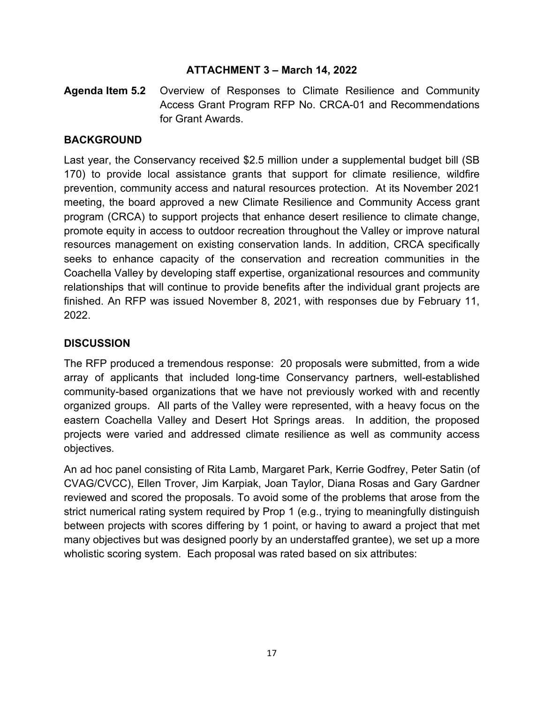#### **ATTACHMENT 3 – March 14, 2022**

**Agenda Item 5.2** Overview of Responses to Climate Resilience and Community Access Grant Program RFP No. CRCA-01 and Recommendations for Grant Awards.

#### **BACKGROUND**

Last year, the Conservancy received \$2.5 million under a supplemental budget bill (SB 170) to provide local assistance grants that support for climate resilience, wildfire prevention, community access and natural resources protection. At its November 2021 meeting, the board approved a new Climate Resilience and Community Access grant program (CRCA) to support projects that enhance desert resilience to climate change, promote equity in access to outdoor recreation throughout the Valley or improve natural resources management on existing conservation lands. In addition, CRCA specifically seeks to enhance capacity of the conservation and recreation communities in the Coachella Valley by developing staff expertise, organizational resources and community relationships that will continue to provide benefits after the individual grant projects are finished. An RFP was issued November 8, 2021, with responses due by February 11, 2022.

## **DISCUSSION**

The RFP produced a tremendous response: 20 proposals were submitted, from a wide array of applicants that included long-time Conservancy partners, well-established community-based organizations that we have not previously worked with and recently organized groups. All parts of the Valley were represented, with a heavy focus on the eastern Coachella Valley and Desert Hot Springs areas. In addition, the proposed projects were varied and addressed climate resilience as well as community access objectives.

An ad hoc panel consisting of Rita Lamb, Margaret Park, Kerrie Godfrey, Peter Satin (of CVAG/CVCC), Ellen Trover, Jim Karpiak, Joan Taylor, Diana Rosas and Gary Gardner reviewed and scored the proposals. To avoid some of the problems that arose from the strict numerical rating system required by Prop 1 (e.g., trying to meaningfully distinguish between projects with scores differing by 1 point, or having to award a project that met many objectives but was designed poorly by an understaffed grantee), we set up a more wholistic scoring system. Each proposal was rated based on six attributes: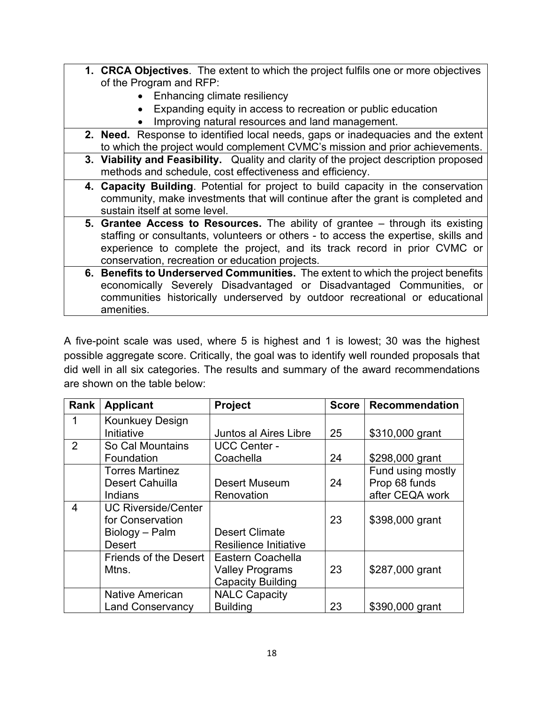- **1. CRCA Objectives**. The extent to which the project fulfils one or more objectives of the Program and RFP:
	- Enhancing climate resiliency
	- Expanding equity in access to recreation or public education
	- Improving natural resources and land management.
- **2. Need.** Response to identified local needs, gaps or inadequacies and the extent to which the project would complement CVMC's mission and prior achievements.
- **3. Viability and Feasibility.** Quality and clarity of the project description proposed methods and schedule, cost effectiveness and efficiency.
- **4. Capacity Building**. Potential for project to build capacity in the conservation community, make investments that will continue after the grant is completed and sustain itself at some level.
- **5. Grantee Access to Resources.** The ability of grantee through its existing staffing or consultants, volunteers or others - to access the expertise, skills and experience to complete the project, and its track record in prior CVMC or conservation, recreation or education projects.
- **6. Benefits to Underserved Communities.** The extent to which the project benefits economically Severely Disadvantaged or Disadvantaged Communities, or communities historically underserved by outdoor recreational or educational amenities.

A five-point scale was used, where 5 is highest and 1 is lowest; 30 was the highest possible aggregate score. Critically, the goal was to identify well rounded proposals that did well in all six categories. The results and summary of the award recommendations are shown on the table below:

| Rank           | <b>Applicant</b>                     | <b>Project</b>               | <b>Score</b> | <b>Recommendation</b> |
|----------------|--------------------------------------|------------------------------|--------------|-----------------------|
| 1              | <b>Kounkuey Design</b><br>Initiative | <b>Juntos al Aires Libre</b> | 25           | \$310,000 grant       |
| $\overline{2}$ | So Cal Mountains                     | <b>UCC Center -</b>          |              |                       |
|                | Foundation                           | Coachella                    | 24           | \$298,000 grant       |
|                | <b>Torres Martinez</b>               |                              |              | Fund using mostly     |
|                | <b>Desert Cahuilla</b>               | <b>Desert Museum</b>         | 24           | Prop 68 funds         |
|                | Indians                              | Renovation                   |              | after CEQA work       |
| 4              | <b>UC Riverside/Center</b>           |                              |              |                       |
|                | for Conservation                     |                              | 23           | \$398,000 grant       |
|                | Biology - Palm                       | <b>Desert Climate</b>        |              |                       |
|                | <b>Desert</b>                        | <b>Resilience Initiative</b> |              |                       |
|                | <b>Friends of the Desert</b>         | Eastern Coachella            |              |                       |
|                | Mtns.                                | <b>Valley Programs</b>       | 23           | \$287,000 grant       |
|                |                                      | <b>Capacity Building</b>     |              |                       |
|                | <b>Native American</b>               | <b>NALC Capacity</b>         |              |                       |
|                | <b>Land Conservancy</b>              | <b>Building</b>              | 23           | \$390,000 grant       |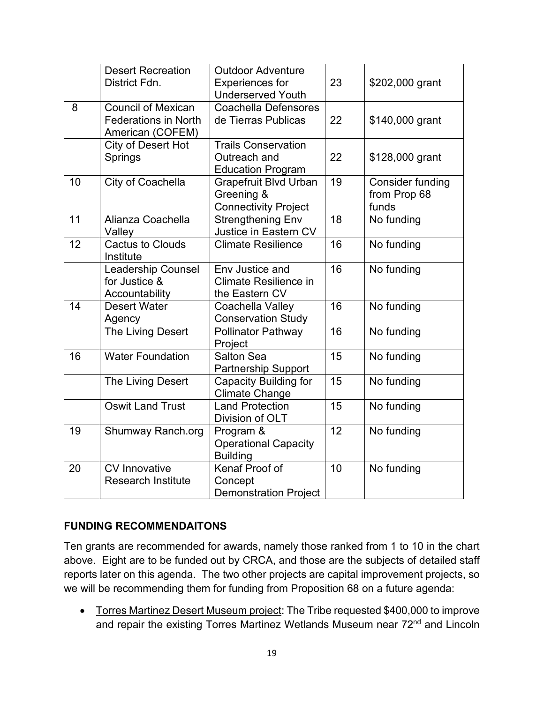|    | <b>Desert Recreation</b><br>District Fdn.                                    | <b>Outdoor Adventure</b><br><b>Experiences for</b><br><b>Underserved Youth</b> | 23 | \$202,000 grant                                  |
|----|------------------------------------------------------------------------------|--------------------------------------------------------------------------------|----|--------------------------------------------------|
| 8  | <b>Council of Mexican</b><br><b>Federations in North</b><br>American (COFEM) | Coachella Defensores<br>de Tierras Publicas                                    | 22 | \$140,000 grant                                  |
|    | City of Desert Hot<br>Springs                                                | <b>Trails Conservation</b><br>Outreach and<br><b>Education Program</b>         | 22 | \$128,000 grant                                  |
| 10 | City of Coachella                                                            | <b>Grapefruit Blvd Urban</b><br>Greening &<br><b>Connectivity Project</b>      | 19 | <b>Consider funding</b><br>from Prop 68<br>funds |
| 11 | Alianza Coachella<br>Valley                                                  | <b>Strengthening Env</b><br>Justice in Eastern CV                              | 18 | No funding                                       |
| 12 | <b>Cactus to Clouds</b><br>Institute                                         | <b>Climate Resilience</b>                                                      | 16 | No funding                                       |
|    | <b>Leadership Counsel</b><br>for Justice &<br>Accountability                 | Env Justice and<br><b>Climate Resilience in</b><br>the Eastern CV              | 16 | No funding                                       |
| 14 | Desert Water<br>Agency                                                       | Coachella Valley<br><b>Conservation Study</b>                                  | 16 | No funding                                       |
|    | The Living Desert                                                            | <b>Pollinator Pathway</b><br>Project                                           | 16 | No funding                                       |
| 16 | <b>Water Foundation</b>                                                      | Salton Sea<br><b>Partnership Support</b>                                       | 15 | No funding                                       |
|    | The Living Desert                                                            | <b>Capacity Building for</b><br><b>Climate Change</b>                          | 15 | No funding                                       |
|    | <b>Oswit Land Trust</b>                                                      | <b>Land Protection</b><br>Division of OLT                                      | 15 | No funding                                       |
| 19 | Shumway Ranch.org                                                            | Program &<br><b>Operational Capacity</b><br><b>Building</b>                    | 12 | No funding                                       |
| 20 | CV Innovative<br><b>Research Institute</b>                                   | Kenaf Proof of<br>Concept<br><b>Demonstration Project</b>                      | 10 | No funding                                       |

## **FUNDING RECOMMENDAITONS**

Ten grants are recommended for awards, namely those ranked from 1 to 10 in the chart above. Eight are to be funded out by CRCA, and those are the subjects of detailed staff reports later on this agenda. The two other projects are capital improvement projects, so we will be recommending them for funding from Proposition 68 on a future agenda:

• Torres Martinez Desert Museum project: The Tribe requested \$400,000 to improve and repair the existing Torres Martinez Wetlands Museum near 72<sup>nd</sup> and Lincoln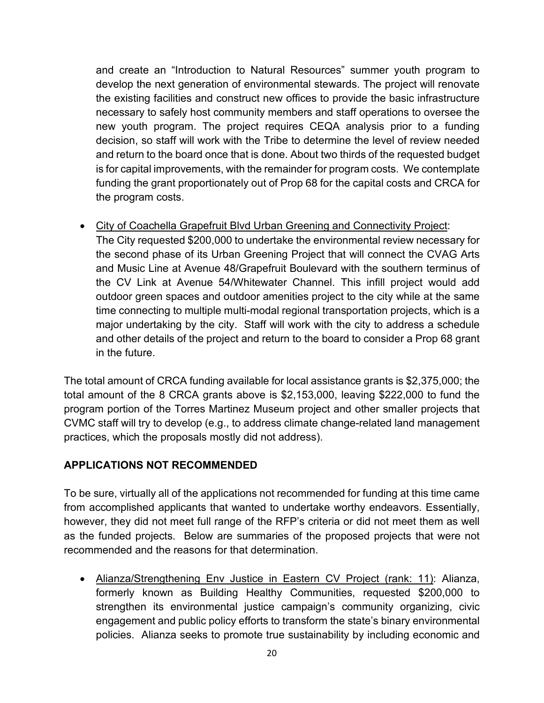and create an "Introduction to Natural Resources" summer youth program to develop the next generation of environmental stewards. The project will renovate the existing facilities and construct new offices to provide the basic infrastructure necessary to safely host community members and staff operations to oversee the new youth program. The project requires CEQA analysis prior to a funding decision, so staff will work with the Tribe to determine the level of review needed and return to the board once that is done. About two thirds of the requested budget is for capital improvements, with the remainder for program costs. We contemplate funding the grant proportionately out of Prop 68 for the capital costs and CRCA for the program costs.

• City of Coachella Grapefruit Blvd Urban Greening and Connectivity Project:

The City requested \$200,000 to undertake the environmental review necessary for the second phase of its Urban Greening Project that will connect the CVAG Arts and Music Line at Avenue 48/Grapefruit Boulevard with the southern terminus of the CV Link at Avenue 54/Whitewater Channel. This infill project would add outdoor green spaces and outdoor amenities project to the city while at the same time connecting to multiple multi-modal regional transportation projects, which is a major undertaking by the city. Staff will work with the city to address a schedule and other details of the project and return to the board to consider a Prop 68 grant in the future.

The total amount of CRCA funding available for local assistance grants is \$2,375,000; the total amount of the 8 CRCA grants above is \$2,153,000, leaving \$222,000 to fund the program portion of the Torres Martinez Museum project and other smaller projects that CVMC staff will try to develop (e.g., to address climate change-related land management practices, which the proposals mostly did not address).

# **APPLICATIONS NOT RECOMMENDED**

To be sure, virtually all of the applications not recommended for funding at this time came from accomplished applicants that wanted to undertake worthy endeavors. Essentially, however, they did not meet full range of the RFP's criteria or did not meet them as well as the funded projects. Below are summaries of the proposed projects that were not recommended and the reasons for that determination.

• Alianza/Strengthening Env Justice in Eastern CV Project (rank: 11): Alianza, formerly known as Building Healthy Communities, requested \$200,000 to strengthen its environmental justice campaign's community organizing, civic engagement and public policy efforts to transform the state's binary environmental policies. Alianza seeks to promote true sustainability by including economic and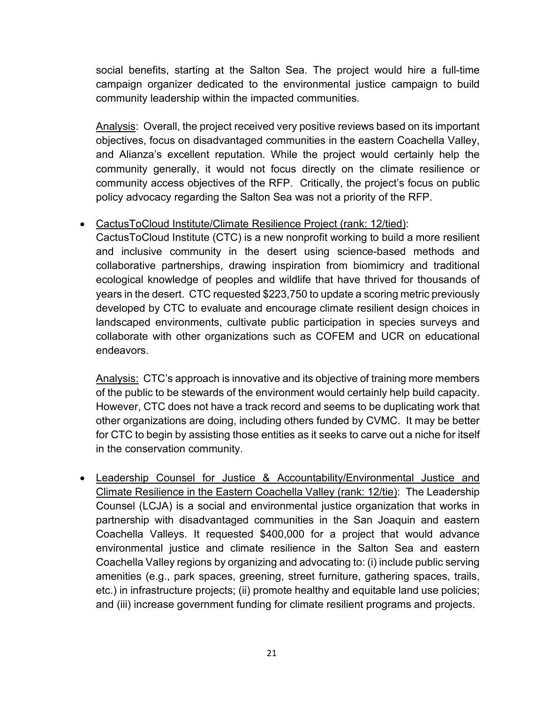social benefits, starting at the Salton Sea. The project would hire a full-time campaign organizer dedicated to the environmental justice campaign to build community leadership within the impacted communities.

Analysis: Overall, the project received very positive reviews based on its important objectives, focus on disadvantaged communities in the eastern Coachella Valley, and Alianza's excellent reputation. While the project would certainly help the community generally, it would not focus directly on the climate resilience or community access objectives of the RFP. Critically, the project's focus on public policy advocacy regarding the Salton Sea was not a priority of the RFP.

## • CactusToCloud Institute/Climate Resilience Project (rank: 12/tied):

CactusToCloud Institute (CTC) is a new nonprofit working to build a more resilient and inclusive community in the desert using science-based methods and collaborative partnerships, drawing inspiration from biomimicry and traditional ecological knowledge of peoples and wildlife that have thrived for thousands of years in the desert. CTC requested \$223,750 to update a scoring metric previously developed by CTC to evaluate and encourage climate resilient design choices in landscaped environments, cultivate public participation in species surveys and collaborate with other organizations such as COFEM and UCR on educational endeavors.

Analysis: CTC's approach is innovative and its objective of training more members of the public to be stewards of the environment would certainly help build capacity. However, CTC does not have a track record and seems to be duplicating work that other organizations are doing, including others funded by CVMC. It may be better for CTC to begin by assisting those entities as it seeks to carve out a niche for itself in the conservation community.

• Leadership Counsel for Justice & Accountability/Environmental Justice and Climate Resilience in the Eastern Coachella Valley (rank: 12/tie): The Leadership Counsel (LCJA) is a social and environmental justice organization that works in partnership with disadvantaged communities in the San Joaquin and eastern Coachella Valleys. It requested \$400,000 for a project that would advance environmental justice and climate resilience in the Salton Sea and eastern Coachella Valley regions by organizing and advocating to: (i) include public serving amenities (e.g., park spaces, greening, street furniture, gathering spaces, trails, etc.) in infrastructure projects; (ii) promote healthy and equitable land use policies; and (iii) increase government funding for climate resilient programs and projects.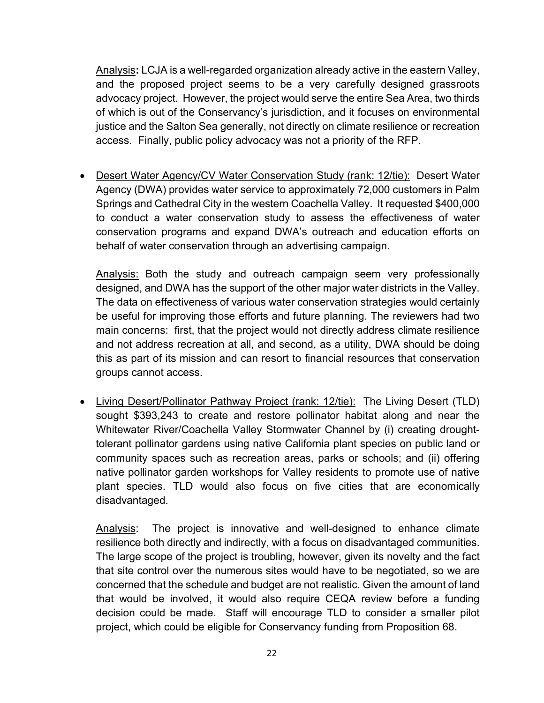Analysis**:** LCJA is a well-regarded organization already active in the eastern Valley, and the proposed project seems to be a very carefully designed grassroots advocacy project. However, the project would serve the entire Sea Area, two thirds of which is out of the Conservancy's jurisdiction, and it focuses on environmental justice and the Salton Sea generally, not directly on climate resilience or recreation access. Finally, public policy advocacy was not a priority of the RFP.

• Desert Water Agency/CV Water Conservation Study (rank: 12/tie): Desert Water Agency (DWA) provides water service to approximately 72,000 customers in Palm Springs and Cathedral City in the western Coachella Valley. It requested \$400,000 to conduct a water conservation study to assess the effectiveness of water conservation programs and expand DWA's outreach and education efforts on behalf of water conservation through an advertising campaign.

Analysis: Both the study and outreach campaign seem very professionally designed, and DWA has the support of the other major water districts in the Valley. The data on effectiveness of various water conservation strategies would certainly be useful for improving those efforts and future planning. The reviewers had two main concerns: first, that the project would not directly address climate resilience and not address recreation at all, and second, as a utility, DWA should be doing this as part of its mission and can resort to financial resources that conservation groups cannot access.

• Living Desert/Pollinator Pathway Project (rank: 12/tie): The Living Desert (TLD) sought \$393,243 to create and restore pollinator habitat along and near the Whitewater River/Coachella Valley Stormwater Channel by (i) creating droughttolerant pollinator gardens using native California plant species on public land or community spaces such as recreation areas, parks or schools; and (ii) offering native pollinator garden workshops for Valley residents to promote use of native plant species. TLD would also focus on five cities that are economically disadvantaged.

Analysis: The project is innovative and well-designed to enhance climate resilience both directly and indirectly, with a focus on disadvantaged communities. The large scope of the project is troubling, however, given its novelty and the fact that site control over the numerous sites would have to be negotiated, so we are concerned that the schedule and budget are not realistic. Given the amount of land that would be involved, it would also require CEQA review before a funding decision could be made. Staff will encourage TLD to consider a smaller pilot project, which could be eligible for Conservancy funding from Proposition 68.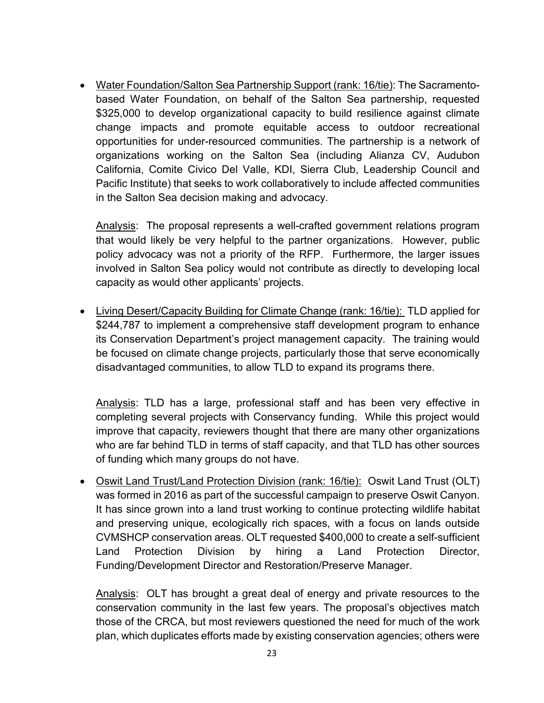• Water Foundation/Salton Sea Partnership Support (rank: 16/tie): The Sacramentobased Water Foundation, on behalf of the Salton Sea partnership, requested \$325,000 to develop organizational capacity to build resilience against climate change impacts and promote equitable access to outdoor recreational opportunities for under-resourced communities. The partnership is a network of organizations working on the Salton Sea (including Alianza CV, Audubon California, Comite Civico Del Valle, KDI, Sierra Club, Leadership Council and Pacific Institute) that seeks to work collaboratively to include affected communities in the Salton Sea decision making and advocacy.

Analysis: The proposal represents a well-crafted government relations program that would likely be very helpful to the partner organizations. However, public policy advocacy was not a priority of the RFP. Furthermore, the larger issues involved in Salton Sea policy would not contribute as directly to developing local capacity as would other applicants' projects.

• Living Desert/Capacity Building for Climate Change (rank: 16/tie): TLD applied for \$244,787 to implement a comprehensive staff development program to enhance its Conservation Department's project management capacity. The training would be focused on climate change projects, particularly those that serve economically disadvantaged communities, to allow TLD to expand its programs there.

Analysis: TLD has a large, professional staff and has been very effective in completing several projects with Conservancy funding. While this project would improve that capacity, reviewers thought that there are many other organizations who are far behind TLD in terms of staff capacity, and that TLD has other sources of funding which many groups do not have.

• Oswit Land Trust/Land Protection Division (rank: 16/tie): Oswit Land Trust (OLT) was formed in 2016 as part of the successful campaign to preserve Oswit Canyon. It has since grown into a land trust working to continue protecting wildlife habitat and preserving unique, ecologically rich spaces, with a focus on lands outside CVMSHCP conservation areas. OLT requested \$400,000 to create a self-sufficient Land Protection Division by hiring a Land Protection Director, Funding/Development Director and Restoration/Preserve Manager.

Analysis: OLT has brought a great deal of energy and private resources to the conservation community in the last few years. The proposal's objectives match those of the CRCA, but most reviewers questioned the need for much of the work plan, which duplicates efforts made by existing conservation agencies; others were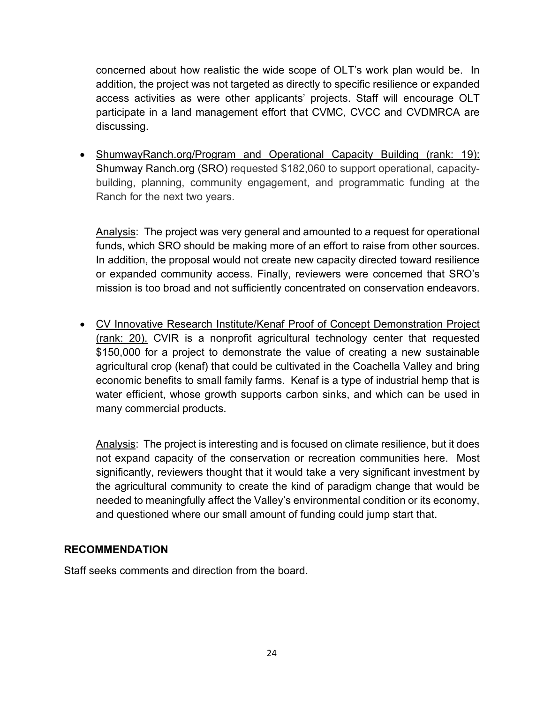concerned about how realistic the wide scope of OLT's work plan would be. In addition, the project was not targeted as directly to specific resilience or expanded access activities as were other applicants' projects. Staff will encourage OLT participate in a land management effort that CVMC, CVCC and CVDMRCA are discussing.

• ShumwayRanch.org/Program and Operational Capacity Building (rank: 19): Shumway Ranch.org (SRO) requested \$182,060 to support operational, capacitybuilding, planning, community engagement, and programmatic funding at the Ranch for the next two years.

Analysis: The project was very general and amounted to a request for operational funds, which SRO should be making more of an effort to raise from other sources. In addition, the proposal would not create new capacity directed toward resilience or expanded community access. Finally, reviewers were concerned that SRO's mission is too broad and not sufficiently concentrated on conservation endeavors.

• CV Innovative Research Institute/Kenaf Proof of Concept Demonstration Project (rank: 20). CVIR is a nonprofit agricultural technology center that requested \$150,000 for a project to demonstrate the value of creating a new sustainable agricultural crop (kenaf) that could be cultivated in the Coachella Valley and bring economic benefits to small family farms. Kenaf is a type of industrial hemp that is water efficient, whose growth supports carbon sinks, and which can be used in many commercial products.

Analysis: The project is interesting and is focused on climate resilience, but it does not expand capacity of the conservation or recreation communities here. Most significantly, reviewers thought that it would take a very significant investment by the agricultural community to create the kind of paradigm change that would be needed to meaningfully affect the Valley's environmental condition or its economy, and questioned where our small amount of funding could jump start that.

#### **RECOMMENDATION**

Staff seeks comments and direction from the board.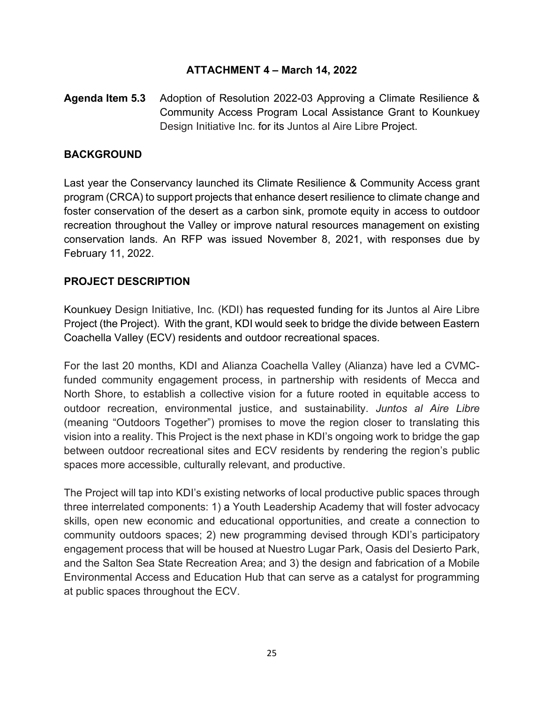## **ATTACHMENT 4 – March 14, 2022**

**Agenda Item 5.3** Adoption of Resolution 2022-03 Approving a Climate Resilience & Community Access Program Local Assistance Grant to Kounkuey Design Initiative Inc. for its Juntos al Aire Libre Project.

#### **BACKGROUND**

Last year the Conservancy launched its Climate Resilience & Community Access grant program (CRCA) to support projects that enhance desert resilience to climate change and foster conservation of the desert as a carbon sink, promote equity in access to outdoor recreation throughout the Valley or improve natural resources management on existing conservation lands. An RFP was issued November 8, 2021, with responses due by February 11, 2022.

#### **PROJECT DESCRIPTION**

Kounkuey Design Initiative, Inc. (KDI) has requested funding for its Juntos al Aire Libre Project (the Project). With the grant, KDI would seek to bridge the divide between Eastern Coachella Valley (ECV) residents and outdoor recreational spaces.

For the last 20 months, KDI and Alianza Coachella Valley (Alianza) have led a CVMCfunded community engagement process, in partnership with residents of Mecca and North Shore, to establish a collective vision for a future rooted in equitable access to outdoor recreation, environmental justice, and sustainability. *Juntos al Aire Libre*  (meaning "Outdoors Together") promises to move the region closer to translating this vision into a reality. This Project is the next phase in KDI's ongoing work to bridge the gap between outdoor recreational sites and ECV residents by rendering the region's public spaces more accessible, culturally relevant, and productive.

The Project will tap into KDI's existing networks of local productive public spaces through three interrelated components: 1) a Youth Leadership Academy that will foster advocacy skills, open new economic and educational opportunities, and create a connection to community outdoors spaces; 2) new programming devised through KDI's participatory engagement process that will be housed at Nuestro Lugar Park, Oasis del Desierto Park, and the Salton Sea State Recreation Area; and 3) the design and fabrication of a Mobile Environmental Access and Education Hub that can serve as a catalyst for programming at public spaces throughout the ECV.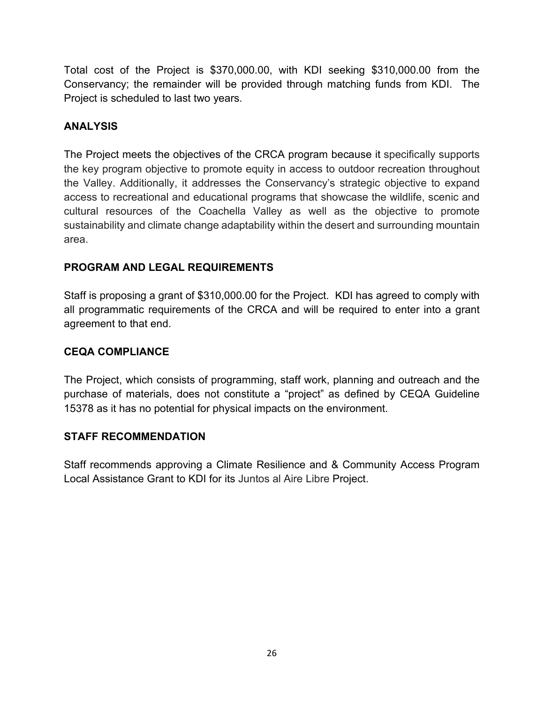Total cost of the Project is \$370,000.00, with KDI seeking \$310,000.00 from the Conservancy; the remainder will be provided through matching funds from KDI. The Project is scheduled to last two years.

## **ANALYSIS**

The Project meets the objectives of the CRCA program because it specifically supports the key program objective to promote equity in access to outdoor recreation throughout the Valley. Additionally, it addresses the Conservancy's strategic objective to expand access to recreational and educational programs that showcase the wildlife, scenic and cultural resources of the Coachella Valley as well as the objective to promote sustainability and climate change adaptability within the desert and surrounding mountain area.

# **PROGRAM AND LEGAL REQUIREMENTS**

Staff is proposing a grant of \$310,000.00 for the Project. KDI has agreed to comply with all programmatic requirements of the CRCA and will be required to enter into a grant agreement to that end.

## **CEQA COMPLIANCE**

The Project, which consists of programming, staff work, planning and outreach and the purchase of materials, does not constitute a "project" as defined by CEQA Guideline 15378 as it has no potential for physical impacts on the environment.

## **STAFF RECOMMENDATION**

Staff recommends approving a Climate Resilience and & Community Access Program Local Assistance Grant to KDI for its Juntos al Aire Libre Project.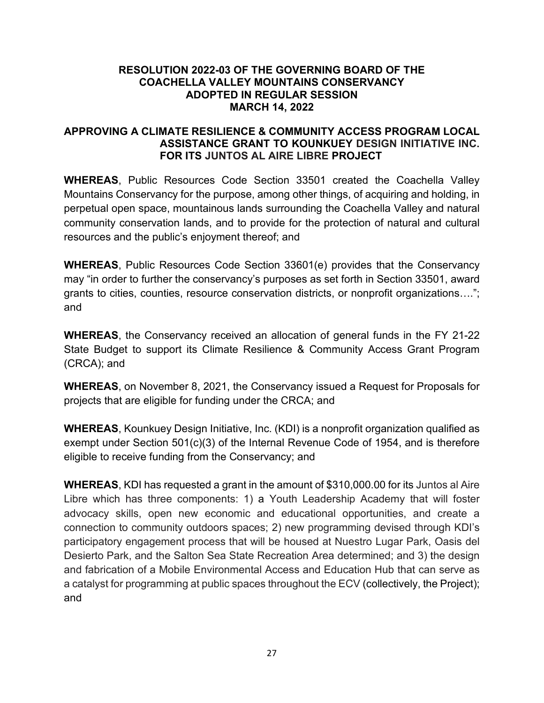#### **RESOLUTION 2022-03 OF THE GOVERNING BOARD OF THE COACHELLA VALLEY MOUNTAINS CONSERVANCY ADOPTED IN REGULAR SESSION MARCH 14, 2022**

#### **APPROVING A CLIMATE RESILIENCE & COMMUNITY ACCESS PROGRAM LOCAL ASSISTANCE GRANT TO KOUNKUEY DESIGN INITIATIVE INC. FOR ITS JUNTOS AL AIRE LIBRE PROJECT**

**WHEREAS**, Public Resources Code Section 33501 created the Coachella Valley Mountains Conservancy for the purpose, among other things, of acquiring and holding, in perpetual open space, mountainous lands surrounding the Coachella Valley and natural community conservation lands, and to provide for the protection of natural and cultural resources and the public's enjoyment thereof; and

**WHEREAS**, Public Resources Code Section 33601(e) provides that the Conservancy may "in order to further the conservancy's purposes as set forth in Section 33501, award grants to cities, counties, resource conservation districts, or nonprofit organizations…."; and

**WHEREAS**, the Conservancy received an allocation of general funds in the FY 21-22 State Budget to support its Climate Resilience & Community Access Grant Program (CRCA); and

**WHEREAS**, on November 8, 2021, the Conservancy issued a Request for Proposals for projects that are eligible for funding under the CRCA; and

**WHEREAS**, Kounkuey Design Initiative, Inc. (KDI) is a nonprofit organization qualified as exempt under Section 501(c)(3) of the Internal Revenue Code of 1954, and is therefore eligible to receive funding from the Conservancy; and

**WHEREAS**, KDI has requested a grant in the amount of \$310,000.00 for its Juntos al Aire Libre which has three components: 1) a Youth Leadership Academy that will foster advocacy skills, open new economic and educational opportunities, and create a connection to community outdoors spaces; 2) new programming devised through KDI's participatory engagement process that will be housed at Nuestro Lugar Park, Oasis del Desierto Park, and the Salton Sea State Recreation Area determined; and 3) the design and fabrication of a Mobile Environmental Access and Education Hub that can serve as a catalyst for programming at public spaces throughout the ECV (collectively, the Project); and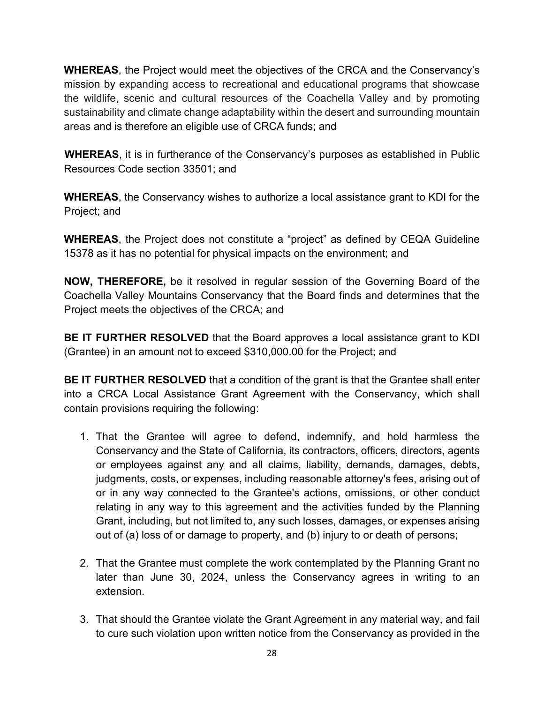**WHEREAS**, the Project would meet the objectives of the CRCA and the Conservancy's mission by expanding access to recreational and educational programs that showcase the wildlife, scenic and cultural resources of the Coachella Valley and by promoting sustainability and climate change adaptability within the desert and surrounding mountain areas and is therefore an eligible use of CRCA funds; and

**WHEREAS**, it is in furtherance of the Conservancy's purposes as established in Public Resources Code section 33501; and

**WHEREAS**, the Conservancy wishes to authorize a local assistance grant to KDI for the Project; and

**WHEREAS**, the Project does not constitute a "project" as defined by CEQA Guideline 15378 as it has no potential for physical impacts on the environment; and

**NOW, THEREFORE,** be it resolved in regular session of the Governing Board of the Coachella Valley Mountains Conservancy that the Board finds and determines that the Project meets the objectives of the CRCA; and

**BE IT FURTHER RESOLVED** that the Board approves a local assistance grant to KDI (Grantee) in an amount not to exceed \$310,000.00 for the Project; and

**BE IT FURTHER RESOLVED** that a condition of the grant is that the Grantee shall enter into a CRCA Local Assistance Grant Agreement with the Conservancy, which shall contain provisions requiring the following:

- 1. That the Grantee will agree to defend, indemnify, and hold harmless the Conservancy and the State of California, its contractors, officers, directors, agents or employees against any and all claims, liability, demands, damages, debts, judgments, costs, or expenses, including reasonable attorney's fees, arising out of or in any way connected to the Grantee's actions, omissions, or other conduct relating in any way to this agreement and the activities funded by the Planning Grant, including, but not limited to, any such losses, damages, or expenses arising out of (a) loss of or damage to property, and (b) injury to or death of persons;
- 2. That the Grantee must complete the work contemplated by the Planning Grant no later than June 30, 2024, unless the Conservancy agrees in writing to an extension.
- 3. That should the Grantee violate the Grant Agreement in any material way, and fail to cure such violation upon written notice from the Conservancy as provided in the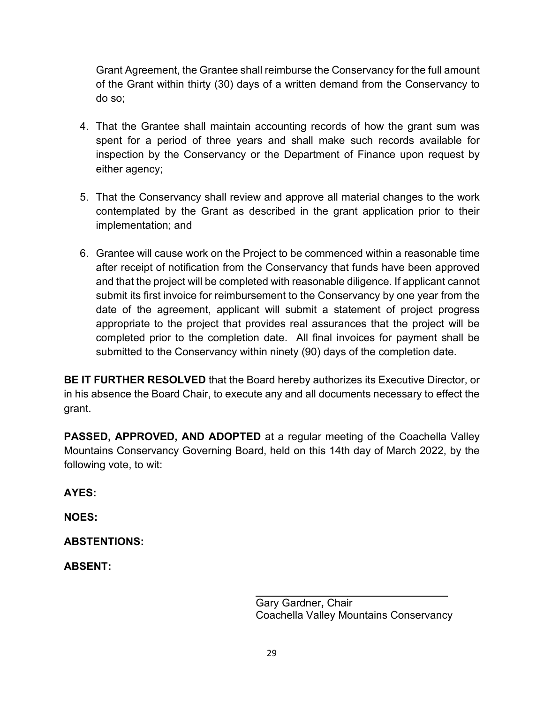Grant Agreement, the Grantee shall reimburse the Conservancy for the full amount of the Grant within thirty (30) days of a written demand from the Conservancy to do so;

- 4. That the Grantee shall maintain accounting records of how the grant sum was spent for a period of three years and shall make such records available for inspection by the Conservancy or the Department of Finance upon request by either agency;
- 5. That the Conservancy shall review and approve all material changes to the work contemplated by the Grant as described in the grant application prior to their implementation; and
- 6. Grantee will cause work on the Project to be commenced within a reasonable time after receipt of notification from the Conservancy that funds have been approved and that the project will be completed with reasonable diligence. If applicant cannot submit its first invoice for reimbursement to the Conservancy by one year from the date of the agreement, applicant will submit a statement of project progress appropriate to the project that provides real assurances that the project will be completed prior to the completion date. All final invoices for payment shall be submitted to the Conservancy within ninety (90) days of the completion date.

**BE IT FURTHER RESOLVED** that the Board hereby authorizes its Executive Director, or in his absence the Board Chair, to execute any and all documents necessary to effect the grant.

**PASSED, APPROVED, AND ADOPTED** at a regular meeting of the Coachella Valley Mountains Conservancy Governing Board, held on this 14th day of March 2022, by the following vote, to wit:

**AYES:** 

**NOES:** 

**ABSTENTIONS:** 

**ABSENT:**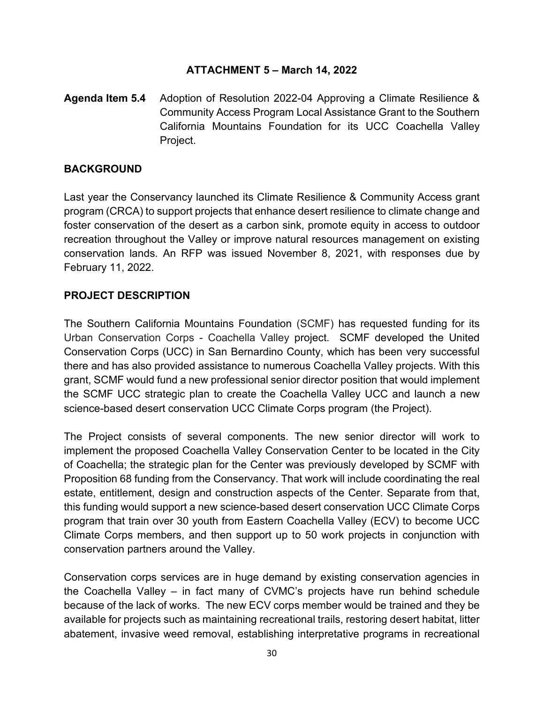## **ATTACHMENT 5 – March 14, 2022**

**Agenda Item 5.4** Adoption of Resolution 2022-04 Approving a Climate Resilience & Community Access Program Local Assistance Grant to the Southern California Mountains Foundation for its UCC Coachella Valley Project.

#### **BACKGROUND**

Last year the Conservancy launched its Climate Resilience & Community Access grant program (CRCA) to support projects that enhance desert resilience to climate change and foster conservation of the desert as a carbon sink, promote equity in access to outdoor recreation throughout the Valley or improve natural resources management on existing conservation lands. An RFP was issued November 8, 2021, with responses due by February 11, 2022.

#### **PROJECT DESCRIPTION**

The Southern California Mountains Foundation (SCMF) has requested funding for its Urban Conservation Corps - Coachella Valley project. SCMF developed the United Conservation Corps (UCC) in San Bernardino County, which has been very successful there and has also provided assistance to numerous Coachella Valley projects. With this grant, SCMF would fund a new professional senior director position that would implement the SCMF UCC strategic plan to create the Coachella Valley UCC and launch a new science-based desert conservation UCC Climate Corps program (the Project).

The Project consists of several components. The new senior director will work to implement the proposed Coachella Valley Conservation Center to be located in the City of Coachella; the strategic plan for the Center was previously developed by SCMF with Proposition 68 funding from the Conservancy. That work will include coordinating the real estate, entitlement, design and construction aspects of the Center. Separate from that, this funding would support a new science-based desert conservation UCC Climate Corps program that train over 30 youth from Eastern Coachella Valley (ECV) to become UCC Climate Corps members, and then support up to 50 work projects in conjunction with conservation partners around the Valley.

Conservation corps services are in huge demand by existing conservation agencies in the Coachella Valley – in fact many of CVMC's projects have run behind schedule because of the lack of works. The new ECV corps member would be trained and they be available for projects such as maintaining recreational trails, restoring desert habitat, litter abatement, invasive weed removal, establishing interpretative programs in recreational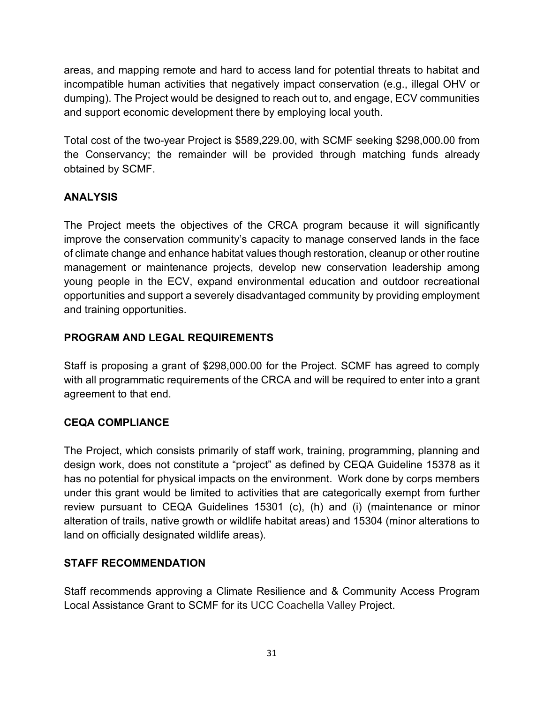areas, and mapping remote and hard to access land for potential threats to habitat and incompatible human activities that negatively impact conservation (e.g., illegal OHV or dumping). The Project would be designed to reach out to, and engage, ECV communities and support economic development there by employing local youth.

Total cost of the two-year Project is \$589,229.00, with SCMF seeking \$298,000.00 from the Conservancy; the remainder will be provided through matching funds already obtained by SCMF.

# **ANALYSIS**

The Project meets the objectives of the CRCA program because it will significantly improve the conservation community's capacity to manage conserved lands in the face of climate change and enhance habitat values though restoration, cleanup or other routine management or maintenance projects, develop new conservation leadership among young people in the ECV, expand environmental education and outdoor recreational opportunities and support a severely disadvantaged community by providing employment and training opportunities.

# **PROGRAM AND LEGAL REQUIREMENTS**

Staff is proposing a grant of \$298,000.00 for the Project. SCMF has agreed to comply with all programmatic requirements of the CRCA and will be required to enter into a grant agreement to that end.

# **CEQA COMPLIANCE**

The Project, which consists primarily of staff work, training, programming, planning and design work, does not constitute a "project" as defined by CEQA Guideline 15378 as it has no potential for physical impacts on the environment. Work done by corps members under this grant would be limited to activities that are categorically exempt from further review pursuant to CEQA Guidelines 15301 (c), (h) and (i) (maintenance or minor alteration of trails, native growth or wildlife habitat areas) and 15304 (minor alterations to land on officially designated wildlife areas).

# **STAFF RECOMMENDATION**

Staff recommends approving a Climate Resilience and & Community Access Program Local Assistance Grant to SCMF for its UCC Coachella Valley Project.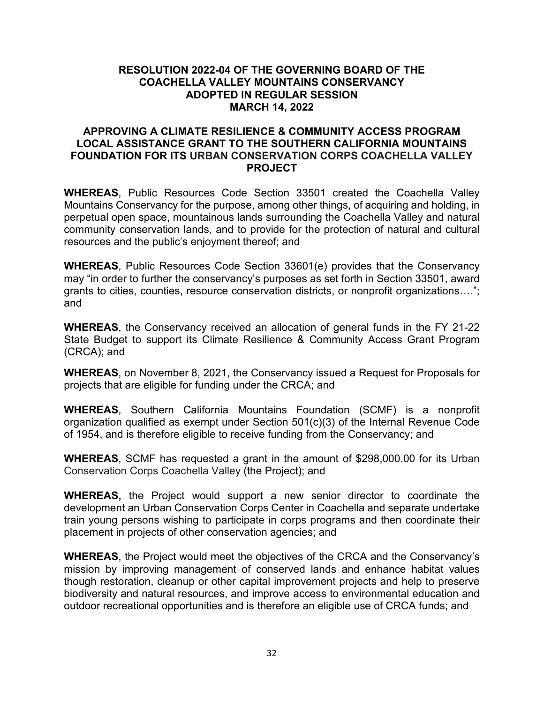#### **RESOLUTION 2022-04 OF THE GOVERNING BOARD OF THE COACHELLA VALLEY MOUNTAINS CONSERVANCY ADOPTED IN REGULAR SESSION MARCH 14, 2022**

#### **APPROVING A CLIMATE RESILIENCE & COMMUNITY ACCESS PROGRAM LOCAL ASSISTANCE GRANT TO THE SOUTHERN CALIFORNIA MOUNTAINS FOUNDATION FOR ITS URBAN CONSERVATION CORPS COACHELLA VALLEY PROJECT**

**WHEREAS**, Public Resources Code Section 33501 created the Coachella Valley Mountains Conservancy for the purpose, among other things, of acquiring and holding, in perpetual open space, mountainous lands surrounding the Coachella Valley and natural community conservation lands, and to provide for the protection of natural and cultural resources and the public's enjoyment thereof; and

**WHEREAS**, Public Resources Code Section 33601(e) provides that the Conservancy may "in order to further the conservancy's purposes as set forth in Section 33501, award grants to cities, counties, resource conservation districts, or nonprofit organizations…."; and

**WHEREAS**, the Conservancy received an allocation of general funds in the FY 21-22 State Budget to support its Climate Resilience & Community Access Grant Program (CRCA); and

**WHEREAS**, on November 8, 2021, the Conservancy issued a Request for Proposals for projects that are eligible for funding under the CRCA; and

**WHEREAS**, Southern California Mountains Foundation (SCMF) is a nonprofit organization qualified as exempt under Section 501(c)(3) of the Internal Revenue Code of 1954, and is therefore eligible to receive funding from the Conservancy; and

**WHEREAS**, SCMF has requested a grant in the amount of \$298,000.00 for its Urban Conservation Corps Coachella Valley (the Project); and

**WHEREAS,** the Project would support a new senior director to coordinate the development an Urban Conservation Corps Center in Coachella and separate undertake train young persons wishing to participate in corps programs and then coordinate their placement in projects of other conservation agencies; and

**WHEREAS**, the Project would meet the objectives of the CRCA and the Conservancy's mission by improving management of conserved lands and enhance habitat values though restoration, cleanup or other capital improvement projects and help to preserve biodiversity and natural resources, and improve access to environmental education and outdoor recreational opportunities and is therefore an eligible use of CRCA funds; and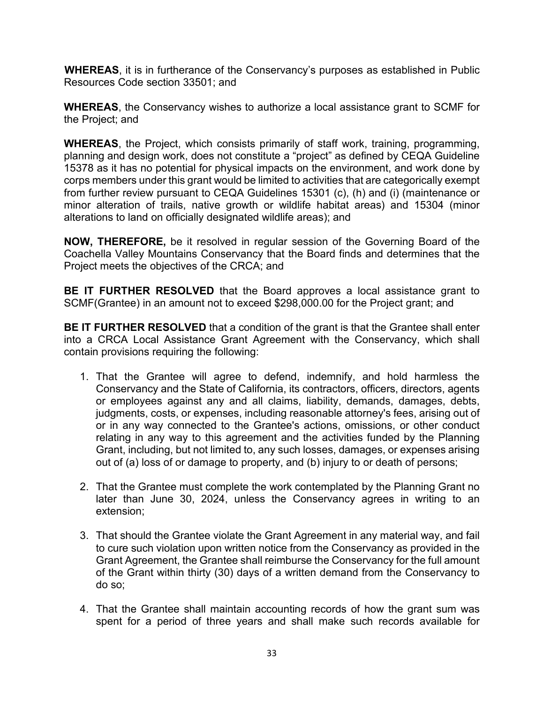**WHEREAS**, it is in furtherance of the Conservancy's purposes as established in Public Resources Code section 33501; and

**WHEREAS**, the Conservancy wishes to authorize a local assistance grant to SCMF for the Project; and

**WHEREAS**, the Project, which consists primarily of staff work, training, programming, planning and design work, does not constitute a "project" as defined by CEQA Guideline 15378 as it has no potential for physical impacts on the environment, and work done by corps members under this grant would be limited to activities that are categorically exempt from further review pursuant to CEQA Guidelines 15301 (c), (h) and (i) (maintenance or minor alteration of trails, native growth or wildlife habitat areas) and 15304 (minor alterations to land on officially designated wildlife areas); and

**NOW, THEREFORE,** be it resolved in regular session of the Governing Board of the Coachella Valley Mountains Conservancy that the Board finds and determines that the Project meets the objectives of the CRCA; and

**BE IT FURTHER RESOLVED** that the Board approves a local assistance grant to SCMF(Grantee) in an amount not to exceed \$298,000.00 for the Project grant; and

**BE IT FURTHER RESOLVED** that a condition of the grant is that the Grantee shall enter into a CRCA Local Assistance Grant Agreement with the Conservancy, which shall contain provisions requiring the following:

- 1. That the Grantee will agree to defend, indemnify, and hold harmless the Conservancy and the State of California, its contractors, officers, directors, agents or employees against any and all claims, liability, demands, damages, debts, judgments, costs, or expenses, including reasonable attorney's fees, arising out of or in any way connected to the Grantee's actions, omissions, or other conduct relating in any way to this agreement and the activities funded by the Planning Grant, including, but not limited to, any such losses, damages, or expenses arising out of (a) loss of or damage to property, and (b) injury to or death of persons;
- 2. That the Grantee must complete the work contemplated by the Planning Grant no later than June 30, 2024, unless the Conservancy agrees in writing to an extension;
- 3. That should the Grantee violate the Grant Agreement in any material way, and fail to cure such violation upon written notice from the Conservancy as provided in the Grant Agreement, the Grantee shall reimburse the Conservancy for the full amount of the Grant within thirty (30) days of a written demand from the Conservancy to do so;
- 4. That the Grantee shall maintain accounting records of how the grant sum was spent for a period of three years and shall make such records available for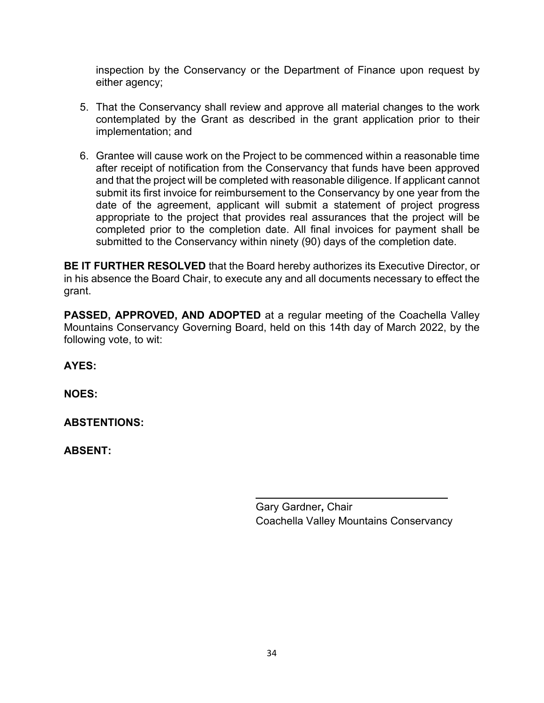inspection by the Conservancy or the Department of Finance upon request by either agency;

- 5. That the Conservancy shall review and approve all material changes to the work contemplated by the Grant as described in the grant application prior to their implementation; and
- 6. Grantee will cause work on the Project to be commenced within a reasonable time after receipt of notification from the Conservancy that funds have been approved and that the project will be completed with reasonable diligence. If applicant cannot submit its first invoice for reimbursement to the Conservancy by one year from the date of the agreement, applicant will submit a statement of project progress appropriate to the project that provides real assurances that the project will be completed prior to the completion date. All final invoices for payment shall be submitted to the Conservancy within ninety (90) days of the completion date.

**BE IT FURTHER RESOLVED** that the Board hereby authorizes its Executive Director, or in his absence the Board Chair, to execute any and all documents necessary to effect the grant.

**PASSED, APPROVED, AND ADOPTED** at a regular meeting of the Coachella Valley Mountains Conservancy Governing Board, held on this 14th day of March 2022, by the following vote, to wit:

**AYES:** 

**NOES:**

**ABSTENTIONS:** 

**ABSENT:** 

Gary Gardner**,** Chair Coachella Valley Mountains Conservancy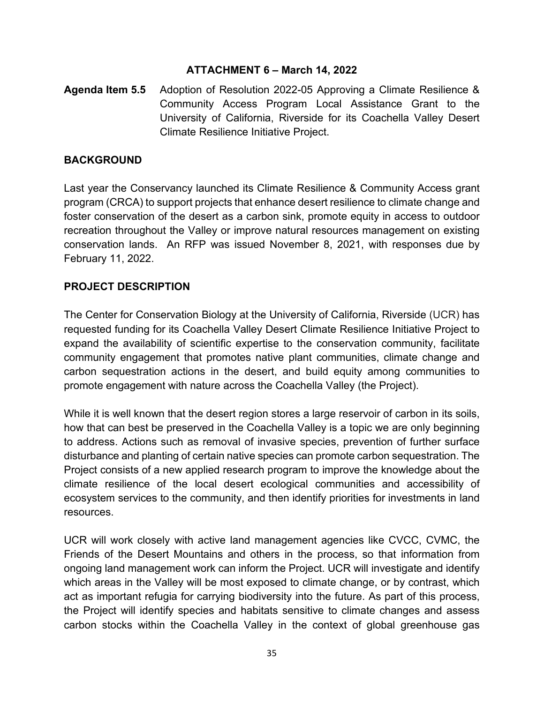#### **ATTACHMENT 6 – March 14, 2022**

**Agenda Item 5.5** Adoption of Resolution 2022-05 Approving a Climate Resilience & Community Access Program Local Assistance Grant to the University of California, Riverside for its Coachella Valley Desert Climate Resilience Initiative Project.

#### **BACKGROUND**

Last year the Conservancy launched its Climate Resilience & Community Access grant program (CRCA) to support projects that enhance desert resilience to climate change and foster conservation of the desert as a carbon sink, promote equity in access to outdoor recreation throughout the Valley or improve natural resources management on existing conservation lands. An RFP was issued November 8, 2021, with responses due by February 11, 2022.

## **PROJECT DESCRIPTION**

The Center for Conservation Biology at the University of California, Riverside (UCR) has requested funding for its Coachella Valley Desert Climate Resilience Initiative Project to expand the availability of scientific expertise to the conservation community, facilitate community engagement that promotes native plant communities, climate change and carbon sequestration actions in the desert, and build equity among communities to promote engagement with nature across the Coachella Valley (the Project).

While it is well known that the desert region stores a large reservoir of carbon in its soils, how that can best be preserved in the Coachella Valley is a topic we are only beginning to address. Actions such as removal of invasive species, prevention of further surface disturbance and planting of certain native species can promote carbon sequestration. The Project consists of a new applied research program to improve the knowledge about the climate resilience of the local desert ecological communities and accessibility of ecosystem services to the community, and then identify priorities for investments in land resources.

UCR will work closely with active land management agencies like CVCC, CVMC, the Friends of the Desert Mountains and others in the process, so that information from ongoing land management work can inform the Project. UCR will investigate and identify which areas in the Valley will be most exposed to climate change, or by contrast, which act as important refugia for carrying biodiversity into the future. As part of this process, the Project will identify species and habitats sensitive to climate changes and assess carbon stocks within the Coachella Valley in the context of global greenhouse gas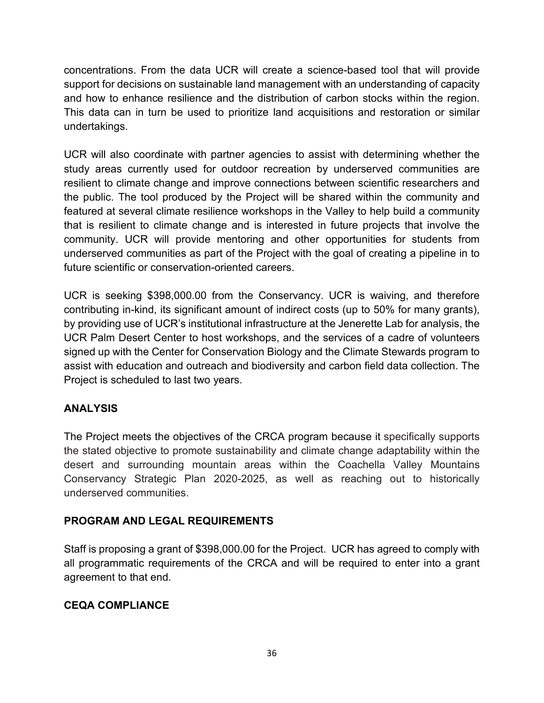concentrations. From the data UCR will create a science-based tool that will provide support for decisions on sustainable land management with an understanding of capacity and how to enhance resilience and the distribution of carbon stocks within the region. This data can in turn be used to prioritize land acquisitions and restoration or similar undertakings.

UCR will also coordinate with partner agencies to assist with determining whether the study areas currently used for outdoor recreation by underserved communities are resilient to climate change and improve connections between scientific researchers and the public. The tool produced by the Project will be shared within the community and featured at several climate resilience workshops in the Valley to help build a community that is resilient to climate change and is interested in future projects that involve the community. UCR will provide mentoring and other opportunities for students from underserved communities as part of the Project with the goal of creating a pipeline in to future scientific or conservation-oriented careers.

UCR is seeking \$398,000.00 from the Conservancy. UCR is waiving, and therefore contributing in-kind, its significant amount of indirect costs (up to 50% for many grants), by providing use of UCR's institutional infrastructure at the Jenerette Lab for analysis, the UCR Palm Desert Center to host workshops, and the services of a cadre of volunteers signed up with the Center for Conservation Biology and the Climate Stewards program to assist with education and outreach and biodiversity and carbon field data collection. The Project is scheduled to last two years.

## **ANALYSIS**

The Project meets the objectives of the CRCA program because it specifically supports the stated objective to promote sustainability and climate change adaptability within the desert and surrounding mountain areas within the Coachella Valley Mountains Conservancy Strategic Plan 2020-2025, as well as reaching out to historically underserved communities.

## **PROGRAM AND LEGAL REQUIREMENTS**

Staff is proposing a grant of \$398,000.00 for the Project. UCR has agreed to comply with all programmatic requirements of the CRCA and will be required to enter into a grant agreement to that end.

## **CEQA COMPLIANCE**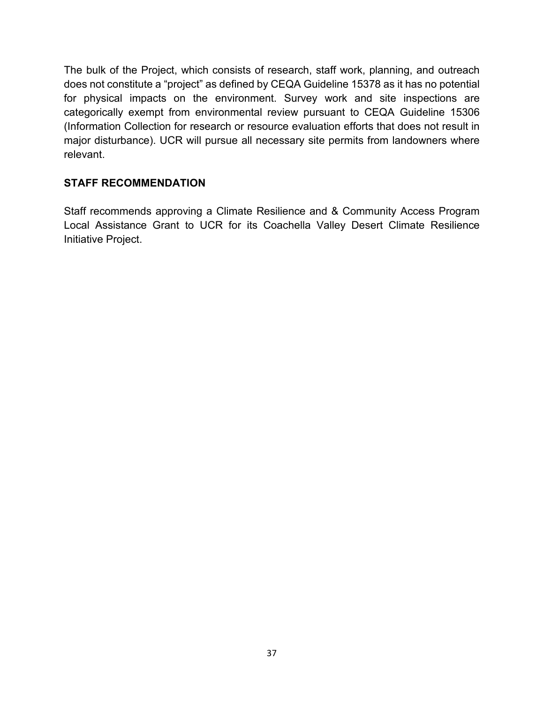The bulk of the Project, which consists of research, staff work, planning, and outreach does not constitute a "project" as defined by CEQA Guideline 15378 as it has no potential for physical impacts on the environment. Survey work and site inspections are categorically exempt from environmental review pursuant to CEQA Guideline 15306 (Information Collection for research or resource evaluation efforts that does not result in major disturbance). UCR will pursue all necessary site permits from landowners where relevant.

# **STAFF RECOMMENDATION**

Staff recommends approving a Climate Resilience and & Community Access Program Local Assistance Grant to UCR for its Coachella Valley Desert Climate Resilience Initiative Project.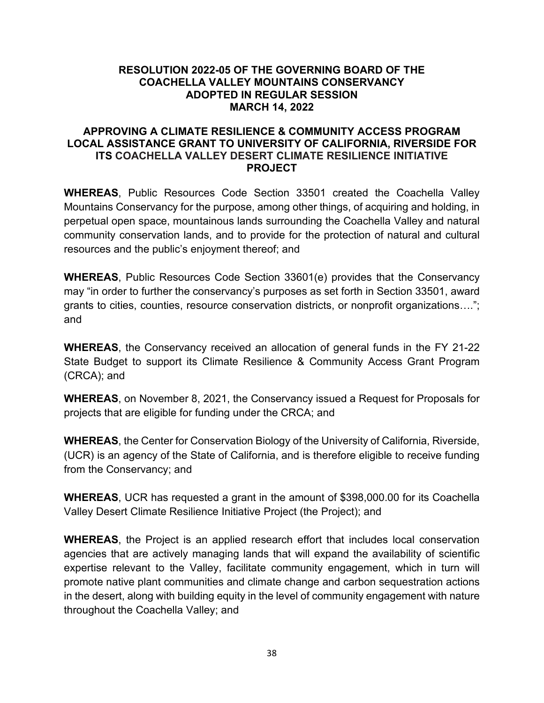#### **RESOLUTION 2022-05 OF THE GOVERNING BOARD OF THE COACHELLA VALLEY MOUNTAINS CONSERVANCY ADOPTED IN REGULAR SESSION MARCH 14, 2022**

#### **APPROVING A CLIMATE RESILIENCE & COMMUNITY ACCESS PROGRAM LOCAL ASSISTANCE GRANT TO UNIVERSITY OF CALIFORNIA, RIVERSIDE FOR ITS COACHELLA VALLEY DESERT CLIMATE RESILIENCE INITIATIVE PROJECT**

**WHEREAS**, Public Resources Code Section 33501 created the Coachella Valley Mountains Conservancy for the purpose, among other things, of acquiring and holding, in perpetual open space, mountainous lands surrounding the Coachella Valley and natural community conservation lands, and to provide for the protection of natural and cultural resources and the public's enjoyment thereof; and

**WHEREAS**, Public Resources Code Section 33601(e) provides that the Conservancy may "in order to further the conservancy's purposes as set forth in Section 33501, award grants to cities, counties, resource conservation districts, or nonprofit organizations…."; and

**WHEREAS**, the Conservancy received an allocation of general funds in the FY 21-22 State Budget to support its Climate Resilience & Community Access Grant Program (CRCA); and

**WHEREAS**, on November 8, 2021, the Conservancy issued a Request for Proposals for projects that are eligible for funding under the CRCA; and

**WHEREAS**, the Center for Conservation Biology of the University of California, Riverside, (UCR) is an agency of the State of California, and is therefore eligible to receive funding from the Conservancy; and

**WHEREAS**, UCR has requested a grant in the amount of \$398,000.00 for its Coachella Valley Desert Climate Resilience Initiative Project (the Project); and

**WHEREAS**, the Project is an applied research effort that includes local conservation agencies that are actively managing lands that will expand the availability of scientific expertise relevant to the Valley, facilitate community engagement, which in turn will promote native plant communities and climate change and carbon sequestration actions in the desert, along with building equity in the level of community engagement with nature throughout the Coachella Valley; and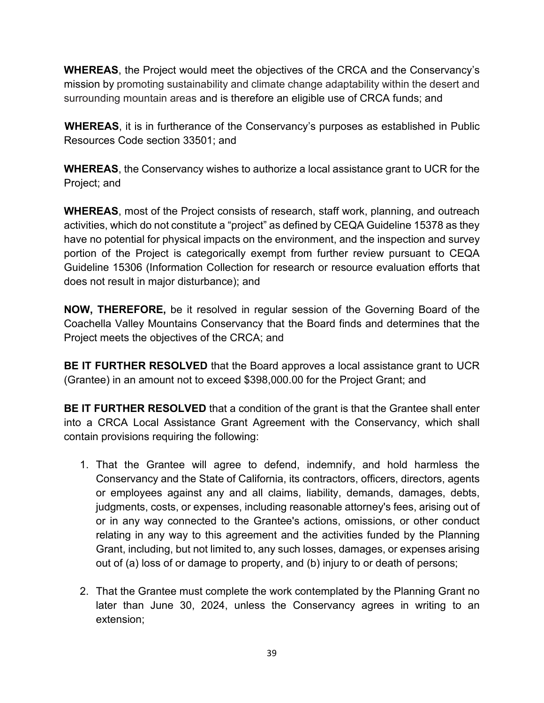**WHEREAS**, the Project would meet the objectives of the CRCA and the Conservancy's mission by promoting sustainability and climate change adaptability within the desert and surrounding mountain areas and is therefore an eligible use of CRCA funds; and

**WHEREAS**, it is in furtherance of the Conservancy's purposes as established in Public Resources Code section 33501; and

**WHEREAS**, the Conservancy wishes to authorize a local assistance grant to UCR for the Project; and

**WHEREAS**, most of the Project consists of research, staff work, planning, and outreach activities, which do not constitute a "project" as defined by CEQA Guideline 15378 as they have no potential for physical impacts on the environment, and the inspection and survey portion of the Project is categorically exempt from further review pursuant to CEQA Guideline 15306 (Information Collection for research or resource evaluation efforts that does not result in major disturbance); and

**NOW, THEREFORE,** be it resolved in regular session of the Governing Board of the Coachella Valley Mountains Conservancy that the Board finds and determines that the Project meets the objectives of the CRCA; and

**BE IT FURTHER RESOLVED** that the Board approves a local assistance grant to UCR (Grantee) in an amount not to exceed \$398,000.00 for the Project Grant; and

**BE IT FURTHER RESOLVED** that a condition of the grant is that the Grantee shall enter into a CRCA Local Assistance Grant Agreement with the Conservancy, which shall contain provisions requiring the following:

- 1. That the Grantee will agree to defend, indemnify, and hold harmless the Conservancy and the State of California, its contractors, officers, directors, agents or employees against any and all claims, liability, demands, damages, debts, judgments, costs, or expenses, including reasonable attorney's fees, arising out of or in any way connected to the Grantee's actions, omissions, or other conduct relating in any way to this agreement and the activities funded by the Planning Grant, including, but not limited to, any such losses, damages, or expenses arising out of (a) loss of or damage to property, and (b) injury to or death of persons;
- 2. That the Grantee must complete the work contemplated by the Planning Grant no later than June 30, 2024, unless the Conservancy agrees in writing to an extension;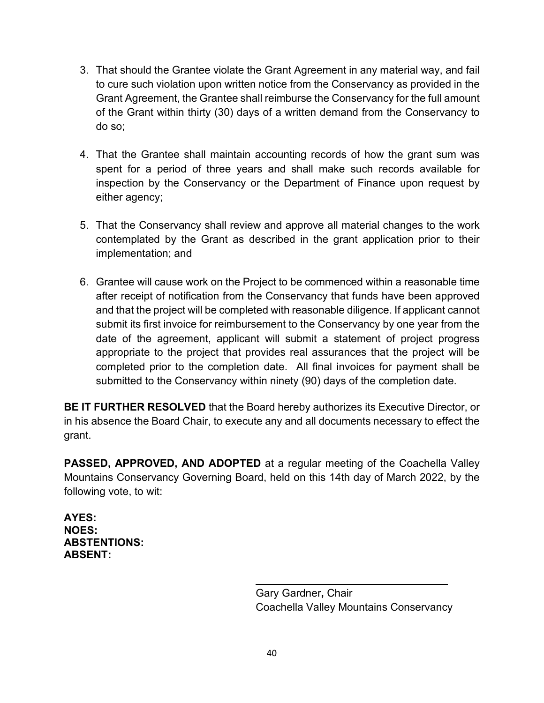- 3. That should the Grantee violate the Grant Agreement in any material way, and fail to cure such violation upon written notice from the Conservancy as provided in the Grant Agreement, the Grantee shall reimburse the Conservancy for the full amount of the Grant within thirty (30) days of a written demand from the Conservancy to do so;
- 4. That the Grantee shall maintain accounting records of how the grant sum was spent for a period of three years and shall make such records available for inspection by the Conservancy or the Department of Finance upon request by either agency;
- 5. That the Conservancy shall review and approve all material changes to the work contemplated by the Grant as described in the grant application prior to their implementation; and
- 6. Grantee will cause work on the Project to be commenced within a reasonable time after receipt of notification from the Conservancy that funds have been approved and that the project will be completed with reasonable diligence. If applicant cannot submit its first invoice for reimbursement to the Conservancy by one year from the date of the agreement, applicant will submit a statement of project progress appropriate to the project that provides real assurances that the project will be completed prior to the completion date. All final invoices for payment shall be submitted to the Conservancy within ninety (90) days of the completion date.

**BE IT FURTHER RESOLVED** that the Board hereby authorizes its Executive Director, or in his absence the Board Chair, to execute any and all documents necessary to effect the grant.

**PASSED, APPROVED, AND ADOPTED** at a regular meeting of the Coachella Valley Mountains Conservancy Governing Board, held on this 14th day of March 2022, by the following vote, to wit:

**AYES: NOES: ABSTENTIONS: ABSENT:** 

> Gary Gardner**,** Chair Coachella Valley Mountains Conservancy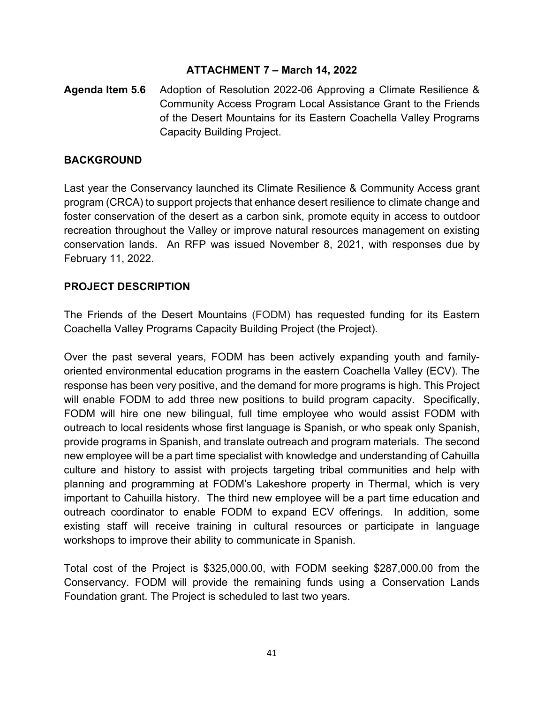# **ATTACHMENT 7 – March 14, 2022**

**Agenda Item 5.6** Adoption of Resolution 2022-06 Approving a Climate Resilience & Community Access Program Local Assistance Grant to the Friends of the Desert Mountains for its Eastern Coachella Valley Programs Capacity Building Project.

#### **BACKGROUND**

Last year the Conservancy launched its Climate Resilience & Community Access grant program (CRCA) to support projects that enhance desert resilience to climate change and foster conservation of the desert as a carbon sink, promote equity in access to outdoor recreation throughout the Valley or improve natural resources management on existing conservation lands. An RFP was issued November 8, 2021, with responses due by February 11, 2022.

# **PROJECT DESCRIPTION**

The Friends of the Desert Mountains (FODM) has requested funding for its Eastern Coachella Valley Programs Capacity Building Project (the Project).

Over the past several years, FODM has been actively expanding youth and familyoriented environmental education programs in the eastern Coachella Valley (ECV). The response has been very positive, and the demand for more programs is high. This Project will enable FODM to add three new positions to build program capacity. Specifically, FODM will hire one new bilingual, full time employee who would assist FODM with outreach to local residents whose first language is Spanish, or who speak only Spanish, provide programs in Spanish, and translate outreach and program materials. The second new employee will be a part time specialist with knowledge and understanding of Cahuilla culture and history to assist with projects targeting tribal communities and help with planning and programming at FODM's Lakeshore property in Thermal, which is very important to Cahuilla history. The third new employee will be a part time education and outreach coordinator to enable FODM to expand ECV offerings. In addition, some existing staff will receive training in cultural resources or participate in language workshops to improve their ability to communicate in Spanish.

Total cost of the Project is \$325,000.00, with FODM seeking \$287,000.00 from the Conservancy. FODM will provide the remaining funds using a Conservation Lands Foundation grant. The Project is scheduled to last two years.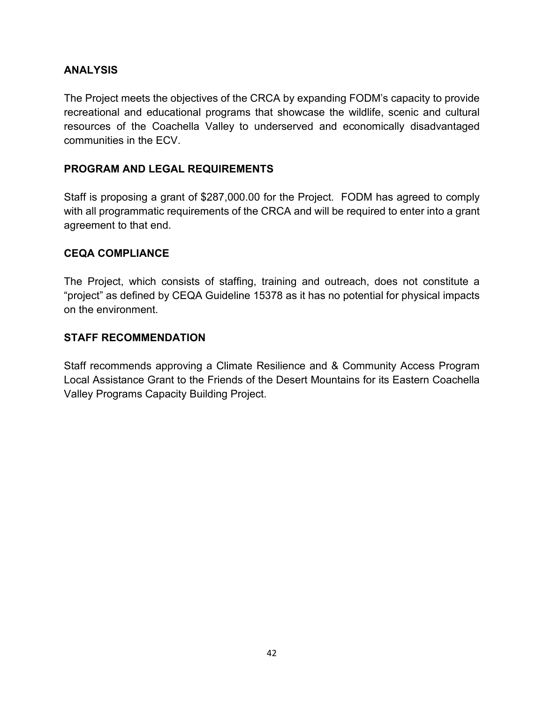# **ANALYSIS**

The Project meets the objectives of the CRCA by expanding FODM's capacity to provide recreational and educational programs that showcase the wildlife, scenic and cultural resources of the Coachella Valley to underserved and economically disadvantaged communities in the ECV.

# **PROGRAM AND LEGAL REQUIREMENTS**

Staff is proposing a grant of \$287,000.00 for the Project. FODM has agreed to comply with all programmatic requirements of the CRCA and will be required to enter into a grant agreement to that end.

#### **CEQA COMPLIANCE**

The Project, which consists of staffing, training and outreach, does not constitute a "project" as defined by CEQA Guideline 15378 as it has no potential for physical impacts on the environment.

#### **STAFF RECOMMENDATION**

Staff recommends approving a Climate Resilience and & Community Access Program Local Assistance Grant to the Friends of the Desert Mountains for its Eastern Coachella Valley Programs Capacity Building Project.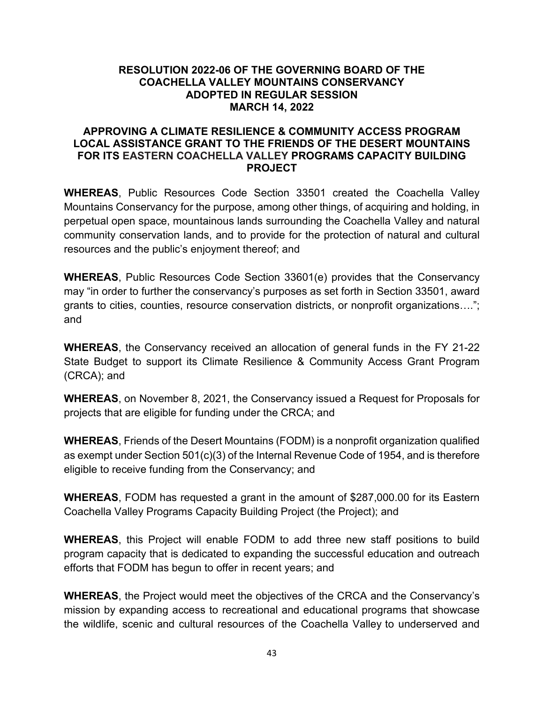#### **RESOLUTION 2022-06 OF THE GOVERNING BOARD OF THE COACHELLA VALLEY MOUNTAINS CONSERVANCY ADOPTED IN REGULAR SESSION MARCH 14, 2022**

#### **APPROVING A CLIMATE RESILIENCE & COMMUNITY ACCESS PROGRAM LOCAL ASSISTANCE GRANT TO THE FRIENDS OF THE DESERT MOUNTAINS FOR ITS EASTERN COACHELLA VALLEY PROGRAMS CAPACITY BUILDING PROJECT**

**WHEREAS**, Public Resources Code Section 33501 created the Coachella Valley Mountains Conservancy for the purpose, among other things, of acquiring and holding, in perpetual open space, mountainous lands surrounding the Coachella Valley and natural community conservation lands, and to provide for the protection of natural and cultural resources and the public's enjoyment thereof; and

**WHEREAS**, Public Resources Code Section 33601(e) provides that the Conservancy may "in order to further the conservancy's purposes as set forth in Section 33501, award grants to cities, counties, resource conservation districts, or nonprofit organizations…."; and

**WHEREAS**, the Conservancy received an allocation of general funds in the FY 21-22 State Budget to support its Climate Resilience & Community Access Grant Program (CRCA); and

**WHEREAS**, on November 8, 2021, the Conservancy issued a Request for Proposals for projects that are eligible for funding under the CRCA; and

**WHEREAS**, Friends of the Desert Mountains (FODM) is a nonprofit organization qualified as exempt under Section 501(c)(3) of the Internal Revenue Code of 1954, and is therefore eligible to receive funding from the Conservancy; and

**WHEREAS**, FODM has requested a grant in the amount of \$287,000.00 for its Eastern Coachella Valley Programs Capacity Building Project (the Project); and

**WHEREAS**, this Project will enable FODM to add three new staff positions to build program capacity that is dedicated to expanding the successful education and outreach efforts that FODM has begun to offer in recent years; and

**WHEREAS**, the Project would meet the objectives of the CRCA and the Conservancy's mission by expanding access to recreational and educational programs that showcase the wildlife, scenic and cultural resources of the Coachella Valley to underserved and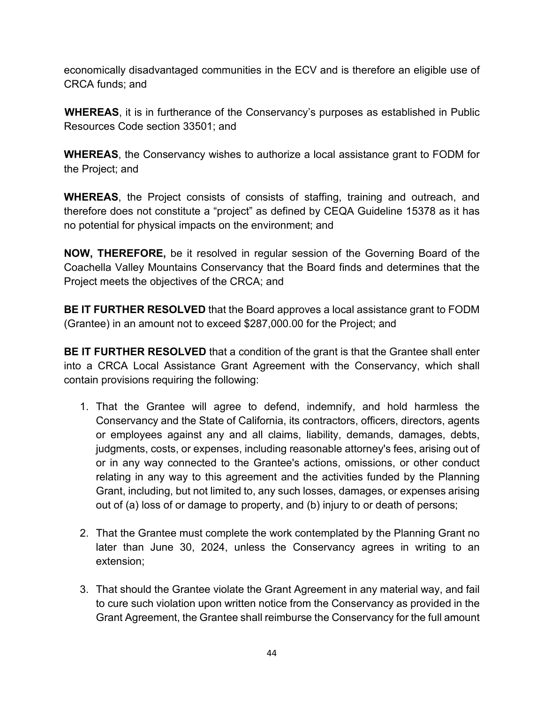economically disadvantaged communities in the ECV and is therefore an eligible use of CRCA funds; and

**WHEREAS**, it is in furtherance of the Conservancy's purposes as established in Public Resources Code section 33501; and

**WHEREAS**, the Conservancy wishes to authorize a local assistance grant to FODM for the Project; and

**WHEREAS**, the Project consists of consists of staffing, training and outreach, and therefore does not constitute a "project" as defined by CEQA Guideline 15378 as it has no potential for physical impacts on the environment; and

**NOW, THEREFORE,** be it resolved in regular session of the Governing Board of the Coachella Valley Mountains Conservancy that the Board finds and determines that the Project meets the objectives of the CRCA; and

**BE IT FURTHER RESOLVED** that the Board approves a local assistance grant to FODM (Grantee) in an amount not to exceed \$287,000.00 for the Project; and

**BE IT FURTHER RESOLVED** that a condition of the grant is that the Grantee shall enter into a CRCA Local Assistance Grant Agreement with the Conservancy, which shall contain provisions requiring the following:

- 1. That the Grantee will agree to defend, indemnify, and hold harmless the Conservancy and the State of California, its contractors, officers, directors, agents or employees against any and all claims, liability, demands, damages, debts, judgments, costs, or expenses, including reasonable attorney's fees, arising out of or in any way connected to the Grantee's actions, omissions, or other conduct relating in any way to this agreement and the activities funded by the Planning Grant, including, but not limited to, any such losses, damages, or expenses arising out of (a) loss of or damage to property, and (b) injury to or death of persons;
- 2. That the Grantee must complete the work contemplated by the Planning Grant no later than June 30, 2024, unless the Conservancy agrees in writing to an extension;
- 3. That should the Grantee violate the Grant Agreement in any material way, and fail to cure such violation upon written notice from the Conservancy as provided in the Grant Agreement, the Grantee shall reimburse the Conservancy for the full amount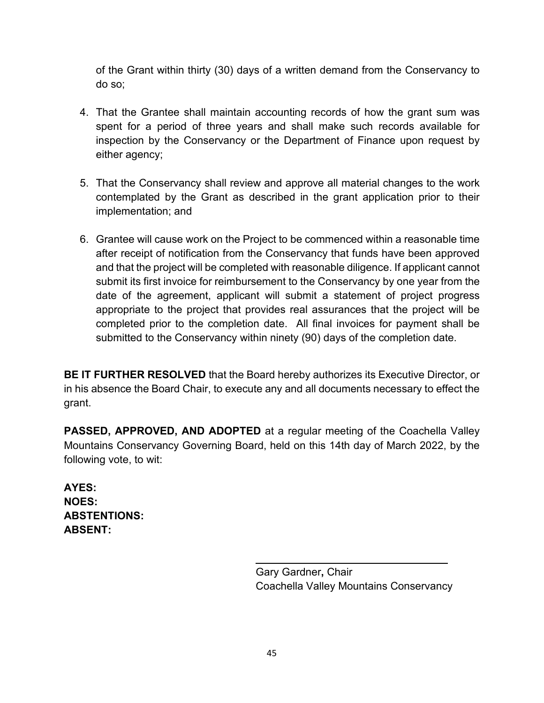of the Grant within thirty (30) days of a written demand from the Conservancy to do so;

- 4. That the Grantee shall maintain accounting records of how the grant sum was spent for a period of three years and shall make such records available for inspection by the Conservancy or the Department of Finance upon request by either agency;
- 5. That the Conservancy shall review and approve all material changes to the work contemplated by the Grant as described in the grant application prior to their implementation; and
- 6. Grantee will cause work on the Project to be commenced within a reasonable time after receipt of notification from the Conservancy that funds have been approved and that the project will be completed with reasonable diligence. If applicant cannot submit its first invoice for reimbursement to the Conservancy by one year from the date of the agreement, applicant will submit a statement of project progress appropriate to the project that provides real assurances that the project will be completed prior to the completion date. All final invoices for payment shall be submitted to the Conservancy within ninety (90) days of the completion date.

**BE IT FURTHER RESOLVED** that the Board hereby authorizes its Executive Director, or in his absence the Board Chair, to execute any and all documents necessary to effect the grant.

**PASSED, APPROVED, AND ADOPTED** at a regular meeting of the Coachella Valley Mountains Conservancy Governing Board, held on this 14th day of March 2022, by the following vote, to wit:

**AYES: NOES: ABSTENTIONS: ABSENT:** 

> Gary Gardner**,** Chair Coachella Valley Mountains Conservancy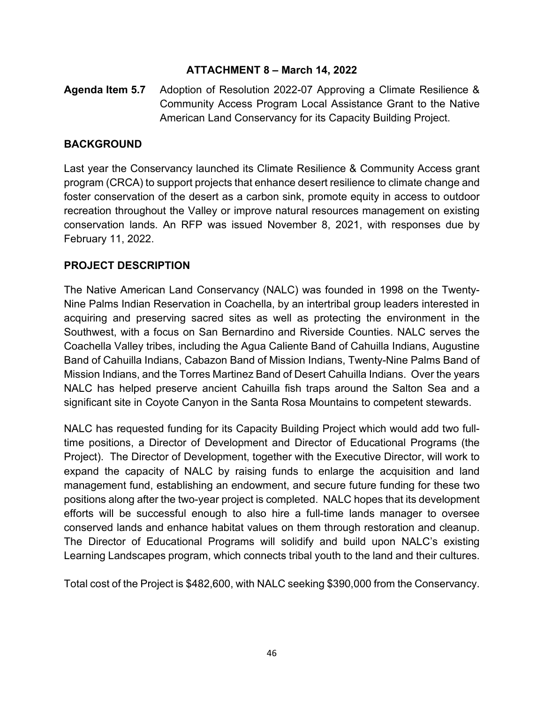# **ATTACHMENT 8 – March 14, 2022**

# **Agenda Item 5.7** Adoption of Resolution 2022-07 Approving a Climate Resilience & Community Access Program Local Assistance Grant to the Native American Land Conservancy for its Capacity Building Project.

# **BACKGROUND**

Last year the Conservancy launched its Climate Resilience & Community Access grant program (CRCA) to support projects that enhance desert resilience to climate change and foster conservation of the desert as a carbon sink, promote equity in access to outdoor recreation throughout the Valley or improve natural resources management on existing conservation lands. An RFP was issued November 8, 2021, with responses due by February 11, 2022.

# **PROJECT DESCRIPTION**

The Native American Land Conservancy (NALC) was founded in 1998 on the Twenty-Nine Palms Indian Reservation in Coachella, by an intertribal group leaders interested in acquiring and preserving sacred sites as well as protecting the environment in the Southwest, with a focus on San Bernardino and Riverside Counties. NALC serves the Coachella Valley tribes, including the Agua Caliente Band of Cahuilla Indians, Augustine Band of Cahuilla Indians, Cabazon Band of Mission Indians, Twenty-Nine Palms Band of Mission Indians, and the Torres Martinez Band of Desert Cahuilla Indians. Over the years NALC has helped preserve ancient Cahuilla fish traps around the Salton Sea and a significant site in Coyote Canyon in the Santa Rosa Mountains to competent stewards.

NALC has requested funding for its Capacity Building Project which would add two fulltime positions, a Director of Development and Director of Educational Programs (the Project). The Director of Development, together with the Executive Director, will work to expand the capacity of NALC by raising funds to enlarge the acquisition and land management fund, establishing an endowment, and secure future funding for these two positions along after the two-year project is completed. NALC hopes that its development efforts will be successful enough to also hire a full-time lands manager to oversee conserved lands and enhance habitat values on them through restoration and cleanup. The Director of Educational Programs will solidify and build upon NALC's existing Learning Landscapes program, which connects tribal youth to the land and their cultures.

Total cost of the Project is \$482,600, with NALC seeking \$390,000 from the Conservancy.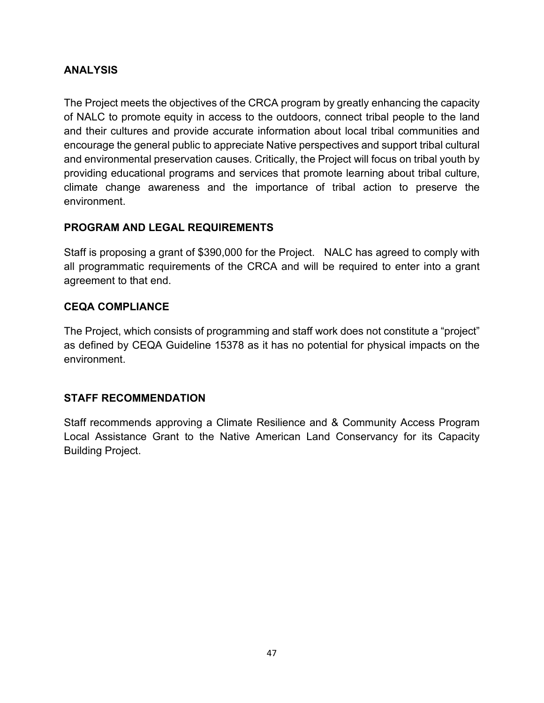# **ANALYSIS**

The Project meets the objectives of the CRCA program by greatly enhancing the capacity of NALC to promote equity in access to the outdoors, connect tribal people to the land and their cultures and provide accurate information about local tribal communities and encourage the general public to appreciate Native perspectives and support tribal cultural and environmental preservation causes. Critically, the Project will focus on tribal youth by providing educational programs and services that promote learning about tribal culture, climate change awareness and the importance of tribal action to preserve the environment.

# **PROGRAM AND LEGAL REQUIREMENTS**

Staff is proposing a grant of \$390,000 for the Project. NALC has agreed to comply with all programmatic requirements of the CRCA and will be required to enter into a grant agreement to that end.

# **CEQA COMPLIANCE**

The Project, which consists of programming and staff work does not constitute a "project" as defined by CEQA Guideline 15378 as it has no potential for physical impacts on the environment.

# **STAFF RECOMMENDATION**

Staff recommends approving a Climate Resilience and & Community Access Program Local Assistance Grant to the Native American Land Conservancy for its Capacity Building Project.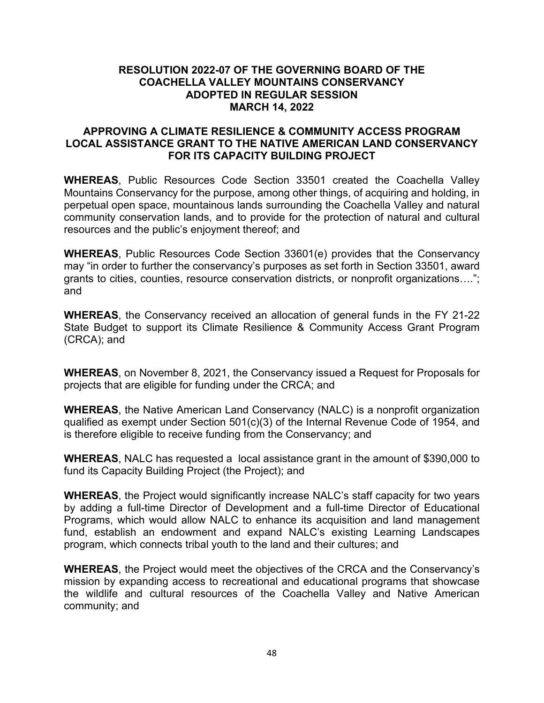#### **RESOLUTION 2022-07 OF THE GOVERNING BOARD OF THE COACHELLA VALLEY MOUNTAINS CONSERVANCY ADOPTED IN REGULAR SESSION MARCH 14, 2022**

#### **APPROVING A CLIMATE RESILIENCE & COMMUNITY ACCESS PROGRAM LOCAL ASSISTANCE GRANT TO THE NATIVE AMERICAN LAND CONSERVANCY FOR ITS CAPACITY BUILDING PROJECT**

**WHEREAS**, Public Resources Code Section 33501 created the Coachella Valley Mountains Conservancy for the purpose, among other things, of acquiring and holding, in perpetual open space, mountainous lands surrounding the Coachella Valley and natural community conservation lands, and to provide for the protection of natural and cultural resources and the public's enjoyment thereof; and

**WHEREAS**, Public Resources Code Section 33601(e) provides that the Conservancy may "in order to further the conservancy's purposes as set forth in Section 33501, award grants to cities, counties, resource conservation districts, or nonprofit organizations…."; and

**WHEREAS**, the Conservancy received an allocation of general funds in the FY 21-22 State Budget to support its Climate Resilience & Community Access Grant Program (CRCA); and

**WHEREAS**, on November 8, 2021, the Conservancy issued a Request for Proposals for projects that are eligible for funding under the CRCA; and

**WHEREAS**, the Native American Land Conservancy (NALC) is a nonprofit organization qualified as exempt under Section 501(c)(3) of the Internal Revenue Code of 1954, and is therefore eligible to receive funding from the Conservancy; and

**WHEREAS**, NALC has requested a local assistance grant in the amount of \$390,000 to fund its Capacity Building Project (the Project); and

**WHEREAS**, the Project would significantly increase NALC's staff capacity for two years by adding a full-time Director of Development and a full-time Director of Educational Programs, which would allow NALC to enhance its acquisition and land management fund, establish an endowment and expand NALC's existing Learning Landscapes program, which connects tribal youth to the land and their cultures; and

**WHEREAS**, the Project would meet the objectives of the CRCA and the Conservancy's mission by expanding access to recreational and educational programs that showcase the wildlife and cultural resources of the Coachella Valley and Native American community; and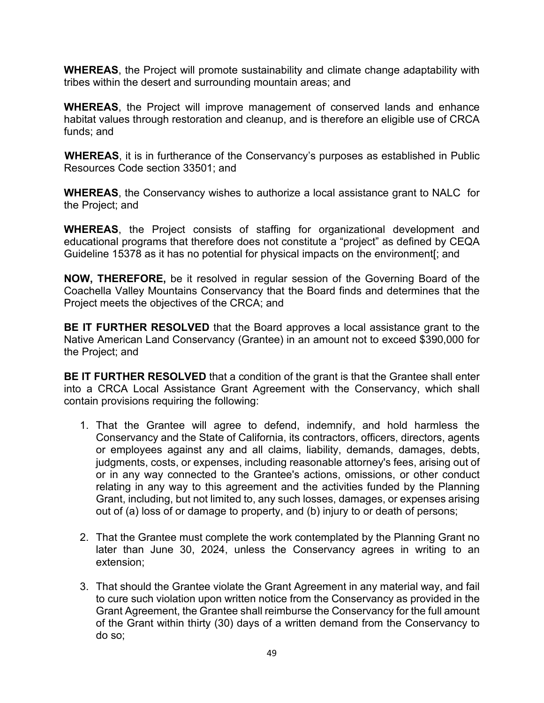**WHEREAS**, the Project will promote sustainability and climate change adaptability with tribes within the desert and surrounding mountain areas; and

**WHEREAS**, the Project will improve management of conserved lands and enhance habitat values through restoration and cleanup, and is therefore an eligible use of CRCA funds; and

**WHEREAS**, it is in furtherance of the Conservancy's purposes as established in Public Resources Code section 33501; and

**WHEREAS**, the Conservancy wishes to authorize a local assistance grant to NALC for the Project; and

**WHEREAS**, the Project consists of staffing for organizational development and educational programs that therefore does not constitute a "project" as defined by CEQA Guideline 15378 as it has no potential for physical impacts on the environment[; and

**NOW, THEREFORE,** be it resolved in regular session of the Governing Board of the Coachella Valley Mountains Conservancy that the Board finds and determines that the Project meets the objectives of the CRCA; and

**BE IT FURTHER RESOLVED** that the Board approves a local assistance grant to the Native American Land Conservancy (Grantee) in an amount not to exceed \$390,000 for the Project; and

**BE IT FURTHER RESOLVED** that a condition of the grant is that the Grantee shall enter into a CRCA Local Assistance Grant Agreement with the Conservancy, which shall contain provisions requiring the following:

- 1. That the Grantee will agree to defend, indemnify, and hold harmless the Conservancy and the State of California, its contractors, officers, directors, agents or employees against any and all claims, liability, demands, damages, debts, judgments, costs, or expenses, including reasonable attorney's fees, arising out of or in any way connected to the Grantee's actions, omissions, or other conduct relating in any way to this agreement and the activities funded by the Planning Grant, including, but not limited to, any such losses, damages, or expenses arising out of (a) loss of or damage to property, and (b) injury to or death of persons;
- 2. That the Grantee must complete the work contemplated by the Planning Grant no later than June 30, 2024, unless the Conservancy agrees in writing to an extension;
- 3. That should the Grantee violate the Grant Agreement in any material way, and fail to cure such violation upon written notice from the Conservancy as provided in the Grant Agreement, the Grantee shall reimburse the Conservancy for the full amount of the Grant within thirty (30) days of a written demand from the Conservancy to do so;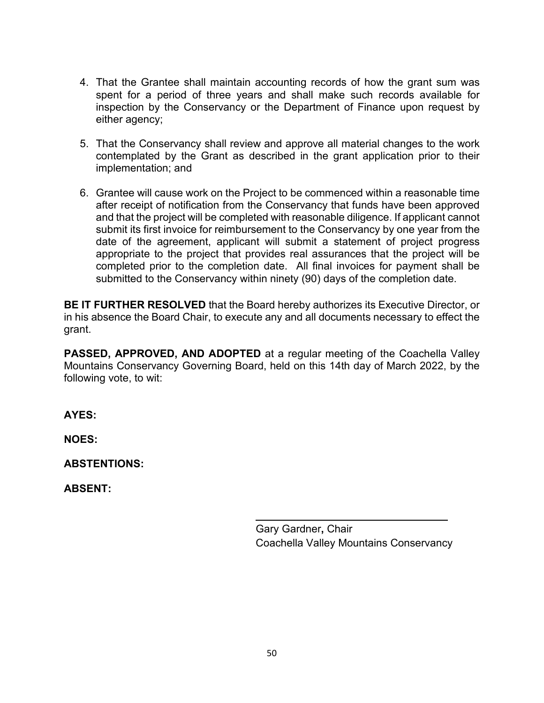- 4. That the Grantee shall maintain accounting records of how the grant sum was spent for a period of three years and shall make such records available for inspection by the Conservancy or the Department of Finance upon request by either agency;
- 5. That the Conservancy shall review and approve all material changes to the work contemplated by the Grant as described in the grant application prior to their implementation; and
- 6. Grantee will cause work on the Project to be commenced within a reasonable time after receipt of notification from the Conservancy that funds have been approved and that the project will be completed with reasonable diligence. If applicant cannot submit its first invoice for reimbursement to the Conservancy by one year from the date of the agreement, applicant will submit a statement of project progress appropriate to the project that provides real assurances that the project will be completed prior to the completion date. All final invoices for payment shall be submitted to the Conservancy within ninety (90) days of the completion date.

**BE IT FURTHER RESOLVED** that the Board hereby authorizes its Executive Director, or in his absence the Board Chair, to execute any and all documents necessary to effect the grant.

**PASSED, APPROVED, AND ADOPTED** at a regular meeting of the Coachella Valley Mountains Conservancy Governing Board, held on this 14th day of March 2022, by the following vote, to wit:

**AYES:** 

**NOES:** 

**ABSTENTIONS:** 

**ABSENT:** 

Gary Gardner**,** Chair Coachella Valley Mountains Conservancy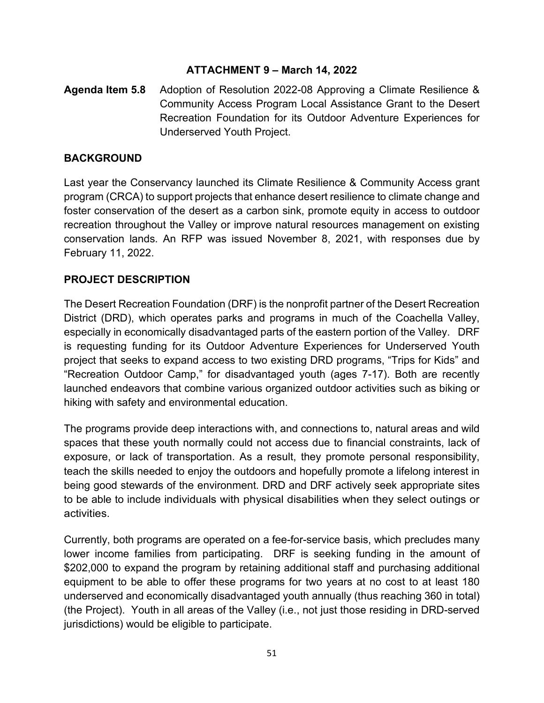# **ATTACHMENT 9 – March 14, 2022**

**Agenda Item 5.8** Adoption of Resolution 2022-08 Approving a Climate Resilience & Community Access Program Local Assistance Grant to the Desert Recreation Foundation for its Outdoor Adventure Experiences for Underserved Youth Project.

# **BACKGROUND**

Last year the Conservancy launched its Climate Resilience & Community Access grant program (CRCA) to support projects that enhance desert resilience to climate change and foster conservation of the desert as a carbon sink, promote equity in access to outdoor recreation throughout the Valley or improve natural resources management on existing conservation lands. An RFP was issued November 8, 2021, with responses due by February 11, 2022.

# **PROJECT DESCRIPTION**

The Desert Recreation Foundation (DRF) is the nonprofit partner of the Desert Recreation District (DRD), which operates parks and programs in much of the Coachella Valley, especially in economically disadvantaged parts of the eastern portion of the Valley. DRF is requesting funding for its Outdoor Adventure Experiences for Underserved Youth project that seeks to expand access to two existing DRD programs, "Trips for Kids" and "Recreation Outdoor Camp," for disadvantaged youth (ages 7-17). Both are recently launched endeavors that combine various organized outdoor activities such as biking or hiking with safety and environmental education.

The programs provide deep interactions with, and connections to, natural areas and wild spaces that these youth normally could not access due to financial constraints, lack of exposure, or lack of transportation. As a result, they promote personal responsibility, teach the skills needed to enjoy the outdoors and hopefully promote a lifelong interest in being good stewards of the environment. DRD and DRF actively seek appropriate sites to be able to include individuals with physical disabilities when they select outings or activities.

Currently, both programs are operated on a fee-for-service basis, which precludes many lower income families from participating. DRF is seeking funding in the amount of \$202,000 to expand the program by retaining additional staff and purchasing additional equipment to be able to offer these programs for two years at no cost to at least 180 underserved and economically disadvantaged youth annually (thus reaching 360 in total) (the Project). Youth in all areas of the Valley (i.e., not just those residing in DRD-served jurisdictions) would be eligible to participate.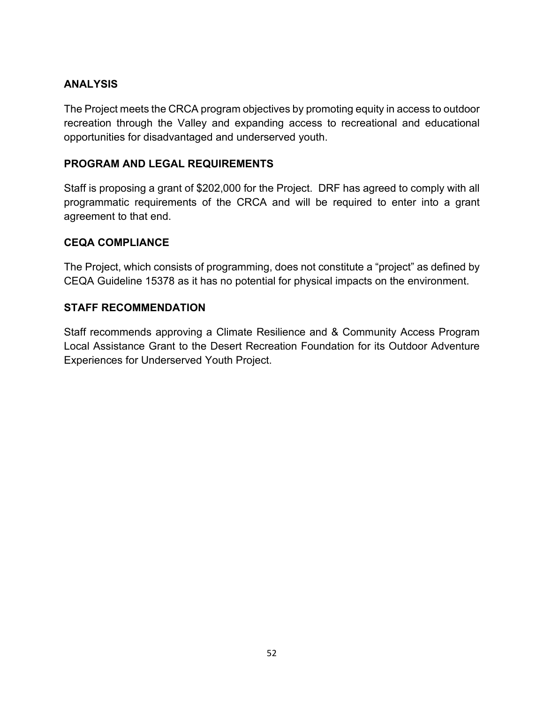# **ANALYSIS**

The Project meets the CRCA program objectives by promoting equity in access to outdoor recreation through the Valley and expanding access to recreational and educational opportunities for disadvantaged and underserved youth.

# **PROGRAM AND LEGAL REQUIREMENTS**

Staff is proposing a grant of \$202,000 for the Project. DRF has agreed to comply with all programmatic requirements of the CRCA and will be required to enter into a grant agreement to that end.

# **CEQA COMPLIANCE**

The Project, which consists of programming, does not constitute a "project" as defined by CEQA Guideline 15378 as it has no potential for physical impacts on the environment.

# **STAFF RECOMMENDATION**

Staff recommends approving a Climate Resilience and & Community Access Program Local Assistance Grant to the Desert Recreation Foundation for its Outdoor Adventure Experiences for Underserved Youth Project.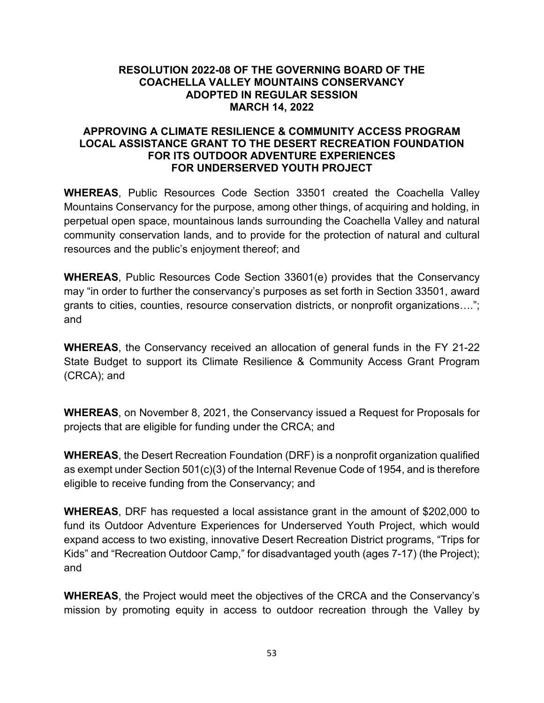#### **RESOLUTION 2022-08 OF THE GOVERNING BOARD OF THE COACHELLA VALLEY MOUNTAINS CONSERVANCY ADOPTED IN REGULAR SESSION MARCH 14, 2022**

#### **APPROVING A CLIMATE RESILIENCE & COMMUNITY ACCESS PROGRAM LOCAL ASSISTANCE GRANT TO THE DESERT RECREATION FOUNDATION FOR ITS OUTDOOR ADVENTURE EXPERIENCES FOR UNDERSERVED YOUTH PROJECT**

**WHEREAS**, Public Resources Code Section 33501 created the Coachella Valley Mountains Conservancy for the purpose, among other things, of acquiring and holding, in perpetual open space, mountainous lands surrounding the Coachella Valley and natural community conservation lands, and to provide for the protection of natural and cultural resources and the public's enjoyment thereof; and

**WHEREAS**, Public Resources Code Section 33601(e) provides that the Conservancy may "in order to further the conservancy's purposes as set forth in Section 33501, award grants to cities, counties, resource conservation districts, or nonprofit organizations…."; and

**WHEREAS**, the Conservancy received an allocation of general funds in the FY 21-22 State Budget to support its Climate Resilience & Community Access Grant Program (CRCA); and

**WHEREAS**, on November 8, 2021, the Conservancy issued a Request for Proposals for projects that are eligible for funding under the CRCA; and

**WHEREAS**, the Desert Recreation Foundation (DRF) is a nonprofit organization qualified as exempt under Section 501(c)(3) of the Internal Revenue Code of 1954, and is therefore eligible to receive funding from the Conservancy; and

**WHEREAS**, DRF has requested a local assistance grant in the amount of \$202,000 to fund its Outdoor Adventure Experiences for Underserved Youth Project, which would expand access to two existing, innovative Desert Recreation District programs, "Trips for Kids" and "Recreation Outdoor Camp," for disadvantaged youth (ages 7-17) (the Project); and

**WHEREAS**, the Project would meet the objectives of the CRCA and the Conservancy's mission by promoting equity in access to outdoor recreation through the Valley by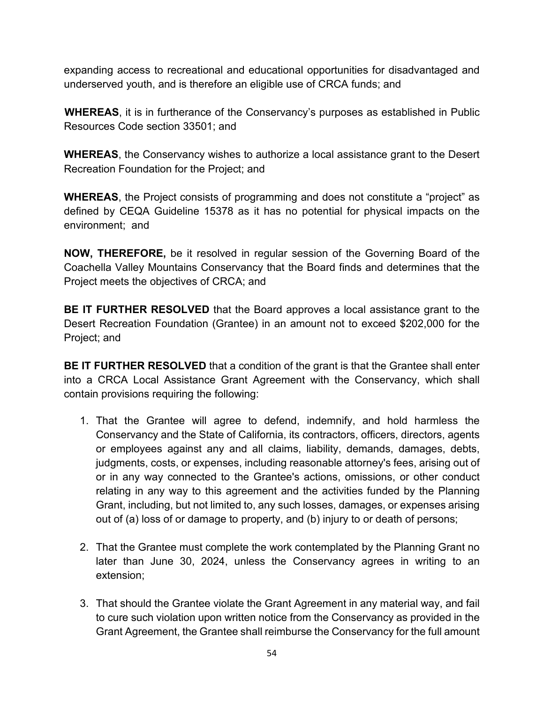expanding access to recreational and educational opportunities for disadvantaged and underserved youth, and is therefore an eligible use of CRCA funds; and

**WHEREAS**, it is in furtherance of the Conservancy's purposes as established in Public Resources Code section 33501; and

**WHEREAS**, the Conservancy wishes to authorize a local assistance grant to the Desert Recreation Foundation for the Project; and

**WHEREAS**, the Project consists of programming and does not constitute a "project" as defined by CEQA Guideline 15378 as it has no potential for physical impacts on the environment; and

**NOW, THEREFORE,** be it resolved in regular session of the Governing Board of the Coachella Valley Mountains Conservancy that the Board finds and determines that the Project meets the objectives of CRCA; and

**BE IT FURTHER RESOLVED** that the Board approves a local assistance grant to the Desert Recreation Foundation (Grantee) in an amount not to exceed \$202,000 for the Project; and

**BE IT FURTHER RESOLVED** that a condition of the grant is that the Grantee shall enter into a CRCA Local Assistance Grant Agreement with the Conservancy, which shall contain provisions requiring the following:

- 1. That the Grantee will agree to defend, indemnify, and hold harmless the Conservancy and the State of California, its contractors, officers, directors, agents or employees against any and all claims, liability, demands, damages, debts, judgments, costs, or expenses, including reasonable attorney's fees, arising out of or in any way connected to the Grantee's actions, omissions, or other conduct relating in any way to this agreement and the activities funded by the Planning Grant, including, but not limited to, any such losses, damages, or expenses arising out of (a) loss of or damage to property, and (b) injury to or death of persons;
- 2. That the Grantee must complete the work contemplated by the Planning Grant no later than June 30, 2024, unless the Conservancy agrees in writing to an extension;
- 3. That should the Grantee violate the Grant Agreement in any material way, and fail to cure such violation upon written notice from the Conservancy as provided in the Grant Agreement, the Grantee shall reimburse the Conservancy for the full amount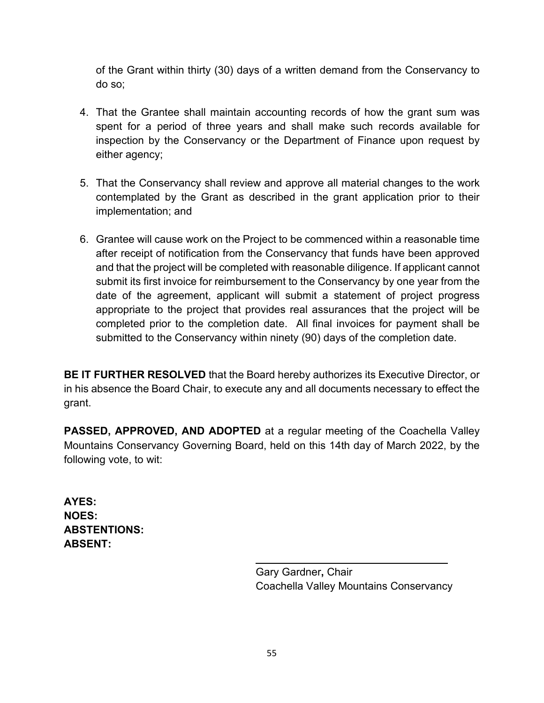of the Grant within thirty (30) days of a written demand from the Conservancy to do so;

- 4. That the Grantee shall maintain accounting records of how the grant sum was spent for a period of three years and shall make such records available for inspection by the Conservancy or the Department of Finance upon request by either agency;
- 5. That the Conservancy shall review and approve all material changes to the work contemplated by the Grant as described in the grant application prior to their implementation; and
- 6. Grantee will cause work on the Project to be commenced within a reasonable time after receipt of notification from the Conservancy that funds have been approved and that the project will be completed with reasonable diligence. If applicant cannot submit its first invoice for reimbursement to the Conservancy by one year from the date of the agreement, applicant will submit a statement of project progress appropriate to the project that provides real assurances that the project will be completed prior to the completion date. All final invoices for payment shall be submitted to the Conservancy within ninety (90) days of the completion date.

**BE IT FURTHER RESOLVED** that the Board hereby authorizes its Executive Director, or in his absence the Board Chair, to execute any and all documents necessary to effect the grant.

**PASSED, APPROVED, AND ADOPTED** at a regular meeting of the Coachella Valley Mountains Conservancy Governing Board, held on this 14th day of March 2022, by the following vote, to wit:

**AYES: NOES: ABSTENTIONS: ABSENT:** 

> Gary Gardner**,** Chair Coachella Valley Mountains Conservancy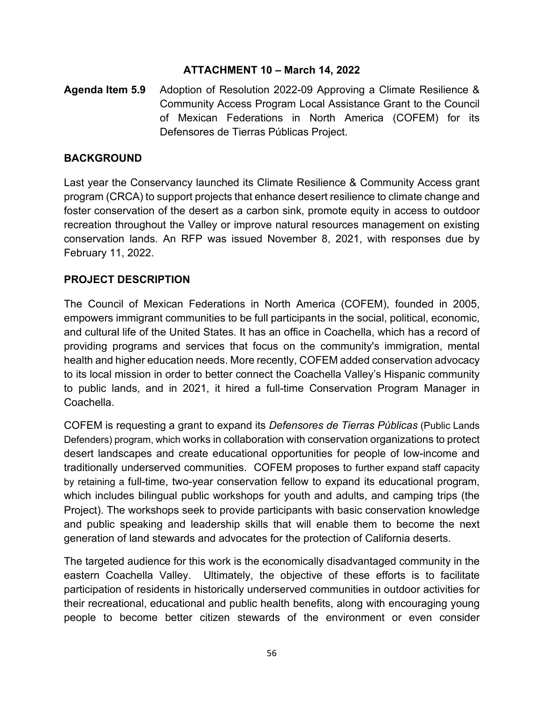# **ATTACHMENT 10 – March 14, 2022**

# **Agenda Item 5.9** Adoption of Resolution 2022-09 Approving a Climate Resilience & Community Access Program Local Assistance Grant to the Council of Mexican Federations in North America (COFEM) for its Defensores de Tierras Públicas Project.

# **BACKGROUND**

Last year the Conservancy launched its Climate Resilience & Community Access grant program (CRCA) to support projects that enhance desert resilience to climate change and foster conservation of the desert as a carbon sink, promote equity in access to outdoor recreation throughout the Valley or improve natural resources management on existing conservation lands. An RFP was issued November 8, 2021, with responses due by February 11, 2022.

# **PROJECT DESCRIPTION**

The Council of Mexican Federations in North America (COFEM), founded in 2005, empowers immigrant communities to be full participants in the social, political, economic, and cultural life of the United States. It has an office in Coachella, which has a record of providing programs and services that focus on the community's immigration, mental health and higher education needs. More recently, COFEM added conservation advocacy to its local mission in order to better connect the Coachella Valley's Hispanic community to public lands, and in 2021, it hired a full-time Conservation Program Manager in Coachella.

COFEM is requesting a grant to expand its *Defensores de Tierras Públicas* (Public Lands Defenders) program, which works in collaboration with conservation organizations to protect desert landscapes and create educational opportunities for people of low-income and traditionally underserved communities. COFEM proposes to further expand staff capacity by retaining a full-time, two-year conservation fellow to expand its educational program, which includes bilingual public workshops for youth and adults, and camping trips (the Project). The workshops seek to provide participants with basic conservation knowledge and public speaking and leadership skills that will enable them to become the next generation of land stewards and advocates for the protection of California deserts.

The targeted audience for this work is the economically disadvantaged community in the eastern Coachella Valley. Ultimately, the objective of these efforts is to facilitate participation of residents in historically underserved communities in outdoor activities for their recreational, educational and public health benefits, along with encouraging young people to become better citizen stewards of the environment or even consider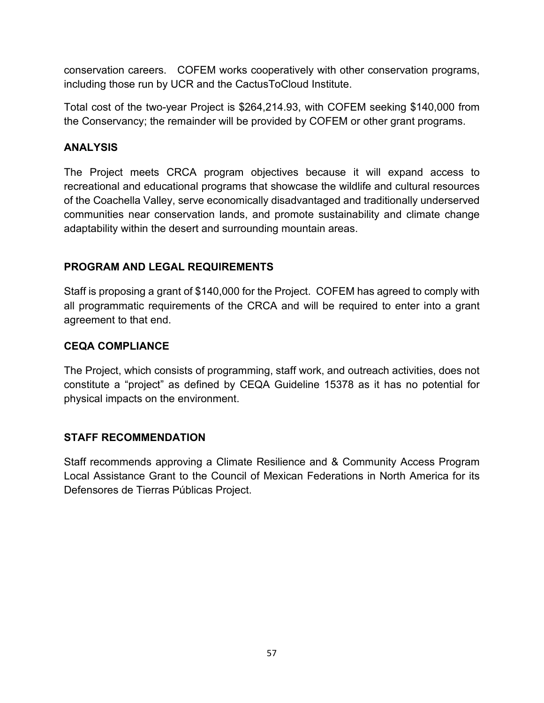conservation careers. COFEM works cooperatively with other conservation programs, including those run by UCR and the CactusToCloud Institute.

Total cost of the two-year Project is \$264,214.93, with COFEM seeking \$140,000 from the Conservancy; the remainder will be provided by COFEM or other grant programs.

# **ANALYSIS**

The Project meets CRCA program objectives because it will expand access to recreational and educational programs that showcase the wildlife and cultural resources of the Coachella Valley, serve economically disadvantaged and traditionally underserved communities near conservation lands, and promote sustainability and climate change adaptability within the desert and surrounding mountain areas.

# **PROGRAM AND LEGAL REQUIREMENTS**

Staff is proposing a grant of \$140,000 for the Project. COFEM has agreed to comply with all programmatic requirements of the CRCA and will be required to enter into a grant agreement to that end.

# **CEQA COMPLIANCE**

The Project, which consists of programming, staff work, and outreach activities, does not constitute a "project" as defined by CEQA Guideline 15378 as it has no potential for physical impacts on the environment.

# **STAFF RECOMMENDATION**

Staff recommends approving a Climate Resilience and & Community Access Program Local Assistance Grant to the Council of Mexican Federations in North America for its Defensores de Tierras Públicas Project.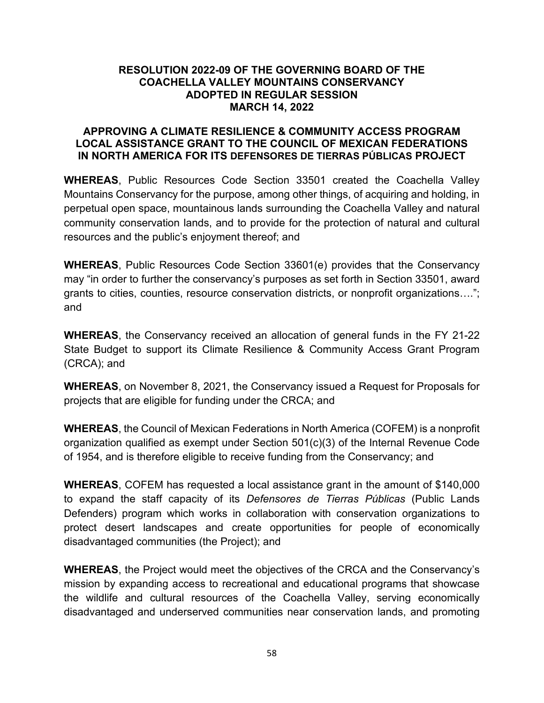#### **RESOLUTION 2022-09 OF THE GOVERNING BOARD OF THE COACHELLA VALLEY MOUNTAINS CONSERVANCY ADOPTED IN REGULAR SESSION MARCH 14, 2022**

#### **APPROVING A CLIMATE RESILIENCE & COMMUNITY ACCESS PROGRAM LOCAL ASSISTANCE GRANT TO THE COUNCIL OF MEXICAN FEDERATIONS IN NORTH AMERICA FOR ITS DEFENSORES DE TIERRAS PÚBLICAS PROJECT**

**WHEREAS**, Public Resources Code Section 33501 created the Coachella Valley Mountains Conservancy for the purpose, among other things, of acquiring and holding, in perpetual open space, mountainous lands surrounding the Coachella Valley and natural community conservation lands, and to provide for the protection of natural and cultural resources and the public's enjoyment thereof; and

**WHEREAS**, Public Resources Code Section 33601(e) provides that the Conservancy may "in order to further the conservancy's purposes as set forth in Section 33501, award grants to cities, counties, resource conservation districts, or nonprofit organizations…."; and

**WHEREAS**, the Conservancy received an allocation of general funds in the FY 21-22 State Budget to support its Climate Resilience & Community Access Grant Program (CRCA); and

**WHEREAS**, on November 8, 2021, the Conservancy issued a Request for Proposals for projects that are eligible for funding under the CRCA; and

**WHEREAS**, the Council of Mexican Federations in North America (COFEM) is a nonprofit organization qualified as exempt under Section 501(c)(3) of the Internal Revenue Code of 1954, and is therefore eligible to receive funding from the Conservancy; and

**WHEREAS**, COFEM has requested a local assistance grant in the amount of \$140,000 to expand the staff capacity of its *Defensores de Tierras Públicas* (Public Lands Defenders) program which works in collaboration with conservation organizations to protect desert landscapes and create opportunities for people of economically disadvantaged communities (the Project); and

**WHEREAS**, the Project would meet the objectives of the CRCA and the Conservancy's mission by expanding access to recreational and educational programs that showcase the wildlife and cultural resources of the Coachella Valley, serving economically disadvantaged and underserved communities near conservation lands, and promoting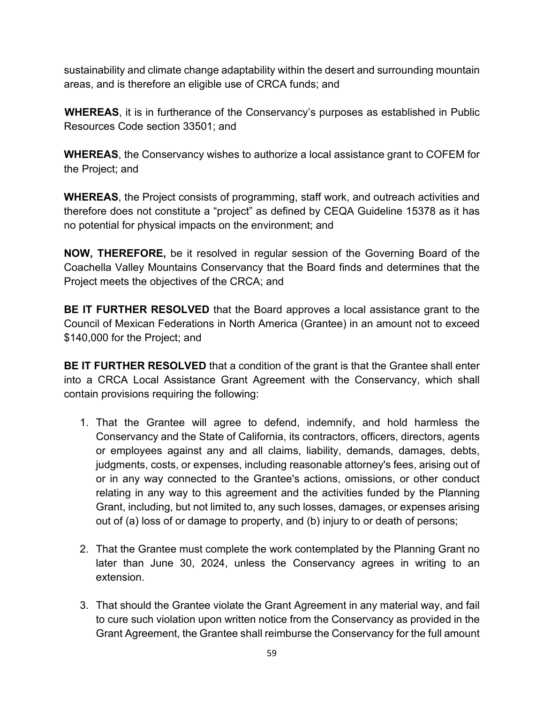sustainability and climate change adaptability within the desert and surrounding mountain areas, and is therefore an eligible use of CRCA funds; and

**WHEREAS**, it is in furtherance of the Conservancy's purposes as established in Public Resources Code section 33501; and

**WHEREAS**, the Conservancy wishes to authorize a local assistance grant to COFEM for the Project; and

**WHEREAS**, the Project consists of programming, staff work, and outreach activities and therefore does not constitute a "project" as defined by CEQA Guideline 15378 as it has no potential for physical impacts on the environment; and

**NOW, THEREFORE,** be it resolved in regular session of the Governing Board of the Coachella Valley Mountains Conservancy that the Board finds and determines that the Project meets the objectives of the CRCA; and

**BE IT FURTHER RESOLVED** that the Board approves a local assistance grant to the Council of Mexican Federations in North America (Grantee) in an amount not to exceed \$140,000 for the Project; and

**BE IT FURTHER RESOLVED** that a condition of the grant is that the Grantee shall enter into a CRCA Local Assistance Grant Agreement with the Conservancy, which shall contain provisions requiring the following:

- 1. That the Grantee will agree to defend, indemnify, and hold harmless the Conservancy and the State of California, its contractors, officers, directors, agents or employees against any and all claims, liability, demands, damages, debts, judgments, costs, or expenses, including reasonable attorney's fees, arising out of or in any way connected to the Grantee's actions, omissions, or other conduct relating in any way to this agreement and the activities funded by the Planning Grant, including, but not limited to, any such losses, damages, or expenses arising out of (a) loss of or damage to property, and (b) injury to or death of persons;
- 2. That the Grantee must complete the work contemplated by the Planning Grant no later than June 30, 2024, unless the Conservancy agrees in writing to an extension.
- 3. That should the Grantee violate the Grant Agreement in any material way, and fail to cure such violation upon written notice from the Conservancy as provided in the Grant Agreement, the Grantee shall reimburse the Conservancy for the full amount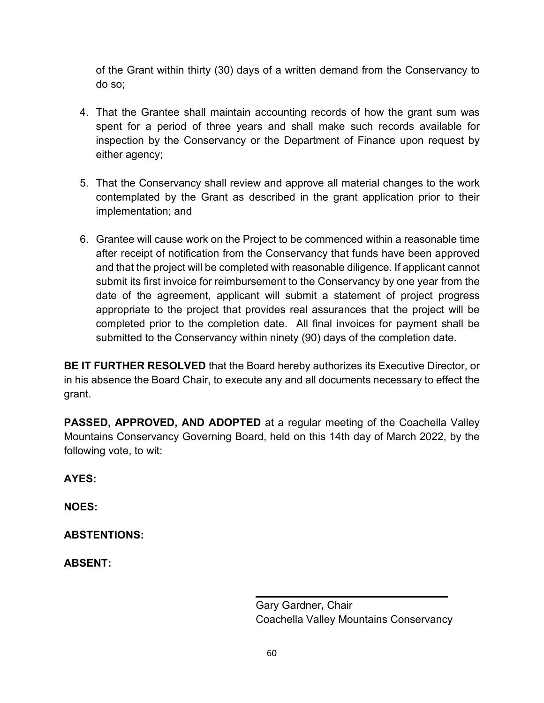of the Grant within thirty (30) days of a written demand from the Conservancy to do so;

- 4. That the Grantee shall maintain accounting records of how the grant sum was spent for a period of three years and shall make such records available for inspection by the Conservancy or the Department of Finance upon request by either agency;
- 5. That the Conservancy shall review and approve all material changes to the work contemplated by the Grant as described in the grant application prior to their implementation; and
- 6. Grantee will cause work on the Project to be commenced within a reasonable time after receipt of notification from the Conservancy that funds have been approved and that the project will be completed with reasonable diligence. If applicant cannot submit its first invoice for reimbursement to the Conservancy by one year from the date of the agreement, applicant will submit a statement of project progress appropriate to the project that provides real assurances that the project will be completed prior to the completion date. All final invoices for payment shall be submitted to the Conservancy within ninety (90) days of the completion date.

**BE IT FURTHER RESOLVED** that the Board hereby authorizes its Executive Director, or in his absence the Board Chair, to execute any and all documents necessary to effect the grant.

**PASSED, APPROVED, AND ADOPTED** at a regular meeting of the Coachella Valley Mountains Conservancy Governing Board, held on this 14th day of March 2022, by the following vote, to wit:

**AYES:** 

**NOES:** 

**ABSTENTIONS:** 

**ABSENT:** 

Gary Gardner**,** Chair Coachella Valley Mountains Conservancy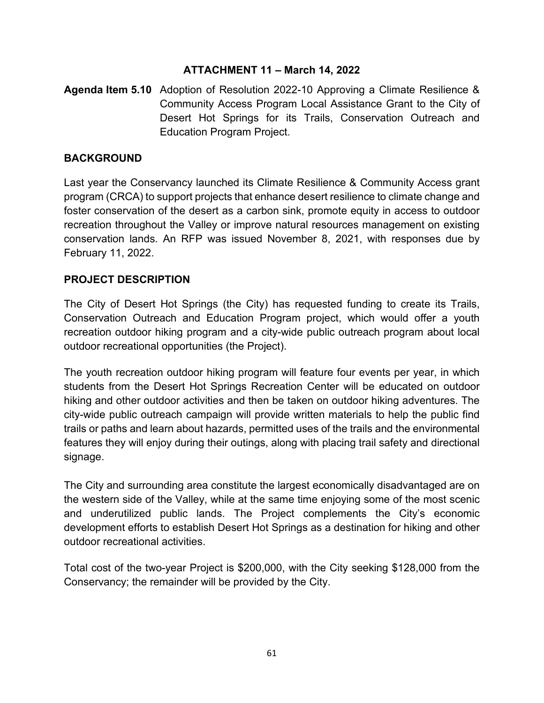# **ATTACHMENT 11 – March 14, 2022**

**Agenda Item 5.10** Adoption of Resolution 2022-10 Approving a Climate Resilience & Community Access Program Local Assistance Grant to the City of Desert Hot Springs for its Trails, Conservation Outreach and Education Program Project.

# **BACKGROUND**

Last year the Conservancy launched its Climate Resilience & Community Access grant program (CRCA) to support projects that enhance desert resilience to climate change and foster conservation of the desert as a carbon sink, promote equity in access to outdoor recreation throughout the Valley or improve natural resources management on existing conservation lands. An RFP was issued November 8, 2021, with responses due by February 11, 2022.

# **PROJECT DESCRIPTION**

The City of Desert Hot Springs (the City) has requested funding to create its Trails, Conservation Outreach and Education Program project, which would offer a youth recreation outdoor hiking program and a city-wide public outreach program about local outdoor recreational opportunities (the Project).

The youth recreation outdoor hiking program will feature four events per year, in which students from the Desert Hot Springs Recreation Center will be educated on outdoor hiking and other outdoor activities and then be taken on outdoor hiking adventures. The city-wide public outreach campaign will provide written materials to help the public find trails or paths and learn about hazards, permitted uses of the trails and the environmental features they will enjoy during their outings, along with placing trail safety and directional signage.

The City and surrounding area constitute the largest economically disadvantaged are on the western side of the Valley, while at the same time enjoying some of the most scenic and underutilized public lands. The Project complements the City's economic development efforts to establish Desert Hot Springs as a destination for hiking and other outdoor recreational activities.

Total cost of the two-year Project is \$200,000, with the City seeking \$128,000 from the Conservancy; the remainder will be provided by the City.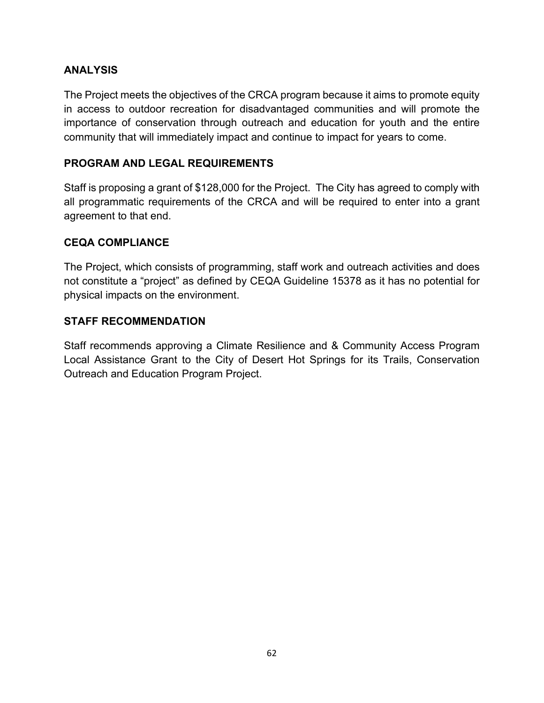# **ANALYSIS**

The Project meets the objectives of the CRCA program because it aims to promote equity in access to outdoor recreation for disadvantaged communities and will promote the importance of conservation through outreach and education for youth and the entire community that will immediately impact and continue to impact for years to come.

# **PROGRAM AND LEGAL REQUIREMENTS**

Staff is proposing a grant of \$128,000 for the Project. The City has agreed to comply with all programmatic requirements of the CRCA and will be required to enter into a grant agreement to that end.

# **CEQA COMPLIANCE**

The Project, which consists of programming, staff work and outreach activities and does not constitute a "project" as defined by CEQA Guideline 15378 as it has no potential for physical impacts on the environment.

# **STAFF RECOMMENDATION**

Staff recommends approving a Climate Resilience and & Community Access Program Local Assistance Grant to the City of Desert Hot Springs for its Trails, Conservation Outreach and Education Program Project.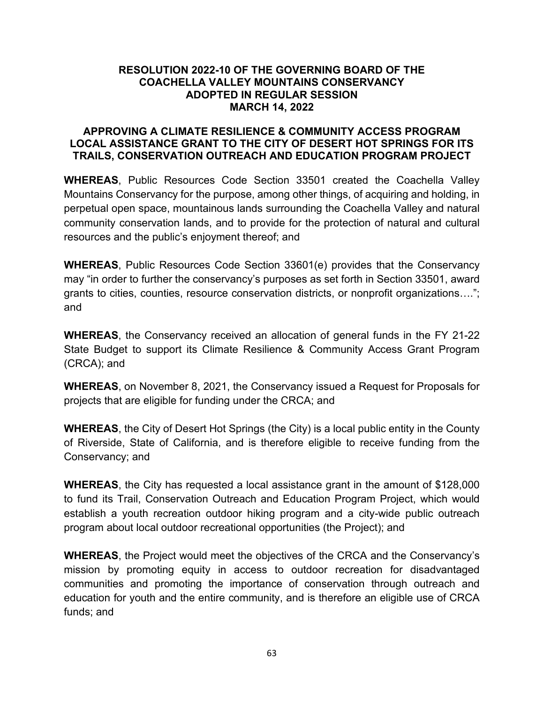#### **RESOLUTION 2022-10 OF THE GOVERNING BOARD OF THE COACHELLA VALLEY MOUNTAINS CONSERVANCY ADOPTED IN REGULAR SESSION MARCH 14, 2022**

#### **APPROVING A CLIMATE RESILIENCE & COMMUNITY ACCESS PROGRAM LOCAL ASSISTANCE GRANT TO THE CITY OF DESERT HOT SPRINGS FOR ITS TRAILS, CONSERVATION OUTREACH AND EDUCATION PROGRAM PROJECT**

**WHEREAS**, Public Resources Code Section 33501 created the Coachella Valley Mountains Conservancy for the purpose, among other things, of acquiring and holding, in perpetual open space, mountainous lands surrounding the Coachella Valley and natural community conservation lands, and to provide for the protection of natural and cultural resources and the public's enjoyment thereof; and

**WHEREAS**, Public Resources Code Section 33601(e) provides that the Conservancy may "in order to further the conservancy's purposes as set forth in Section 33501, award grants to cities, counties, resource conservation districts, or nonprofit organizations…."; and

**WHEREAS**, the Conservancy received an allocation of general funds in the FY 21-22 State Budget to support its Climate Resilience & Community Access Grant Program (CRCA); and

**WHEREAS**, on November 8, 2021, the Conservancy issued a Request for Proposals for projects that are eligible for funding under the CRCA; and

**WHEREAS**, the City of Desert Hot Springs (the City) is a local public entity in the County of Riverside, State of California, and is therefore eligible to receive funding from the Conservancy; and

**WHEREAS**, the City has requested a local assistance grant in the amount of \$128,000 to fund its Trail, Conservation Outreach and Education Program Project, which would establish a youth recreation outdoor hiking program and a city-wide public outreach program about local outdoor recreational opportunities (the Project); and

**WHEREAS**, the Project would meet the objectives of the CRCA and the Conservancy's mission by promoting equity in access to outdoor recreation for disadvantaged communities and promoting the importance of conservation through outreach and education for youth and the entire community, and is therefore an eligible use of CRCA funds; and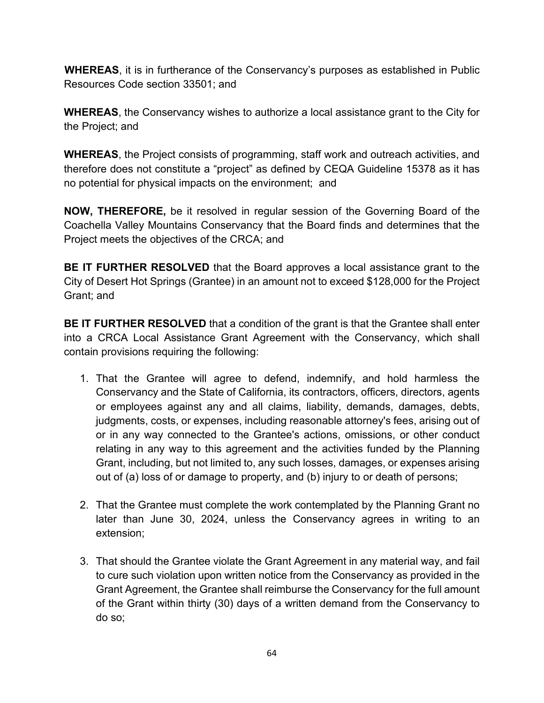**WHEREAS**, it is in furtherance of the Conservancy's purposes as established in Public Resources Code section 33501; and

**WHEREAS**, the Conservancy wishes to authorize a local assistance grant to the City for the Project; and

**WHEREAS**, the Project consists of programming, staff work and outreach activities, and therefore does not constitute a "project" as defined by CEQA Guideline 15378 as it has no potential for physical impacts on the environment; and

**NOW, THEREFORE,** be it resolved in regular session of the Governing Board of the Coachella Valley Mountains Conservancy that the Board finds and determines that the Project meets the objectives of the CRCA; and

**BE IT FURTHER RESOLVED** that the Board approves a local assistance grant to the City of Desert Hot Springs (Grantee) in an amount not to exceed \$128,000 for the Project Grant; and

**BE IT FURTHER RESOLVED** that a condition of the grant is that the Grantee shall enter into a CRCA Local Assistance Grant Agreement with the Conservancy, which shall contain provisions requiring the following:

- 1. That the Grantee will agree to defend, indemnify, and hold harmless the Conservancy and the State of California, its contractors, officers, directors, agents or employees against any and all claims, liability, demands, damages, debts, judgments, costs, or expenses, including reasonable attorney's fees, arising out of or in any way connected to the Grantee's actions, omissions, or other conduct relating in any way to this agreement and the activities funded by the Planning Grant, including, but not limited to, any such losses, damages, or expenses arising out of (a) loss of or damage to property, and (b) injury to or death of persons;
- 2. That the Grantee must complete the work contemplated by the Planning Grant no later than June 30, 2024, unless the Conservancy agrees in writing to an extension;
- 3. That should the Grantee violate the Grant Agreement in any material way, and fail to cure such violation upon written notice from the Conservancy as provided in the Grant Agreement, the Grantee shall reimburse the Conservancy for the full amount of the Grant within thirty (30) days of a written demand from the Conservancy to do so;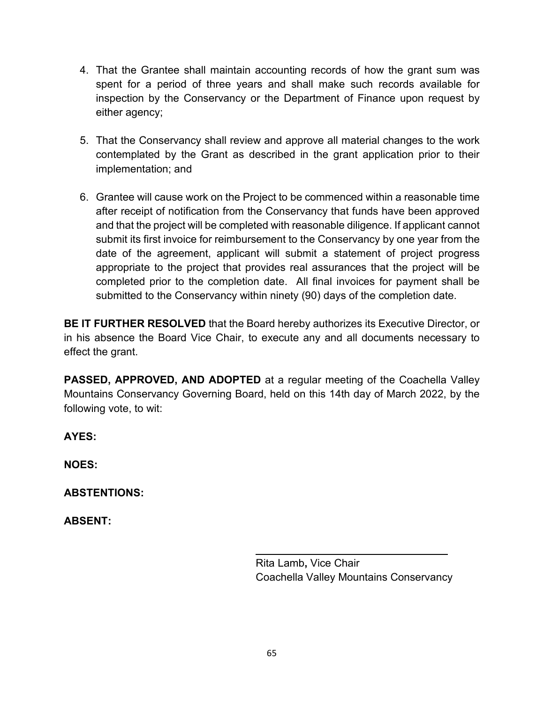- 4. That the Grantee shall maintain accounting records of how the grant sum was spent for a period of three years and shall make such records available for inspection by the Conservancy or the Department of Finance upon request by either agency;
- 5. That the Conservancy shall review and approve all material changes to the work contemplated by the Grant as described in the grant application prior to their implementation; and
- 6. Grantee will cause work on the Project to be commenced within a reasonable time after receipt of notification from the Conservancy that funds have been approved and that the project will be completed with reasonable diligence. If applicant cannot submit its first invoice for reimbursement to the Conservancy by one year from the date of the agreement, applicant will submit a statement of project progress appropriate to the project that provides real assurances that the project will be completed prior to the completion date. All final invoices for payment shall be submitted to the Conservancy within ninety (90) days of the completion date.

**BE IT FURTHER RESOLVED** that the Board hereby authorizes its Executive Director, or in his absence the Board Vice Chair, to execute any and all documents necessary to effect the grant.

**PASSED, APPROVED, AND ADOPTED** at a regular meeting of the Coachella Valley Mountains Conservancy Governing Board, held on this 14th day of March 2022, by the following vote, to wit:

**AYES:** 

**NOES:** 

**ABSTENTIONS:** 

**ABSENT:** 

Rita Lamb**,** Vice Chair Coachella Valley Mountains Conservancy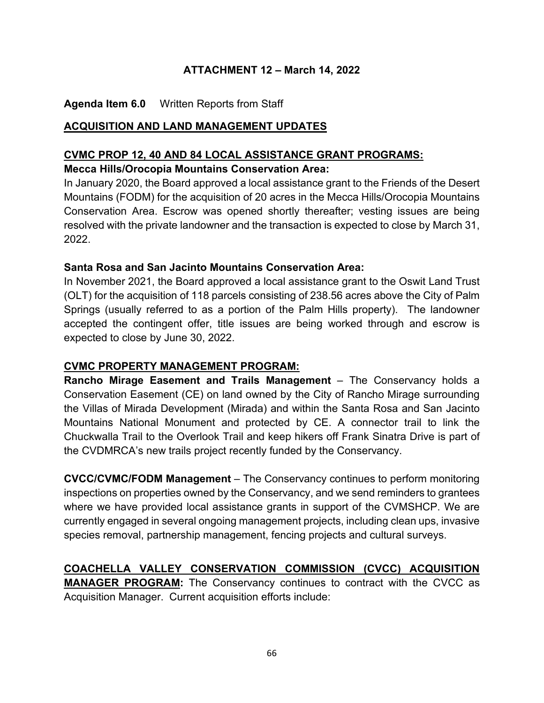# **ATTACHMENT 12 – March 14, 2022**

# **Agenda Item 6.0** Written Reports from Staff

#### **ACQUISITION AND LAND MANAGEMENT UPDATES**

# **CVMC PROP 12, 40 AND 84 LOCAL ASSISTANCE GRANT PROGRAMS:**

#### **Mecca Hills/Orocopia Mountains Conservation Area:**

In January 2020, the Board approved a local assistance grant to the Friends of the Desert Mountains (FODM) for the acquisition of 20 acres in the Mecca Hills/Orocopia Mountains Conservation Area. Escrow was opened shortly thereafter; vesting issues are being resolved with the private landowner and the transaction is expected to close by March 31, 2022.

#### **Santa Rosa and San Jacinto Mountains Conservation Area:**

In November 2021, the Board approved a local assistance grant to the Oswit Land Trust (OLT) for the acquisition of 118 parcels consisting of 238.56 acres above the City of Palm Springs (usually referred to as a portion of the Palm Hills property). The landowner accepted the contingent offer, title issues are being worked through and escrow is expected to close by June 30, 2022.

#### **CVMC PROPERTY MANAGEMENT PROGRAM:**

**Rancho Mirage Easement and Trails Management** – The Conservancy holds a Conservation Easement (CE) on land owned by the City of Rancho Mirage surrounding the Villas of Mirada Development (Mirada) and within the Santa Rosa and San Jacinto Mountains National Monument and protected by CE. A connector trail to link the Chuckwalla Trail to the Overlook Trail and keep hikers off Frank Sinatra Drive is part of the CVDMRCA's new trails project recently funded by the Conservancy.

**CVCC/CVMC/FODM Management** – The Conservancy continues to perform monitoring inspections on properties owned by the Conservancy, and we send reminders to grantees where we have provided local assistance grants in support of the CVMSHCP. We are currently engaged in several ongoing management projects, including clean ups, invasive species removal, partnership management, fencing projects and cultural surveys.

# **COACHELLA VALLEY CONSERVATION COMMISSION (CVCC) ACQUISITION**

**MANAGER PROGRAM:** The Conservancy continues to contract with the CVCC as Acquisition Manager. Current acquisition efforts include: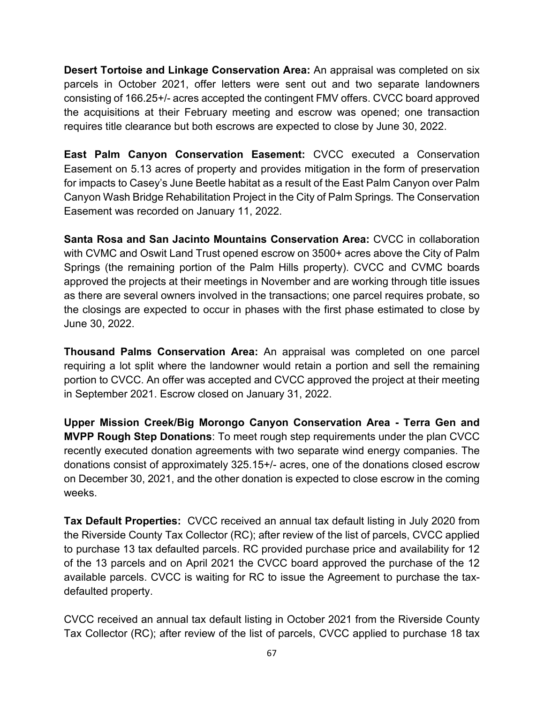**Desert Tortoise and Linkage Conservation Area:** An appraisal was completed on six parcels in October 2021, offer letters were sent out and two separate landowners consisting of 166.25+/- acres accepted the contingent FMV offers. CVCC board approved the acquisitions at their February meeting and escrow was opened; one transaction requires title clearance but both escrows are expected to close by June 30, 2022.

**East Palm Canyon Conservation Easement:** CVCC executed a Conservation Easement on 5.13 acres of property and provides mitigation in the form of preservation for impacts to Casey's June Beetle habitat as a result of the East Palm Canyon over Palm Canyon Wash Bridge Rehabilitation Project in the City of Palm Springs*.* The Conservation Easement was recorded on January 11, 2022.

**Santa Rosa and San Jacinto Mountains Conservation Area:** CVCC in collaboration with CVMC and Oswit Land Trust opened escrow on 3500+ acres above the City of Palm Springs (the remaining portion of the Palm Hills property). CVCC and CVMC boards approved the projects at their meetings in November and are working through title issues as there are several owners involved in the transactions; one parcel requires probate, so the closings are expected to occur in phases with the first phase estimated to close by June 30, 2022.

**Thousand Palms Conservation Area:** An appraisal was completed on one parcel requiring a lot split where the landowner would retain a portion and sell the remaining portion to CVCC. An offer was accepted and CVCC approved the project at their meeting in September 2021. Escrow closed on January 31, 2022.

**Upper Mission Creek/Big Morongo Canyon Conservation Area - Terra Gen and MVPP Rough Step Donations**: To meet rough step requirements under the plan CVCC recently executed donation agreements with two separate wind energy companies. The donations consist of approximately 325.15+/- acres, one of the donations closed escrow on December 30, 2021, and the other donation is expected to close escrow in the coming weeks.

**Tax Default Properties:** CVCC received an annual tax default listing in July 2020 from the Riverside County Tax Collector (RC); after review of the list of parcels, CVCC applied to purchase 13 tax defaulted parcels. RC provided purchase price and availability for 12 of the 13 parcels and on April 2021 the CVCC board approved the purchase of the 12 available parcels. CVCC is waiting for RC to issue the Agreement to purchase the taxdefaulted property.

CVCC received an annual tax default listing in October 2021 from the Riverside County Tax Collector (RC); after review of the list of parcels, CVCC applied to purchase 18 tax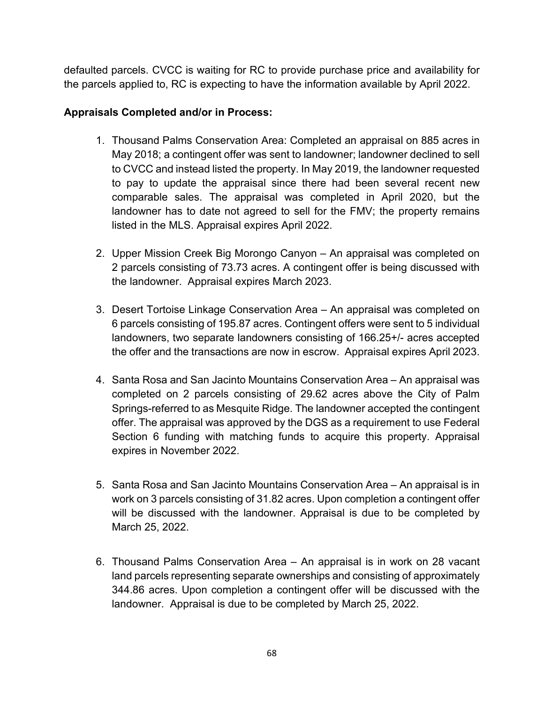defaulted parcels. CVCC is waiting for RC to provide purchase price and availability for the parcels applied to, RC is expecting to have the information available by April 2022.

# **Appraisals Completed and/or in Process:**

- 1. Thousand Palms Conservation Area: Completed an appraisal on 885 acres in May 2018; a contingent offer was sent to landowner; landowner declined to sell to CVCC and instead listed the property. In May 2019, the landowner requested to pay to update the appraisal since there had been several recent new comparable sales. The appraisal was completed in April 2020, but the landowner has to date not agreed to sell for the FMV; the property remains listed in the MLS. Appraisal expires April 2022.
- 2. Upper Mission Creek Big Morongo Canyon An appraisal was completed on 2 parcels consisting of 73.73 acres. A contingent offer is being discussed with the landowner. Appraisal expires March 2023.
- 3. Desert Tortoise Linkage Conservation Area An appraisal was completed on 6 parcels consisting of 195.87 acres. Contingent offers were sent to 5 individual landowners, two separate landowners consisting of 166.25+/- acres accepted the offer and the transactions are now in escrow. Appraisal expires April 2023.
- 4. Santa Rosa and San Jacinto Mountains Conservation Area An appraisal was completed on 2 parcels consisting of 29.62 acres above the City of Palm Springs-referred to as Mesquite Ridge. The landowner accepted the contingent offer. The appraisal was approved by the DGS as a requirement to use Federal Section 6 funding with matching funds to acquire this property. Appraisal expires in November 2022.
- 5. Santa Rosa and San Jacinto Mountains Conservation Area An appraisal is in work on 3 parcels consisting of 31.82 acres. Upon completion a contingent offer will be discussed with the landowner. Appraisal is due to be completed by March 25, 2022.
- 6. Thousand Palms Conservation Area An appraisal is in work on 28 vacant land parcels representing separate ownerships and consisting of approximately 344.86 acres. Upon completion a contingent offer will be discussed with the landowner. Appraisal is due to be completed by March 25, 2022.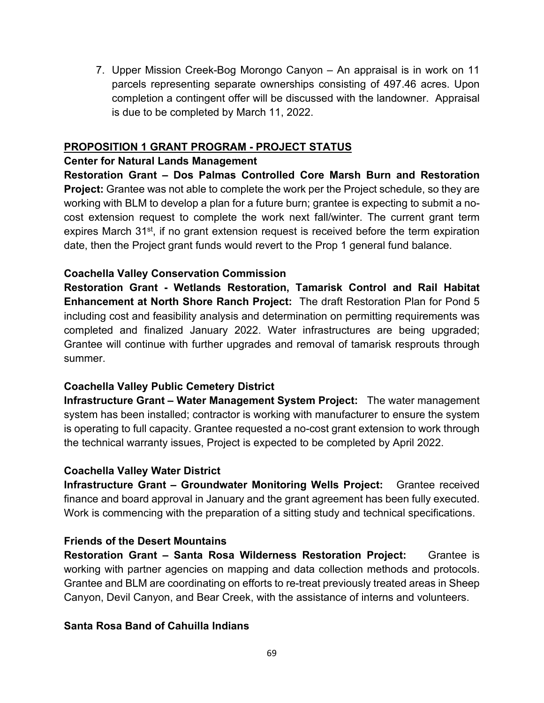7. Upper Mission Creek-Bog Morongo Canyon – An appraisal is in work on 11 parcels representing separate ownerships consisting of 497.46 acres. Upon completion a contingent offer will be discussed with the landowner. Appraisal is due to be completed by March 11, 2022.

#### **PROPOSITION 1 GRANT PROGRAM - PROJECT STATUS**

#### **Center for Natural Lands Management**

**Restoration Grant – Dos Palmas Controlled Core Marsh Burn and Restoration Project:** Grantee was not able to complete the work per the Project schedule, so they are working with BLM to develop a plan for a future burn; grantee is expecting to submit a nocost extension request to complete the work next fall/winter. The current grant term expires March 31<sup>st</sup>, if no grant extension request is received before the term expiration date, then the Project grant funds would revert to the Prop 1 general fund balance.

# **Coachella Valley Conservation Commission**

**Restoration Grant - Wetlands Restoration, Tamarisk Control and Rail Habitat Enhancement at North Shore Ranch Project:** The draft Restoration Plan for Pond 5 including cost and feasibility analysis and determination on permitting requirements was completed and finalized January 2022. Water infrastructures are being upgraded; Grantee will continue with further upgrades and removal of tamarisk resprouts through summer.

# **Coachella Valley Public Cemetery District**

**Infrastructure Grant – Water Management System Project:** The water management system has been installed; contractor is working with manufacturer to ensure the system is operating to full capacity. Grantee requested a no-cost grant extension to work through the technical warranty issues, Project is expected to be completed by April 2022.

#### **Coachella Valley Water District**

**Infrastructure Grant – Groundwater Monitoring Wells Project:** Grantee received finance and board approval in January and the grant agreement has been fully executed. Work is commencing with the preparation of a sitting study and technical specifications.

#### **Friends of the Desert Mountains**

**Restoration Grant – Santa Rosa Wilderness Restoration Project:** Grantee is working with partner agencies on mapping and data collection methods and protocols. Grantee and BLM are coordinating on efforts to re-treat previously treated areas in Sheep Canyon, Devil Canyon, and Bear Creek, with the assistance of interns and volunteers.

# **Santa Rosa Band of Cahuilla Indians**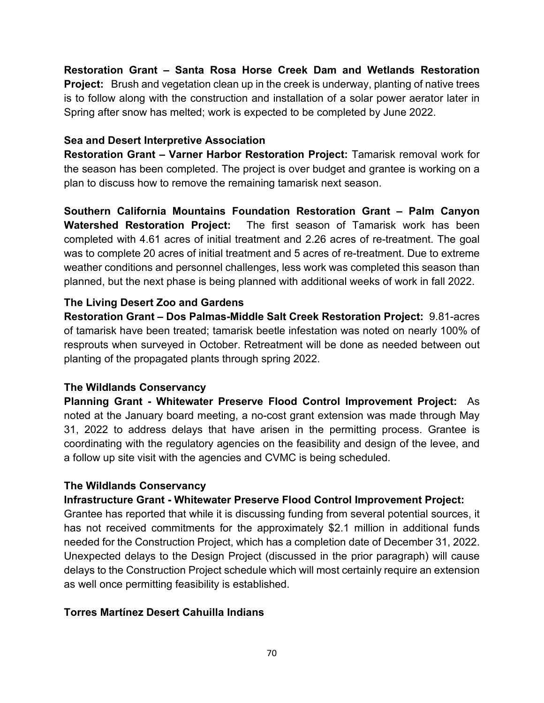**Restoration Grant – Santa Rosa Horse Creek Dam and Wetlands Restoration Project:** Brush and vegetation clean up in the creek is underway, planting of native trees is to follow along with the construction and installation of a solar power aerator later in Spring after snow has melted; work is expected to be completed by June 2022.

# **Sea and Desert Interpretive Association**

**Restoration Grant – Varner Harbor Restoration Project:** Tamarisk removal work for the season has been completed. The project is over budget and grantee is working on a plan to discuss how to remove the remaining tamarisk next season.

**Southern California Mountains Foundation Restoration Grant – Palm Canyon Watershed Restoration Project:** The first season of Tamarisk work has been completed with 4.61 acres of initial treatment and 2.26 acres of re-treatment. The goal was to complete 20 acres of initial treatment and 5 acres of re-treatment. Due to extreme weather conditions and personnel challenges, less work was completed this season than planned, but the next phase is being planned with additional weeks of work in fall 2022.

# **The Living Desert Zoo and Gardens**

**Restoration Grant – Dos Palmas-Middle Salt Creek Restoration Project:** 9.81-acres of tamarisk have been treated; tamarisk beetle infestation was noted on nearly 100% of resprouts when surveyed in October. Retreatment will be done as needed between out planting of the propagated plants through spring 2022.

# **The Wildlands Conservancy**

**Planning Grant - Whitewater Preserve Flood Control Improvement Project:** As noted at the January board meeting, a no-cost grant extension was made through May 31, 2022 to address delays that have arisen in the permitting process. Grantee is coordinating with the regulatory agencies on the feasibility and design of the levee, and a follow up site visit with the agencies and CVMC is being scheduled.

# **The Wildlands Conservancy**

# **Infrastructure Grant - Whitewater Preserve Flood Control Improvement Project:**

Grantee has reported that while it is discussing funding from several potential sources, it has not received commitments for the approximately \$2.1 million in additional funds needed for the Construction Project, which has a completion date of December 31, 2022. Unexpected delays to the Design Project (discussed in the prior paragraph) will cause delays to the Construction Project schedule which will most certainly require an extension as well once permitting feasibility is established.

# **Torres Martínez Desert Cahuilla Indians**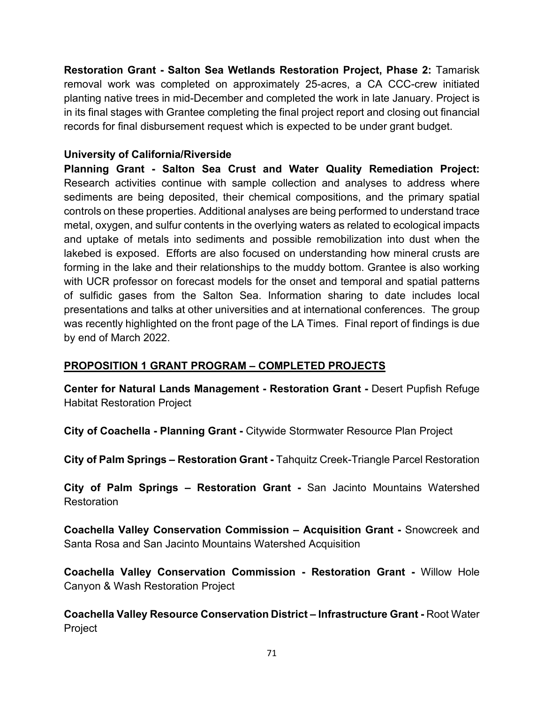**Restoration Grant - Salton Sea Wetlands Restoration Project, Phase 2:** Tamarisk removal work was completed on approximately 25-acres, a CA CCC-crew initiated planting native trees in mid-December and completed the work in late January. Project is in its final stages with Grantee completing the final project report and closing out financial records for final disbursement request which is expected to be under grant budget.

# **University of California/Riverside**

**Planning Grant - Salton Sea Crust and Water Quality Remediation Project:**  Research activities continue with sample collection and analyses to address where sediments are being deposited, their chemical compositions, and the primary spatial controls on these properties. Additional analyses are being performed to understand trace metal, oxygen, and sulfur contents in the overlying waters as related to ecological impacts and uptake of metals into sediments and possible remobilization into dust when the lakebed is exposed. Efforts are also focused on understanding how mineral crusts are forming in the lake and their relationships to the muddy bottom. Grantee is also working with UCR professor on forecast models for the onset and temporal and spatial patterns of sulfidic gases from the Salton Sea. Information sharing to date includes local presentations and talks at other universities and at international conferences. The group was recently highlighted on the front page of the LA Times. Final report of findings is due by end of March 2022.

# **PROPOSITION 1 GRANT PROGRAM – COMPLETED PROJECTS**

**Center for Natural Lands Management - Restoration Grant -** Desert Pupfish Refuge Habitat Restoration Project

**City of Coachella - Planning Grant -** Citywide Stormwater Resource Plan Project

**City of Palm Springs – Restoration Grant -** Tahquitz Creek-Triangle Parcel Restoration

**City of Palm Springs – Restoration Grant -** San Jacinto Mountains Watershed Restoration

**Coachella Valley Conservation Commission – Acquisition Grant -** Snowcreek and Santa Rosa and San Jacinto Mountains Watershed Acquisition

**Coachella Valley Conservation Commission - Restoration Grant -** Willow Hole Canyon & Wash Restoration Project

**Coachella Valley Resource Conservation District – Infrastructure Grant -** Root Water Project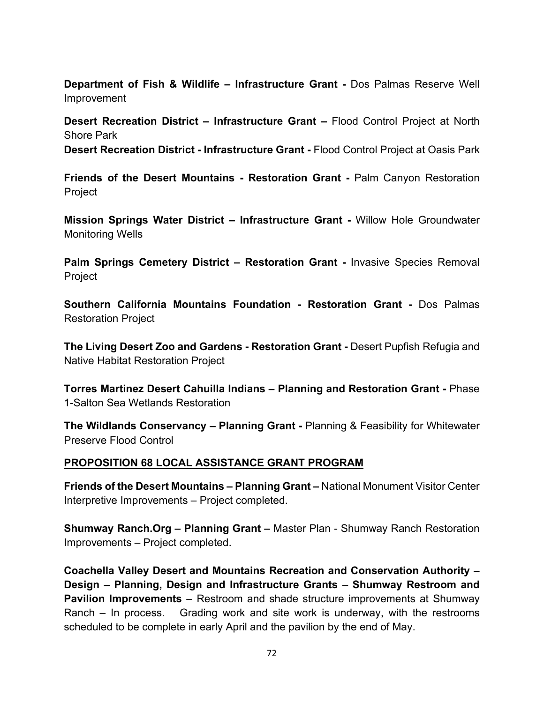**Department of Fish & Wildlife – Infrastructure Grant -** Dos Palmas Reserve Well Improvement

**Desert Recreation District – Infrastructure Grant –** Flood Control Project at North Shore Park **Desert Recreation District - Infrastructure Grant -** Flood Control Project at Oasis Park

**Friends of the Desert Mountains - Restoration Grant -** Palm Canyon Restoration Project

**Mission Springs Water District – Infrastructure Grant -** Willow Hole Groundwater Monitoring Wells

**Palm Springs Cemetery District – Restoration Grant -** Invasive Species Removal Project

**Southern California Mountains Foundation - Restoration Grant -** Dos Palmas Restoration Project

**The Living Desert Zoo and Gardens - Restoration Grant -** Desert Pupfish Refugia and Native Habitat Restoration Project

**Torres Martinez Desert Cahuilla Indians – Planning and Restoration Grant -** Phase 1-Salton Sea Wetlands Restoration

**The Wildlands Conservancy – Planning Grant -** Planning & Feasibility for Whitewater Preserve Flood Control

#### **PROPOSITION 68 LOCAL ASSISTANCE GRANT PROGRAM**

**Friends of the Desert Mountains – Planning Grant –** National Monument Visitor Center Interpretive Improvements – Project completed.

**Shumway Ranch.Org – Planning Grant –** Master Plan - Shumway Ranch Restoration Improvements – Project completed.

**Coachella Valley Desert and Mountains Recreation and Conservation Authority – Design – Planning, Design and Infrastructure Grants** – **Shumway Restroom and Pavilion Improvements** – Restroom and shade structure improvements at Shumway Ranch – In process. Grading work and site work is underway, with the restrooms scheduled to be complete in early April and the pavilion by the end of May.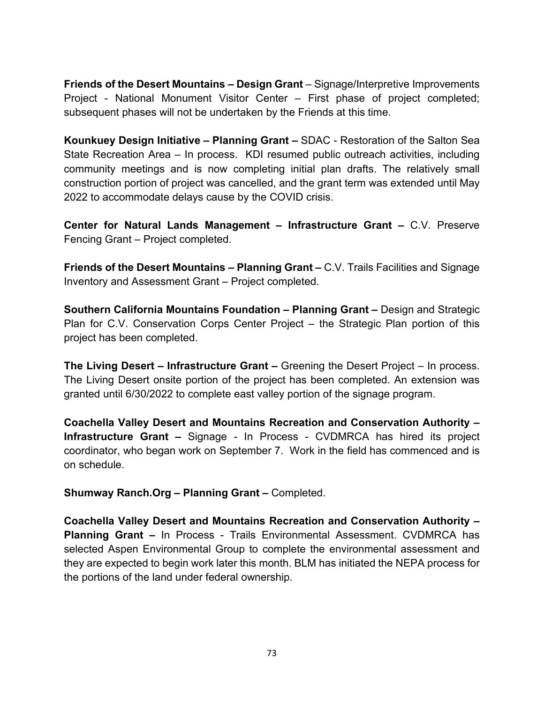**Friends of the Desert Mountains – Design Grant** – Signage/Interpretive Improvements Project - National Monument Visitor Center – First phase of project completed; subsequent phases will not be undertaken by the Friends at this time.

**Kounkuey Design Initiative – Planning Grant –** SDAC - Restoration of the Salton Sea State Recreation Area – In process. KDI resumed public outreach activities, including community meetings and is now completing initial plan drafts. The relatively small construction portion of project was cancelled, and the grant term was extended until May 2022 to accommodate delays cause by the COVID crisis.

**Center for Natural Lands Management – Infrastructure Grant –** C.V. Preserve Fencing Grant – Project completed.

**Friends of the Desert Mountains – Planning Grant –** C.V. Trails Facilities and Signage Inventory and Assessment Grant – Project completed.

**Southern California Mountains Foundation – Planning Grant –** Design and Strategic Plan for C.V. Conservation Corps Center Project – the Strategic Plan portion of this project has been completed.

**The Living Desert – Infrastructure Grant –** Greening the Desert Project – In process. The Living Desert onsite portion of the project has been completed. An extension was granted until 6/30/2022 to complete east valley portion of the signage program.

**Coachella Valley Desert and Mountains Recreation and Conservation Authority – Infrastructure Grant –** Signage - In Process - CVDMRCA has hired its project coordinator, who began work on September 7. Work in the field has commenced and is on schedule.

**Shumway Ranch.Org – Planning Grant –** Completed.

**Coachella Valley Desert and Mountains Recreation and Conservation Authority – Planning Grant –** In Process - Trails Environmental Assessment. CVDMRCA has selected Aspen Environmental Group to complete the environmental assessment and they are expected to begin work later this month. BLM has initiated the NEPA process for the portions of the land under federal ownership.